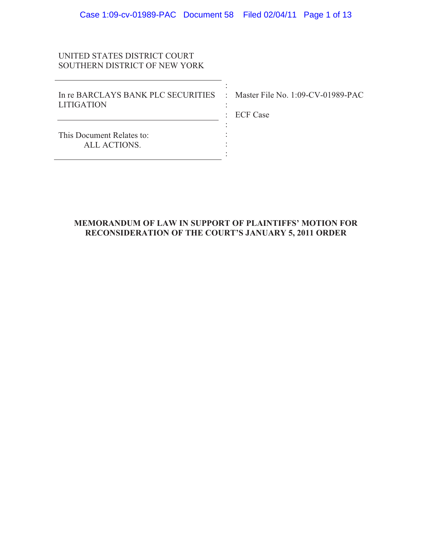:

:

: : :

# UNITED STATES DISTRICT COURT SOUTHERN DISTRICT OF NEW YORK

In re BARCLAYS BANK PLC SECURITIES : Master File No. 1:09-CV-01989-PAC LITIGATION

: ECF Case

This Document Relates to: ALL ACTIONS. <u>: 1999 - 1999 - 1999 - 1999 - 1999 - 1999 - 1999 - 1999 - 1999 - 1999 - 1999 - 1999 - 1999 - 1999 - 1999 - 19</u>

# **MEMORANDUM OF LAW IN SUPPORT OF PLAINTIFFS' MOTION FOR RECONSIDERATION OF THE COURT'S JANUARY 5, 2011 ORDER**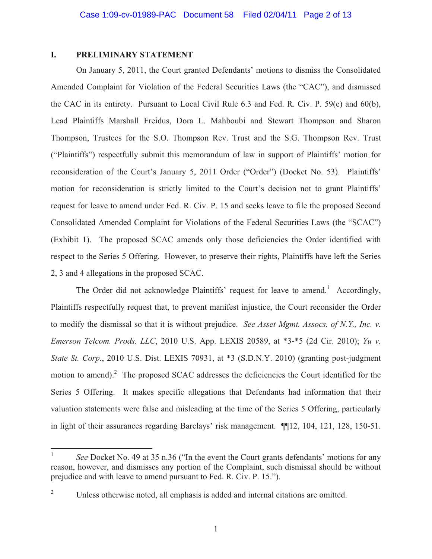# **I. PRELIMINARY STATEMENT**

On January 5, 2011, the Court granted Defendants' motions to dismiss the Consolidated Amended Complaint for Violation of the Federal Securities Laws (the "CAC"), and dismissed the CAC in its entirety. Pursuant to Local Civil Rule 6.3 and Fed. R. Civ. P. 59(e) and 60(b), Lead Plaintiffs Marshall Freidus, Dora L. Mahboubi and Stewart Thompson and Sharon Thompson, Trustees for the S.O. Thompson Rev. Trust and the S.G. Thompson Rev. Trust ("Plaintiffs") respectfully submit this memorandum of law in support of Plaintiffs' motion for reconsideration of the Court's January 5, 2011 Order ("Order") (Docket No. 53). Plaintiffs' motion for reconsideration is strictly limited to the Court's decision not to grant Plaintiffs' request for leave to amend under Fed. R. Civ. P. 15 and seeks leave to file the proposed Second Consolidated Amended Complaint for Violations of the Federal Securities Laws (the "SCAC") (Exhibit 1). The proposed SCAC amends only those deficiencies the Order identified with respect to the Series 5 Offering. However, to preserve their rights, Plaintiffs have left the Series 2, 3 and 4 allegations in the proposed SCAC.

The Order did not acknowledge Plaintiffs' request for leave to amend.<sup>1</sup> Accordingly, Plaintiffs respectfully request that, to prevent manifest injustice, the Court reconsider the Order to modify the dismissal so that it is without prejudice. *See Asset Mgmt. Assocs. of N.Y., Inc. v. Emerson Telcom. Prods. LLC*, 2010 U.S. App. LEXIS 20589, at \*3-\*5 (2d Cir. 2010); *Yu v. State St. Corp.*, 2010 U.S. Dist. LEXIS 70931, at \*3 (S.D.N.Y. 2010) (granting post-judgment motion to amend).<sup>2</sup> The proposed SCAC addresses the deficiencies the Court identified for the Series 5 Offering. It makes specific allegations that Defendants had information that their valuation statements were false and misleading at the time of the Series 5 Offering, particularly in light of their assurances regarding Barclays' risk management. ¶¶12, 104, 121, 128, 150-51.

<sup>&</sup>lt;sup>1</sup> *See* Docket No. 49 at 35 n.36 ("In the event the Court grants defendants' motions for any reason, however, and dismisses any portion of the Complaint, such dismissal should be without prejudice and with leave to amend pursuant to Fed. R. Civ. P. 15.").

<sup>2</sup> Unless otherwise noted, all emphasis is added and internal citations are omitted.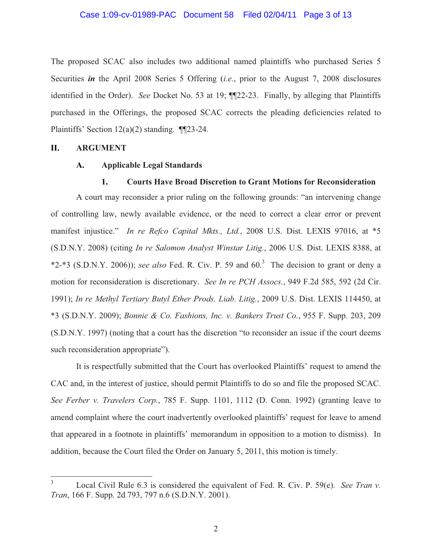# Case 1:09-cv-01989-PAC Document 58 Filed 02/04/11 Page 3 of 13

The proposed SCAC also includes two additional named plaintiffs who purchased Series 5 Securities *in* the April 2008 Series 5 Offering (*i.e*., prior to the August 7, 2008 disclosures identified in the Order). *See* Docket No. 53 at 19; ¶¶22-23. Finally, by alleging that Plaintiffs purchased in the Offerings, the proposed SCAC corrects the pleading deficiencies related to Plaintiffs' Section 12(a)(2) standing. ¶¶23-24.

# **II. ARGUMENT**

# **A. Applicable Legal Standards**

# **1. Courts Have Broad Discretion to Grant Motions for Reconsideration**

A court may reconsider a prior ruling on the following grounds: "an intervening change of controlling law, newly available evidence, or the need to correct a clear error or prevent manifest injustice." *In re Refco Capital Mkts., Ltd.*, 2008 U.S. Dist. LEXIS 97016, at \*5 (S.D.N.Y. 2008) (citing *In re Salomon Analyst Winstar Litig.*, 2006 U.S. Dist. LEXIS 8388, at  $*2-*3$  (S.D.N.Y. 2006)); *see also* Fed. R. Civ. P. 59 and  $60<sup>3</sup>$  The decision to grant or deny a motion for reconsideration is discretionary. *See In re PCH Assocs.*, 949 F.2d 585, 592 (2d Cir. 1991); *In re Methyl Tertiary Butyl Ether Prods. Liab. Litig.*, 2009 U.S. Dist. LEXIS 114450, at \*3 (S.D.N.Y. 2009); *Bonnie & Co. Fashions, Inc. v. Bankers Trust Co.*, 955 F. Supp. 203, 209 (S.D.N.Y. 1997) (noting that a court has the discretion "to reconsider an issue if the court deems such reconsideration appropriate").

It is respectfully submitted that the Court has overlooked Plaintiffs' request to amend the CAC and, in the interest of justice, should permit Plaintiffs to do so and file the proposed SCAC. *See Ferber v. Travelers Corp.*, 785 F. Supp. 1101, 1112 (D. Conn. 1992) (granting leave to amend complaint where the court inadvertently overlooked plaintiffs' request for leave to amend that appeared in a footnote in plaintiffs' memorandum in opposition to a motion to dismiss). In addition, because the Court filed the Order on January 5, 2011, this motion is timely.

<sup>3</sup> Local Civil Rule 6.3 is considered the equivalent of Fed. R. Civ. P. 59(e). *See Tran v. Tran*, 166 F. Supp. 2d 793, 797 n.6 (S.D.N.Y. 2001).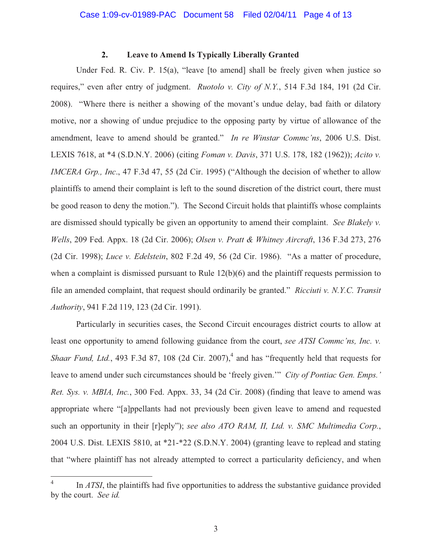# **2. Leave to Amend Is Typically Liberally Granted**

Under Fed. R. Civ. P. 15(a), "leave [to amend] shall be freely given when justice so requires," even after entry of judgment. *Ruotolo v. City of N.Y.*, 514 F.3d 184, 191 (2d Cir. 2008). "Where there is neither a showing of the movant's undue delay, bad faith or dilatory motive, nor a showing of undue prejudice to the opposing party by virtue of allowance of the amendment, leave to amend should be granted." *In re Winstar Commc'ns*, 2006 U.S. Dist. LEXIS 7618, at \*4 (S.D.N.Y. 2006) (citing *Foman v. Davis*, 371 U.S. 178, 182 (1962)); *Acito v. IMCERA Grp., Inc*., 47 F.3d 47, 55 (2d Cir. 1995) ("Although the decision of whether to allow plaintiffs to amend their complaint is left to the sound discretion of the district court, there must be good reason to deny the motion."). The Second Circuit holds that plaintiffs whose complaints are dismissed should typically be given an opportunity to amend their complaint. *See Blakely v. Wells*, 209 Fed. Appx. 18 (2d Cir. 2006); *Olsen v. Pratt & Whitney Aircraft*, 136 F.3d 273, 276 (2d Cir. 1998); *Luce v. Edelstein*, 802 F.2d 49, 56 (2d Cir. 1986). "As a matter of procedure, when a complaint is dismissed pursuant to Rule  $12(b)(6)$  and the plaintiff requests permission to file an amended complaint, that request should ordinarily be granted." *Ricciuti v. N.Y.C. Transit Authority*, 941 F.2d 119, 123 (2d Cir. 1991).

Particularly in securities cases, the Second Circuit encourages district courts to allow at least one opportunity to amend following guidance from the court, *see ATSI Commc'ns, Inc. v. Shaar Fund, Ltd.*, 493 F.3d 87, 108 (2d Cir. 2007),<sup>4</sup> and has "frequently held that requests for leave to amend under such circumstances should be 'freely given.'" *City of Pontiac Gen. Emps.' Ret. Sys. v. MBIA, Inc.*, 300 Fed. Appx. 33, 34 (2d Cir. 2008) (finding that leave to amend was appropriate where "[a]ppellants had not previously been given leave to amend and requested such an opportunity in their [r]eply"); *see also ATO RAM, II, Ltd. v. SMC Multimedia Corp.*, 2004 U.S. Dist. LEXIS 5810, at \*21-\*22 (S.D.N.Y. 2004) (granting leave to replead and stating that "where plaintiff has not already attempted to correct a particularity deficiency, and when

<sup>4</sup> In *ATSI*, the plaintiffs had five opportunities to address the substantive guidance provided by the court. *See id.*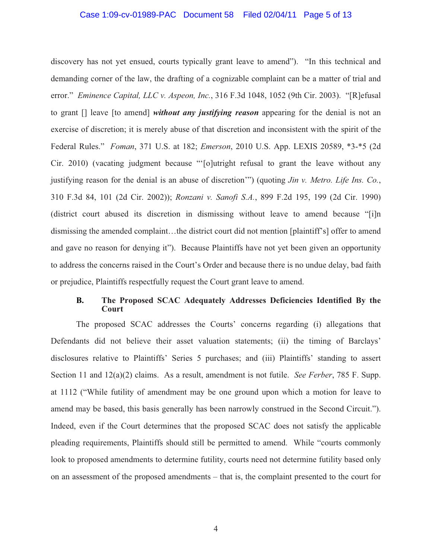# Case 1:09-cv-01989-PAC Document 58 Filed 02/04/11 Page 5 of 13

discovery has not yet ensued, courts typically grant leave to amend"). "In this technical and demanding corner of the law, the drafting of a cognizable complaint can be a matter of trial and error." *Eminence Capital, LLC v. Aspeon, Inc.*, 316 F.3d 1048, 1052 (9th Cir. 2003). "[R]efusal to grant [] leave [to amend] *without any justifying reason* appearing for the denial is not an exercise of discretion; it is merely abuse of that discretion and inconsistent with the spirit of the Federal Rules." *Foman*, 371 U.S. at 182; *Emerson*, 2010 U.S. App. LEXIS 20589, \*3-\*5 (2d Cir. 2010) (vacating judgment because "'[o]utright refusal to grant the leave without any justifying reason for the denial is an abuse of discretion'") (quoting *Jin v. Metro. Life Ins. Co.*, 310 F.3d 84, 101 (2d Cir. 2002)); *Ronzani v. Sanofi S.A.*, 899 F.2d 195, 199 (2d Cir. 1990) (district court abused its discretion in dismissing without leave to amend because "[i]n dismissing the amended complaint…the district court did not mention [plaintiff's] offer to amend and gave no reason for denying it"). Because Plaintiffs have not yet been given an opportunity to address the concerns raised in the Court's Order and because there is no undue delay, bad faith or prejudice, Plaintiffs respectfully request the Court grant leave to amend.

# **B. The Proposed SCAC Adequately Addresses Deficiencies Identified By the Court**

The proposed SCAC addresses the Courts' concerns regarding (i) allegations that Defendants did not believe their asset valuation statements; (ii) the timing of Barclays' disclosures relative to Plaintiffs' Series 5 purchases; and (iii) Plaintiffs' standing to assert Section 11 and 12(a)(2) claims. As a result, amendment is not futile. *See Ferber*, 785 F. Supp. at 1112 ("While futility of amendment may be one ground upon which a motion for leave to amend may be based, this basis generally has been narrowly construed in the Second Circuit."). Indeed, even if the Court determines that the proposed SCAC does not satisfy the applicable pleading requirements, Plaintiffs should still be permitted to amend. While "courts commonly look to proposed amendments to determine futility, courts need not determine futility based only on an assessment of the proposed amendments – that is, the complaint presented to the court for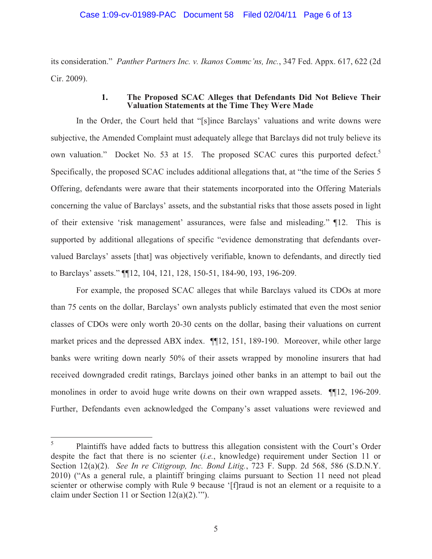# Case 1:09-cv-01989-PAC Document 58 Filed 02/04/11 Page 6 of 13

its consideration." *Panther Partners Inc. v. Ikanos Commc'ns, Inc.*, 347 Fed. Appx. 617, 622 (2d Cir. 2009).

# **1. The Proposed SCAC Alleges that Defendants Did Not Believe Their Valuation Statements at the Time They Were Made**

In the Order, the Court held that "[s]ince Barclays' valuations and write downs were subjective, the Amended Complaint must adequately allege that Barclays did not truly believe its own valuation." Docket No. 53 at 15. The proposed SCAC cures this purported defect.<sup>5</sup> Specifically, the proposed SCAC includes additional allegations that, at "the time of the Series 5 Offering, defendants were aware that their statements incorporated into the Offering Materials concerning the value of Barclays' assets, and the substantial risks that those assets posed in light of their extensive 'risk management' assurances, were false and misleading." ¶12. This is supported by additional allegations of specific "evidence demonstrating that defendants overvalued Barclays' assets [that] was objectively verifiable, known to defendants, and directly tied to Barclays' assets." ¶¶12, 104, 121, 128, 150-51, 184-90, 193, 196-209.

For example, the proposed SCAC alleges that while Barclays valued its CDOs at more than 75 cents on the dollar, Barclays' own analysts publicly estimated that even the most senior classes of CDOs were only worth 20-30 cents on the dollar, basing their valuations on current market prices and the depressed ABX index. ¶¶12, 151, 189-190. Moreover, while other large banks were writing down nearly 50% of their assets wrapped by monoline insurers that had received downgraded credit ratings, Barclays joined other banks in an attempt to bail out the monolines in order to avoid huge write downs on their own wrapped assets. ¶¶12, 196-209. Further, Defendants even acknowledged the Company's asset valuations were reviewed and

<sup>5</sup> Plaintiffs have added facts to buttress this allegation consistent with the Court's Order despite the fact that there is no scienter (*i.e.*, knowledge) requirement under Section 11 or Section 12(a)(2). *See In re Citigroup, Inc. Bond Litig.*, 723 F. Supp. 2d 568, 586 (S.D.N.Y. 2010) ("As a general rule, a plaintiff bringing claims pursuant to Section 11 need not plead scienter or otherwise comply with Rule 9 because '[f]raud is not an element or a requisite to a claim under Section 11 or Section 12(a)(2).'").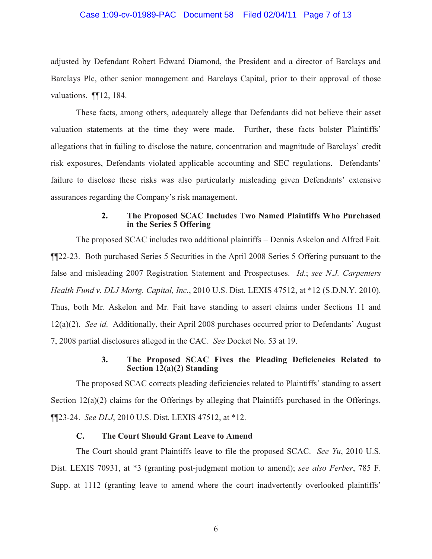# Case 1:09-cv-01989-PAC Document 58 Filed 02/04/11 Page 7 of 13

adjusted by Defendant Robert Edward Diamond, the President and a director of Barclays and Barclays Plc, other senior management and Barclays Capital, prior to their approval of those valuations. **¶**12, 184.

These facts, among others, adequately allege that Defendants did not believe their asset valuation statements at the time they were made. Further, these facts bolster Plaintiffs' allegations that in failing to disclose the nature, concentration and magnitude of Barclays' credit risk exposures, Defendants violated applicable accounting and SEC regulations. Defendants' failure to disclose these risks was also particularly misleading given Defendants' extensive assurances regarding the Company's risk management.

# **2. The Proposed SCAC Includes Two Named Plaintiffs Who Purchased in the Series 5 Offering**

The proposed SCAC includes two additional plaintiffs – Dennis Askelon and Alfred Fait. ¶¶22-23. Both purchased Series 5 Securities in the April 2008 Series 5 Offering pursuant to the false and misleading 2007 Registration Statement and Prospectuses. *Id*.; *see N.J. Carpenters Health Fund v. DLJ Mortg. Capital, Inc.*, 2010 U.S. Dist. LEXIS 47512, at \*12 (S.D.N.Y. 2010). Thus, both Mr. Askelon and Mr. Fait have standing to assert claims under Sections 11 and 12(a)(2). *See id*. Additionally, their April 2008 purchases occurred prior to Defendants' August 7, 2008 partial disclosures alleged in the CAC. *See* Docket No. 53 at 19.

# **3. The Proposed SCAC Fixes the Pleading Deficiencies Related to Section 12(a)(2) Standing**

The proposed SCAC corrects pleading deficiencies related to Plaintiffs' standing to assert Section 12(a)(2) claims for the Offerings by alleging that Plaintiffs purchased in the Offerings. ¶¶23-24. *See DLJ*, 2010 U.S. Dist. LEXIS 47512, at \*12.

# **C. The Court Should Grant Leave to Amend**

The Court should grant Plaintiffs leave to file the proposed SCAC. *See Yu*, 2010 U.S. Dist. LEXIS 70931, at \*3 (granting post-judgment motion to amend); *see also Ferber*, 785 F. Supp. at 1112 (granting leave to amend where the court inadvertently overlooked plaintiffs'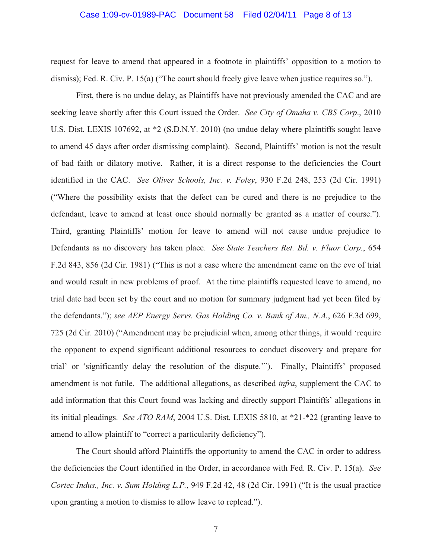# Case 1:09-cv-01989-PAC Document 58 Filed 02/04/11 Page 8 of 13

request for leave to amend that appeared in a footnote in plaintiffs' opposition to a motion to dismiss); Fed. R. Civ. P. 15(a) ("The court should freely give leave when justice requires so.").

First, there is no undue delay, as Plaintiffs have not previously amended the CAC and are seeking leave shortly after this Court issued the Order. *See City of Omaha v. CBS Corp*., 2010 U.S. Dist. LEXIS 107692, at \*2 (S.D.N.Y. 2010) (no undue delay where plaintiffs sought leave to amend 45 days after order dismissing complaint). Second, Plaintiffs' motion is not the result of bad faith or dilatory motive. Rather, it is a direct response to the deficiencies the Court identified in the CAC. *See Oliver Schools, Inc. v. Foley*, 930 F.2d 248, 253 (2d Cir. 1991) ("Where the possibility exists that the defect can be cured and there is no prejudice to the defendant, leave to amend at least once should normally be granted as a matter of course."). Third, granting Plaintiffs' motion for leave to amend will not cause undue prejudice to Defendants as no discovery has taken place. *See State Teachers Ret. Bd. v. Fluor Corp.*, 654 F.2d 843, 856 (2d Cir. 1981) ("This is not a case where the amendment came on the eve of trial and would result in new problems of proof. At the time plaintiffs requested leave to amend, no trial date had been set by the court and no motion for summary judgment had yet been filed by the defendants."); *see AEP Energy Servs. Gas Holding Co. v. Bank of Am., N.A.*, 626 F.3d 699, 725 (2d Cir. 2010) ("Amendment may be prejudicial when, among other things, it would 'require the opponent to expend significant additional resources to conduct discovery and prepare for trial' or 'significantly delay the resolution of the dispute.'"). Finally, Plaintiffs' proposed amendment is not futile. The additional allegations, as described *infra*, supplement the CAC to add information that this Court found was lacking and directly support Plaintiffs' allegations in its initial pleadings. *See ATO RAM*, 2004 U.S. Dist. LEXIS 5810, at \*21-\*22 (granting leave to amend to allow plaintiff to "correct a particularity deficiency").

The Court should afford Plaintiffs the opportunity to amend the CAC in order to address the deficiencies the Court identified in the Order, in accordance with Fed. R. Civ. P. 15(a). *See Cortec Indus., Inc. v. Sum Holding L.P.*, 949 F.2d 42, 48 (2d Cir. 1991) ("It is the usual practice upon granting a motion to dismiss to allow leave to replead.").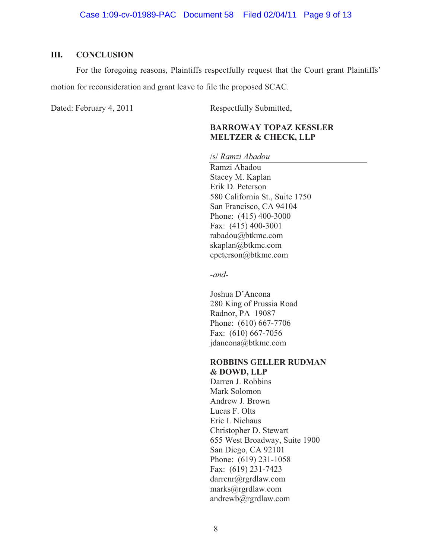# **III. CONCLUSION**

For the foregoing reasons, Plaintiffs respectfully request that the Court grant Plaintiffs' motion for reconsideration and grant leave to file the proposed SCAC.

Dated: February 4, 2011 Respectfully Submitted,

# **BARROWAY TOPAZ KESSLER MELTZER & CHECK, LLP**

/s/ *Ramzi Abadou*

Ramzi Abadou Stacey M. Kaplan Erik D. Peterson 580 California St., Suite 1750 San Francisco, CA 94104 Phone: (415) 400-3000 Fax: (415) 400-3001 rabadou@btkmc.com skaplan@btkmc.com epeterson@btkmc.com

*-and-*

Joshua D'Ancona 280 King of Prussia Road Radnor, PA 19087 Phone: (610) 667-7706 Fax: (610) 667-7056 jdancona@btkmc.com

# **ROBBINS GELLER RUDMAN & DOWD, LLP**

Darren J. Robbins Mark Solomon Andrew J. Brown Lucas F. Olts Eric I. Niehaus Christopher D. Stewart 655 West Broadway, Suite 1900 San Diego, CA 92101 Phone: (619) 231-1058 Fax: (619) 231-7423 darrenr@rgrdlaw.com marks@rgrdlaw.com andrewb@rgrdlaw.com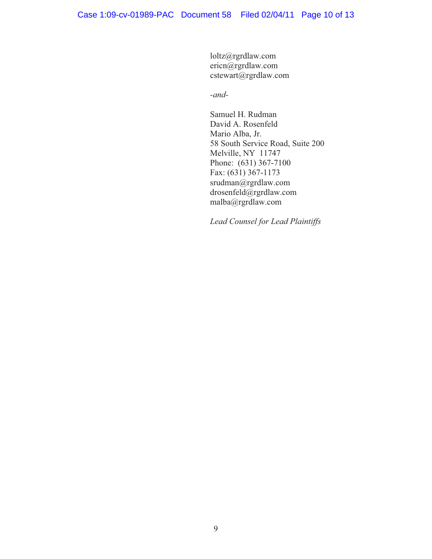loltz@rgrdlaw.com ericn@rgrdlaw.com cstewart@rgrdlaw.com

*-and-*

Samuel H. Rudman David A. Rosenfeld Mario Alba, Jr. 58 South Service Road, Suite 200 Melville, NY 11747 Phone: (631) 367-7100 Fax: (631) 367-1173 srudman@rgrdlaw.com drosenfeld@rgrdlaw.com malba@rgrdlaw.com

*Lead Counsel for Lead Plaintiffs*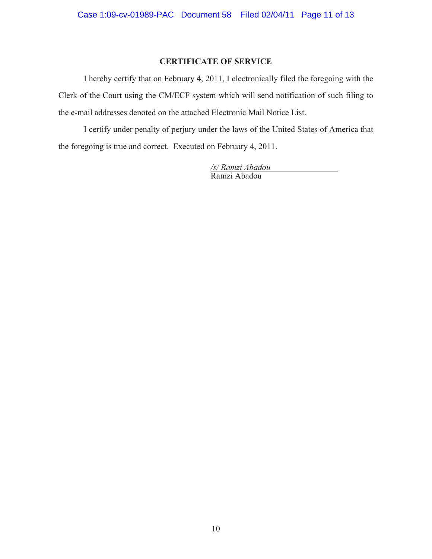# **CERTIFICATE OF SERVICE**

I hereby certify that on February 4, 2011, I electronically filed the foregoing with the Clerk of the Court using the CM/ECF system which will send notification of such filing to the e-mail addresses denoted on the attached Electronic Mail Notice List.

I certify under penalty of perjury under the laws of the United States of America that the foregoing is true and correct. Executed on February 4, 2011.

> */s/ Ramzi Abadou*  Ramzi Abadou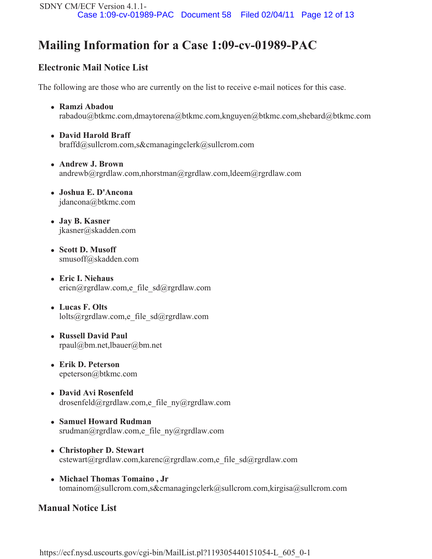# **Mailing Information for a Case 1:09-cv-01989-PAC**

# **Electronic Mail Notice List**

The following are those who are currently on the list to receive e-mail notices for this case.

- **Ramzi Abadou**  rabadou@btkmc.com,dmaytorena@btkmc.com,knguyen@btkmc.com,shebard@btkmc.com
- **David Harold Braff**  braffd@sullcrom.com,s&cmanagingclerk@sullcrom.com
- **Andrew J. Brown**  andrewb@rgrdlaw.com,nhorstman@rgrdlaw.com,ldeem@rgrdlaw.com
- **Joshua E. D'Ancona**  jdancona@btkmc.com
- **Jay B. Kasner**  jkasner@skadden.com
- **Scott D. Musoff**  smusoff@skadden.com
- **Eric I. Niehaus**  ericn@rgrdlaw.com,e\_file\_sd@rgrdlaw.com
- **Lucas F. Olts**  lolts@rgrdlaw.com,e\_file\_sd@rgrdlaw.com
- **Russell David Paul**  rpaul@bm.net,lbauer@bm.net
- **Erik D. Peterson**  epeterson@btkmc.com
- **David Avi Rosenfeld**  drosenfeld@rgrdlaw.com,e\_file\_ny@rgrdlaw.com
- **Samuel Howard Rudman**  srudman@rgrdlaw.com,e\_file\_ny@rgrdlaw.com
- **Christopher D. Stewart**   $c$ stewart@rgrdlaw.com,karenc@rgrdlaw.com,e\_file\_sd@rgrdlaw.com
- **Michael Thomas Tomaino , Jr** tomainom@sullcrom.com,s&cmanagingclerk@sullcrom.com,kirgisa@sullcrom.com

# **Manual Notice List**

https://ecf.nysd.uscourts.gov/cgi-bin/MailList.pl?119305440151054-L\_605\_0-1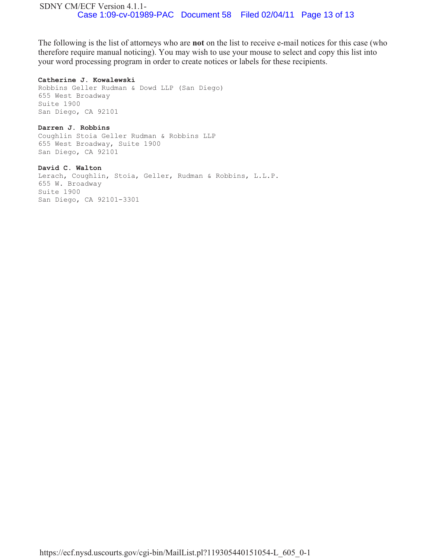The following is the list of attorneys who are **not** on the list to receive e-mail notices for this case (who therefore require manual noticing). You may wish to use your mouse to select and copy this list into your word processing program in order to create notices or labels for these recipients.

#### **Catherine J. Kowalewski**

Robbins Geller Rudman & Dowd LLP (San Diego) 655 West Broadway Suite 1900 San Diego, CA 92101

# **Darren J. Robbins**

Coughlin Stoia Geller Rudman & Robbins LLP 655 West Broadway, Suite 1900 San Diego, CA 92101

**David C. Walton**  Lerach, Coughlin, Stoia, Geller, Rudman & Robbins, L.L.P. 655 W. Broadway Suite 1900 San Diego, CA 92101-3301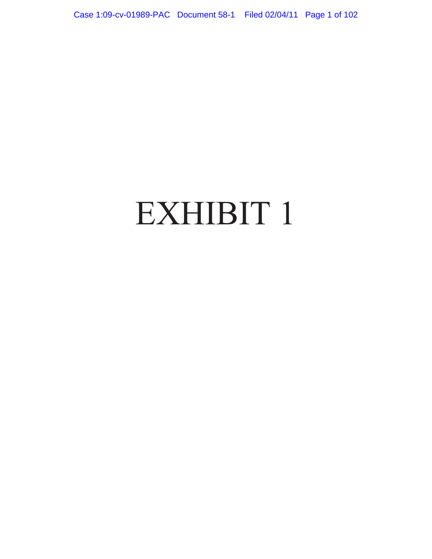# EXHIBIT 1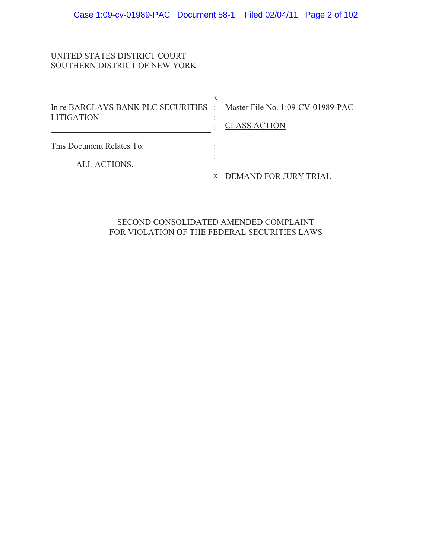# UNITED STATES DISTRICT COURT SOUTHERN DISTRICT OF NEW YORK

| In re BARCLAYS BANK PLC SECURITIES : Master File No. 1:09-CV-01989-PAC |                       |
|------------------------------------------------------------------------|-----------------------|
| <b>LITIGATION</b>                                                      | <b>CLASS ACTION</b>   |
|                                                                        |                       |
| This Document Relates To:                                              |                       |
|                                                                        |                       |
| ALL ACTIONS.                                                           |                       |
|                                                                        | DEMAND FOR JURY TRIAL |

SECOND CONSOLIDATED AMENDED COMPLAINT FOR VIOLATION OF THE FEDERAL SECURITIES LAWS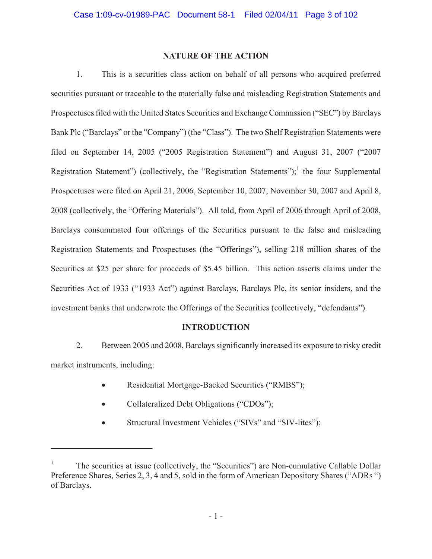# **NATURE OF THE ACTION**

1. This is a securities class action on behalf of all persons who acquired preferred securities pursuant or traceable to the materially false and misleading Registration Statements and Prospectuses filed with the United States Securities and Exchange Commission ("SEC") by Barclays Bank Plc ("Barclays" or the "Company") (the "Class"). The two Shelf Registration Statements were filed on September 14, 2005 ("2005 Registration Statement") and August 31, 2007 ("2007 Registration Statement") (collectively, the "Registration Statements");<sup>1</sup> the four Supplemental Prospectuses were filed on April 21, 2006, September 10, 2007, November 30, 2007 and April 8, 2008 (collectively, the "Offering Materials"). All told, from April of 2006 through April of 2008, Barclays consummated four offerings of the Securities pursuant to the false and misleading Registration Statements and Prospectuses (the "Offerings"), selling 218 million shares of the Securities at \$25 per share for proceeds of \$5.45 billion. This action asserts claims under the Securities Act of 1933 ("1933 Act") against Barclays, Barclays Plc, its senior insiders, and the investment banks that underwrote the Offerings of the Securities (collectively, "defendants").

# **INTRODUCTION**

2. Between 2005 and 2008, Barclays significantly increased its exposure to risky credit market instruments, including:

- -Residential Mortgage-Backed Securities ("RMBS");
- -Collateralized Debt Obligations ("CDOs");

 $\overline{a}$ 

 $\bullet$ Structural Investment Vehicles ("SIVs" and "SIV-lites");

<sup>1</sup> The securities at issue (collectively, the "Securities") are Non-cumulative Callable Dollar Preference Shares, Series 2, 3, 4 and 5, sold in the form of American Depository Shares ("ADRs ") of Barclays.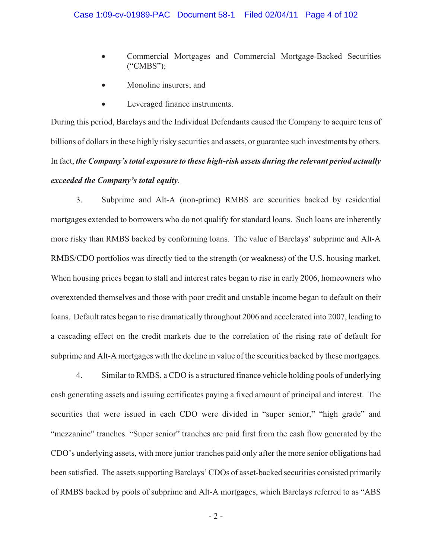- - Commercial Mortgages and Commercial Mortgage-Backed Securities ("CMBS");
- -Monoline insurers; and
- -Leveraged finance instruments.

During this period, Barclays and the Individual Defendants caused the Company to acquire tens of billions of dollars in these highly risky securities and assets, or guarantee such investments by others. In fact, *the Company's total exposure to these high-risk assets during the relevant period actually exceeded the Company's total equity*.

3. Subprime and Alt-A (non-prime) RMBS are securities backed by residential mortgages extended to borrowers who do not qualify for standard loans. Such loans are inherently more risky than RMBS backed by conforming loans. The value of Barclays' subprime and Alt-A RMBS/CDO portfolios was directly tied to the strength (or weakness) of the U.S. housing market. When housing prices began to stall and interest rates began to rise in early 2006, homeowners who overextended themselves and those with poor credit and unstable income began to default on their loans. Default rates began to rise dramatically throughout 2006 and accelerated into 2007, leading to a cascading effect on the credit markets due to the correlation of the rising rate of default for subprime and Alt-A mortgages with the decline in value of the securities backed by these mortgages.

4. Similar to RMBS, a CDO is a structured finance vehicle holding pools of underlying cash generating assets and issuing certificates paying a fixed amount of principal and interest. The securities that were issued in each CDO were divided in "super senior," "high grade" and "mezzanine" tranches. "Super senior" tranches are paid first from the cash flow generated by the CDO's underlying assets, with more junior tranches paid only after the more senior obligations had been satisfied. The assets supporting Barclays' CDOs of asset-backed securities consisted primarily of RMBS backed by pools of subprime and Alt-A mortgages, which Barclays referred to as "ABS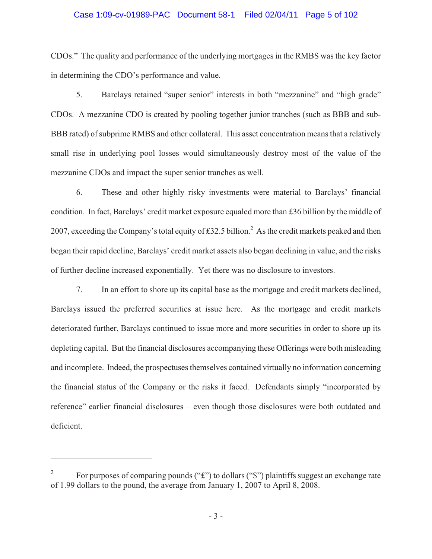# Case 1:09-cv-01989-PAC Document 58-1 Filed 02/04/11 Page 5 of 102

CDOs." The quality and performance of the underlying mortgages in the RMBS was the key factor in determining the CDO's performance and value.

5. Barclays retained "super senior" interests in both "mezzanine" and "high grade" CDOs. A mezzanine CDO is created by pooling together junior tranches (such as BBB and sub-BBB rated) of subprime RMBS and other collateral. This asset concentration means that a relatively small rise in underlying pool losses would simultaneously destroy most of the value of the mezzanine CDOs and impact the super senior tranches as well.

6. These and other highly risky investments were material to Barclays' financial condition. In fact, Barclays' credit market exposure equaled more than £36 billion by the middle of 2007, exceeding the Company's total equity of £32.5 billion.<sup>2</sup> As the credit markets peaked and then began their rapid decline, Barclays' credit market assets also began declining in value, and the risks of further decline increased exponentially. Yet there was no disclosure to investors.

7. In an effort to shore up its capital base as the mortgage and credit markets declined, Barclays issued the preferred securities at issue here. As the mortgage and credit markets deteriorated further, Barclays continued to issue more and more securities in order to shore up its depleting capital. But the financial disclosures accompanying these Offerings were both misleading and incomplete. Indeed, the prospectuses themselves contained virtually no information concerning the financial status of the Company or the risks it faced. Defendants simply "incorporated by reference" earlier financial disclosures – even though those disclosures were both outdated and deficient.

 $\overline{a}$ 

<sup>2</sup> For purposes of comparing pounds (" $\mathbf{f}$ ") to dollars (" $\mathbf{f}$ ") plaintiffs suggest an exchange rate of 1.99 dollars to the pound, the average from January 1, 2007 to April 8, 2008.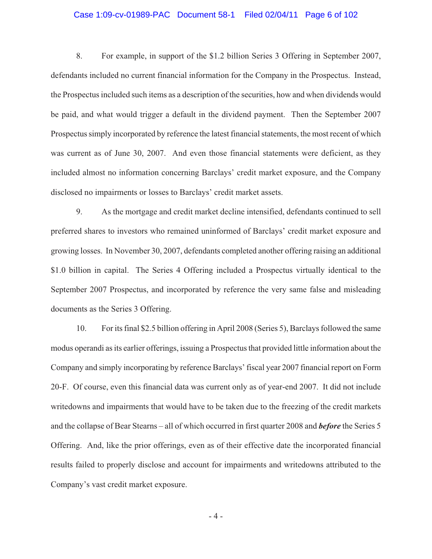# Case 1:09-cv-01989-PAC Document 58-1 Filed 02/04/11 Page 6 of 102

8. For example, in support of the \$1.2 billion Series 3 Offering in September 2007, defendants included no current financial information for the Company in the Prospectus. Instead, the Prospectus included such items as a description of the securities, how and when dividends would be paid, and what would trigger a default in the dividend payment. Then the September 2007 Prospectus simply incorporated by reference the latest financial statements, the most recent of which was current as of June 30, 2007. And even those financial statements were deficient, as they included almost no information concerning Barclays' credit market exposure, and the Company disclosed no impairments or losses to Barclays' credit market assets.

9. As the mortgage and credit market decline intensified, defendants continued to sell preferred shares to investors who remained uninformed of Barclays' credit market exposure and growing losses. In November 30, 2007, defendants completed another offering raising an additional \$1.0 billion in capital. The Series 4 Offering included a Prospectus virtually identical to the September 2007 Prospectus, and incorporated by reference the very same false and misleading documents as the Series 3 Offering.

10. For its final \$2.5 billion offering in April 2008 (Series 5), Barclays followed the same modus operandi as its earlier offerings, issuing a Prospectus that provided little information about the Company and simply incorporating by reference Barclays' fiscal year 2007 financial report on Form 20-F. Of course, even this financial data was current only as of year-end 2007. It did not include writedowns and impairments that would have to be taken due to the freezing of the credit markets and the collapse of Bear Stearns – all of which occurred in first quarter 2008 and *before* the Series 5 Offering. And, like the prior offerings, even as of their effective date the incorporated financial results failed to properly disclose and account for impairments and writedowns attributed to the Company's vast credit market exposure.

- 4 -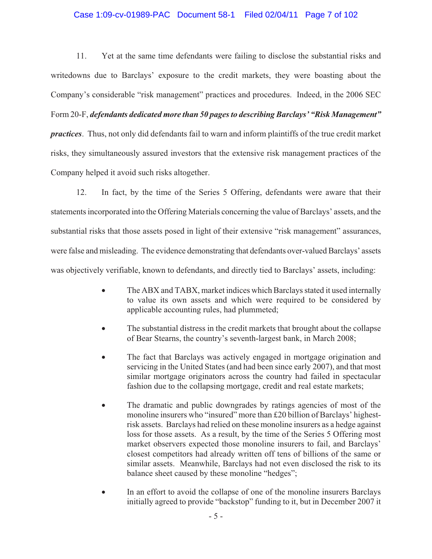# Case 1:09-cv-01989-PAC Document 58-1 Filed 02/04/11 Page 7 of 102

11. Yet at the same time defendants were failing to disclose the substantial risks and writedowns due to Barclays' exposure to the credit markets, they were boasting about the Company's considerable "risk management" practices and procedures. Indeed, in the 2006 SEC Form 20-F, *defendants dedicated more than 50 pages to describing Barclays' "Risk Management" practices*. Thus, not only did defendants fail to warn and inform plaintiffs of the true credit market risks, they simultaneously assured investors that the extensive risk management practices of the Company helped it avoid such risks altogether.

12. In fact, by the time of the Series 5 Offering, defendants were aware that their statements incorporated into the Offering Materials concerning the value of Barclays' assets, and the substantial risks that those assets posed in light of their extensive "risk management" assurances, were false and misleading. The evidence demonstrating that defendants over-valued Barclays' assets was objectively verifiable, known to defendants, and directly tied to Barclays' assets, including:

- - The ABX and TABX, market indices which Barclays stated it used internally to value its own assets and which were required to be considered by applicable accounting rules, had plummeted;
- - The substantial distress in the credit markets that brought about the collapse of Bear Stearns, the country's seventh-largest bank, in March 2008;
- - The fact that Barclays was actively engaged in mortgage origination and servicing in the United States (and had been since early 2007), and that most similar mortgage originators across the country had failed in spectacular fashion due to the collapsing mortgage, credit and real estate markets;
- - The dramatic and public downgrades by ratings agencies of most of the monoline insurers who "insured" more than £20 billion of Barclays' highestrisk assets. Barclays had relied on these monoline insurers as a hedge against loss for those assets. As a result, by the time of the Series 5 Offering most market observers expected those monoline insurers to fail, and Barclays' closest competitors had already written off tens of billions of the same or similar assets. Meanwhile, Barclays had not even disclosed the risk to its balance sheet caused by these monoline "hedges";
- - In an effort to avoid the collapse of one of the monoline insurers Barclays initially agreed to provide "backstop" funding to it, but in December 2007 it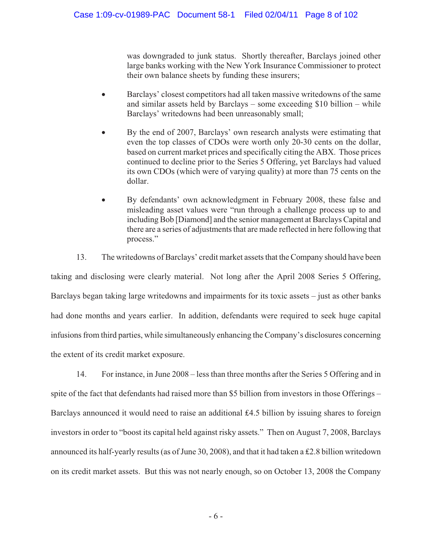was downgraded to junk status. Shortly thereafter, Barclays joined other large banks working with the New York Insurance Commissioner to protect their own balance sheets by funding these insurers;

- $\bullet$  Barclays' closest competitors had all taken massive writedowns of the same and similar assets held by Barclays – some exceeding \$10 billion – while Barclays' writedowns had been unreasonably small;
- - By the end of 2007, Barclays' own research analysts were estimating that even the top classes of CDOs were worth only 20-30 cents on the dollar, based on current market prices and specifically citing the ABX. Those prices continued to decline prior to the Series 5 Offering, yet Barclays had valued its own CDOs (which were of varying quality) at more than 75 cents on the dollar.
- $\bullet$  By defendants' own acknowledgment in February 2008, these false and misleading asset values were "run through a challenge process up to and including Bob [Diamond] and the senior management at Barclays Capital and there are a series of adjustments that are made reflected in here following that process."

13. The writedowns of Barclays' credit market assets that the Company should have been taking and disclosing were clearly material. Not long after the April 2008 Series 5 Offering, Barclays began taking large writedowns and impairments for its toxic assets – just as other banks had done months and years earlier. In addition, defendants were required to seek huge capital infusions from third parties, while simultaneously enhancing the Company's disclosures concerning the extent of its credit market exposure.

14. For instance, in June 2008 – less than three months after the Series 5 Offering and in spite of the fact that defendants had raised more than \$5 billion from investors in those Offerings – Barclays announced it would need to raise an additional  $£4.5$  billion by issuing shares to foreign investors in order to "boost its capital held against risky assets." Then on August 7, 2008, Barclays announced its half-yearly results (as of June 30, 2008), and that it had taken a £2.8 billion writedown on its credit market assets. But this was not nearly enough, so on October 13, 2008 the Company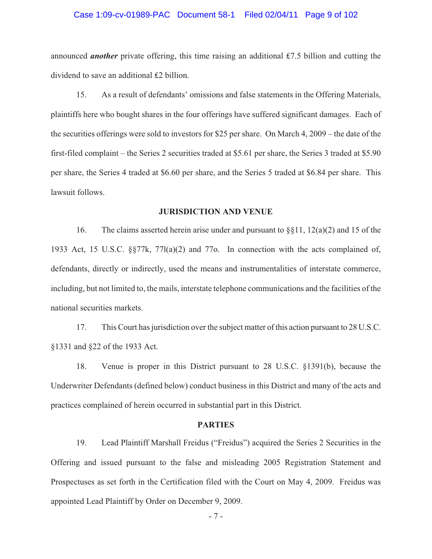# Case 1:09-cv-01989-PAC Document 58-1 Filed 02/04/11 Page 9 of 102

announced *another* private offering, this time raising an additional £7.5 billion and cutting the dividend to save an additional  $£2$  billion.

15. As a result of defendants' omissions and false statements in the Offering Materials, plaintiffs here who bought shares in the four offerings have suffered significant damages. Each of the securities offerings were sold to investors for \$25 per share. On March 4, 2009 – the date of the first-filed complaint – the Series 2 securities traded at \$5.61 per share, the Series 3 traded at \$5.90 per share, the Series 4 traded at \$6.60 per share, and the Series 5 traded at \$6.84 per share. This lawsuit follows.

# **JURISDICTION AND VENUE**

16. The claims asserted herein arise under and pursuant to §§11, 12(a)(2) and 15 of the 1933 Act, 15 U.S.C. §§77k, 77l(a)(2) and 77o. In connection with the acts complained of, defendants, directly or indirectly, used the means and instrumentalities of interstate commerce, including, but not limited to, the mails, interstate telephone communications and the facilities of the national securities markets.

17. This Court has jurisdiction over the subject matter of this action pursuant to 28 U.S.C. §1331 and §22 of the 1933 Act.

18. Venue is proper in this District pursuant to 28 U.S.C. §1391(b), because the Underwriter Defendants (defined below) conduct business in this District and many of the acts and practices complained of herein occurred in substantial part in this District.

# **PARTIES**

19. Lead Plaintiff Marshall Freidus ("Freidus") acquired the Series 2 Securities in the Offering and issued pursuant to the false and misleading 2005 Registration Statement and Prospectuses as set forth in the Certification filed with the Court on May 4, 2009. Freidus was appointed Lead Plaintiff by Order on December 9, 2009.

- 7 -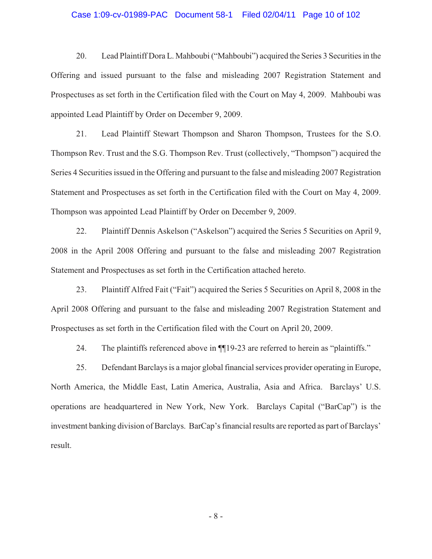# Case 1:09-cv-01989-PAC Document 58-1 Filed 02/04/11 Page 10 of 102

20. Lead Plaintiff Dora L. Mahboubi ("Mahboubi") acquired the Series 3 Securities in the Offering and issued pursuant to the false and misleading 2007 Registration Statement and Prospectuses as set forth in the Certification filed with the Court on May 4, 2009. Mahboubi was appointed Lead Plaintiff by Order on December 9, 2009.

21. Lead Plaintiff Stewart Thompson and Sharon Thompson, Trustees for the S.O. Thompson Rev. Trust and the S.G. Thompson Rev. Trust (collectively, "Thompson") acquired the Series 4 Securities issued in the Offering and pursuant to the false and misleading 2007 Registration Statement and Prospectuses as set forth in the Certification filed with the Court on May 4, 2009. Thompson was appointed Lead Plaintiff by Order on December 9, 2009.

22. Plaintiff Dennis Askelson ("Askelson") acquired the Series 5 Securities on April 9, 2008 in the April 2008 Offering and pursuant to the false and misleading 2007 Registration Statement and Prospectuses as set forth in the Certification attached hereto.

23. Plaintiff Alfred Fait ("Fait") acquired the Series 5 Securities on April 8, 2008 in the April 2008 Offering and pursuant to the false and misleading 2007 Registration Statement and Prospectuses as set forth in the Certification filed with the Court on April 20, 2009.

24. The plaintiffs referenced above in  $\P$ [19-23 are referred to herein as "plaintiffs."

25. Defendant Barclays is a major global financial services provider operating in Europe, North America, the Middle East, Latin America, Australia, Asia and Africa. Barclays' U.S. operations are headquartered in New York, New York. Barclays Capital ("BarCap") is the investment banking division of Barclays. BarCap's financial results are reported as part of Barclays' result.

- 8 -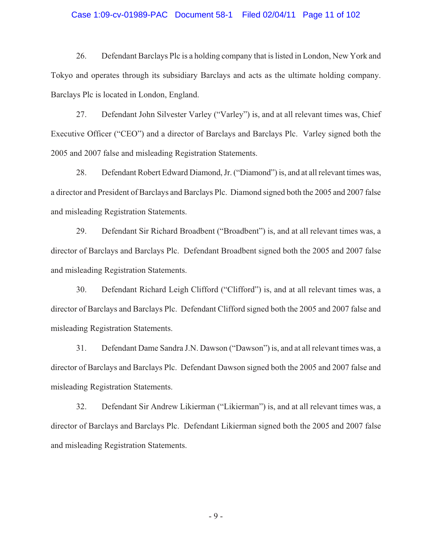# Case 1:09-cv-01989-PAC Document 58-1 Filed 02/04/11 Page 11 of 102

26. Defendant Barclays Plc is a holding company that is listed in London, New York and Tokyo and operates through its subsidiary Barclays and acts as the ultimate holding company. Barclays Plc is located in London, England.

27. Defendant John Silvester Varley ("Varley") is, and at all relevant times was, Chief Executive Officer ("CEO") and a director of Barclays and Barclays Plc. Varley signed both the 2005 and 2007 false and misleading Registration Statements.

28. Defendant Robert Edward Diamond, Jr. ("Diamond") is, and at all relevant times was, a director and President of Barclays and Barclays Plc. Diamond signed both the 2005 and 2007 false and misleading Registration Statements.

29. Defendant Sir Richard Broadbent ("Broadbent") is, and at all relevant times was, a director of Barclays and Barclays Plc. Defendant Broadbent signed both the 2005 and 2007 false and misleading Registration Statements.

30. Defendant Richard Leigh Clifford ("Clifford") is, and at all relevant times was, a director of Barclays and Barclays Plc. Defendant Clifford signed both the 2005 and 2007 false and misleading Registration Statements.

31. Defendant Dame Sandra J.N. Dawson ("Dawson") is, and at all relevant times was, a director of Barclays and Barclays Plc. Defendant Dawson signed both the 2005 and 2007 false and misleading Registration Statements.

32. Defendant Sir Andrew Likierman ("Likierman") is, and at all relevant times was, a director of Barclays and Barclays Plc. Defendant Likierman signed both the 2005 and 2007 false and misleading Registration Statements.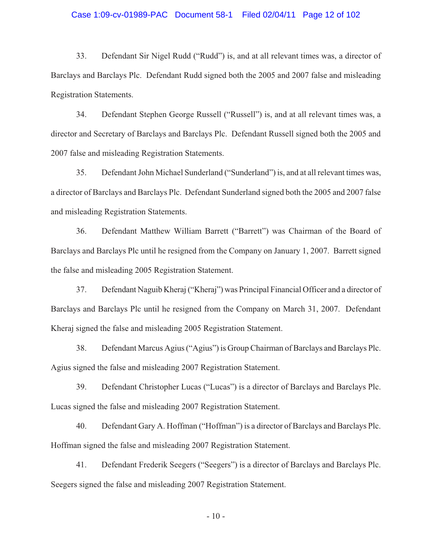# Case 1:09-cv-01989-PAC Document 58-1 Filed 02/04/11 Page 12 of 102

33. Defendant Sir Nigel Rudd ("Rudd") is, and at all relevant times was, a director of Barclays and Barclays Plc. Defendant Rudd signed both the 2005 and 2007 false and misleading Registration Statements.

34. Defendant Stephen George Russell ("Russell") is, and at all relevant times was, a director and Secretary of Barclays and Barclays Plc. Defendant Russell signed both the 2005 and 2007 false and misleading Registration Statements.

35. Defendant John Michael Sunderland ("Sunderland") is, and at all relevant times was, a director of Barclays and Barclays Plc. Defendant Sunderland signed both the 2005 and 2007 false and misleading Registration Statements.

36. Defendant Matthew William Barrett ("Barrett") was Chairman of the Board of Barclays and Barclays Plc until he resigned from the Company on January 1, 2007. Barrett signed the false and misleading 2005 Registration Statement.

37. Defendant Naguib Kheraj ("Kheraj") was Principal Financial Officer and a director of Barclays and Barclays Plc until he resigned from the Company on March 31, 2007. Defendant Kheraj signed the false and misleading 2005 Registration Statement.

38. Defendant Marcus Agius ("Agius") is Group Chairman of Barclays and Barclays Plc. Agius signed the false and misleading 2007 Registration Statement.

39. Defendant Christopher Lucas ("Lucas") is a director of Barclays and Barclays Plc. Lucas signed the false and misleading 2007 Registration Statement.

40. Defendant Gary A. Hoffman ("Hoffman") is a director of Barclays and Barclays Plc. Hoffman signed the false and misleading 2007 Registration Statement.

41. Defendant Frederik Seegers ("Seegers") is a director of Barclays and Barclays Plc. Seegers signed the false and misleading 2007 Registration Statement.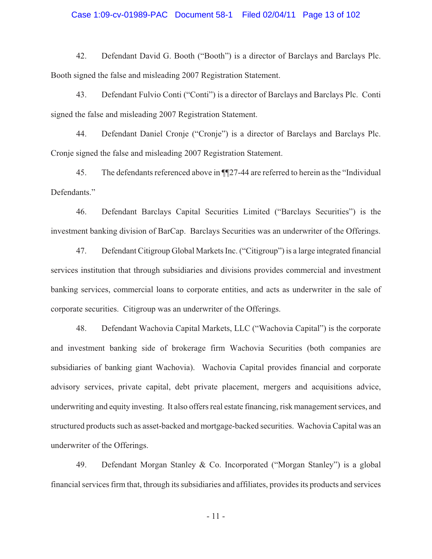# Case 1:09-cv-01989-PAC Document 58-1 Filed 02/04/11 Page 13 of 102

42. Defendant David G. Booth ("Booth") is a director of Barclays and Barclays Plc. Booth signed the false and misleading 2007 Registration Statement.

43. Defendant Fulvio Conti ("Conti") is a director of Barclays and Barclays Plc. Conti signed the false and misleading 2007 Registration Statement.

44. Defendant Daniel Cronje ("Cronje") is a director of Barclays and Barclays Plc. Cronje signed the false and misleading 2007 Registration Statement.

45. The defendants referenced above in ¶¶27-44 are referred to herein as the "Individual Defendants."

46. Defendant Barclays Capital Securities Limited ("Barclays Securities") is the investment banking division of BarCap. Barclays Securities was an underwriter of the Offerings.

47. Defendant Citigroup Global Markets Inc. ("Citigroup") is a large integrated financial services institution that through subsidiaries and divisions provides commercial and investment banking services, commercial loans to corporate entities, and acts as underwriter in the sale of corporate securities. Citigroup was an underwriter of the Offerings.

48. Defendant Wachovia Capital Markets, LLC ("Wachovia Capital") is the corporate and investment banking side of brokerage firm Wachovia Securities (both companies are subsidiaries of banking giant Wachovia). Wachovia Capital provides financial and corporate advisory services, private capital, debt private placement, mergers and acquisitions advice, underwriting and equity investing. It also offers real estate financing, risk management services, and structured products such as asset-backed and mortgage-backed securities. Wachovia Capital was an underwriter of the Offerings.

49. Defendant Morgan Stanley & Co. Incorporated ("Morgan Stanley") is a global financial services firm that, through its subsidiaries and affiliates, provides its products and services

- 11 -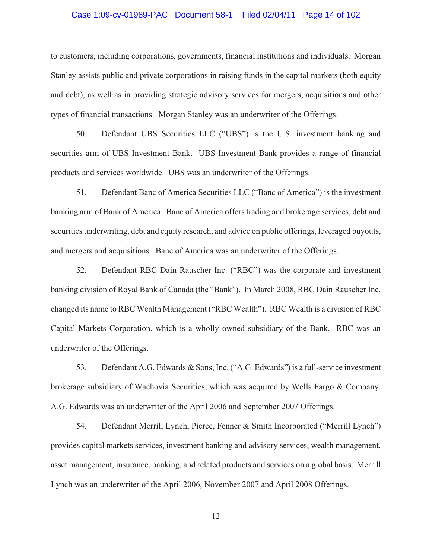# Case 1:09-cv-01989-PAC Document 58-1 Filed 02/04/11 Page 14 of 102

to customers, including corporations, governments, financial institutions and individuals. Morgan Stanley assists public and private corporations in raising funds in the capital markets (both equity and debt), as well as in providing strategic advisory services for mergers, acquisitions and other types of financial transactions. Morgan Stanley was an underwriter of the Offerings.

50. Defendant UBS Securities LLC ("UBS") is the U.S. investment banking and securities arm of UBS Investment Bank. UBS Investment Bank provides a range of financial products and services worldwide. UBS was an underwriter of the Offerings.

51. Defendant Banc of America Securities LLC ("Banc of America") is the investment banking arm of Bank of America. Banc of America offers trading and brokerage services, debt and securities underwriting, debt and equity research, and advice on public offerings, leveraged buyouts, and mergers and acquisitions. Banc of America was an underwriter of the Offerings.

52. Defendant RBC Dain Rauscher Inc. ("RBC") was the corporate and investment banking division of Royal Bank of Canada (the "Bank"). In March 2008, RBC Dain Rauscher Inc. changed its name to RBC Wealth Management ("RBC Wealth"). RBC Wealth is a division of RBC Capital Markets Corporation, which is a wholly owned subsidiary of the Bank. RBC was an underwriter of the Offerings.

53. Defendant A.G. Edwards & Sons, Inc. ("A.G. Edwards") is a full-service investment brokerage subsidiary of Wachovia Securities, which was acquired by Wells Fargo & Company. A.G. Edwards was an underwriter of the April 2006 and September 2007 Offerings.

54. Defendant Merrill Lynch, Pierce, Fenner & Smith Incorporated ("Merrill Lynch") provides capital markets services, investment banking and advisory services, wealth management, asset management, insurance, banking, and related products and services on a global basis. Merrill Lynch was an underwriter of the April 2006, November 2007 and April 2008 Offerings.

- 12 -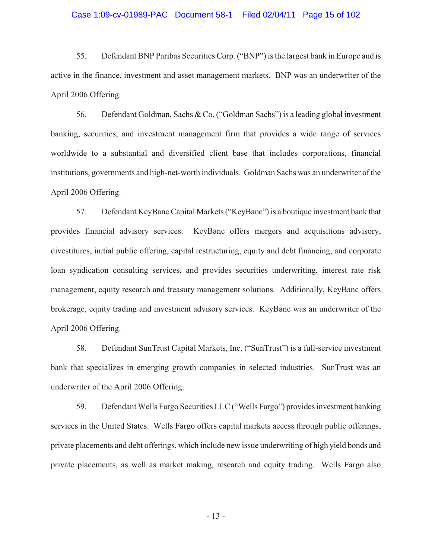# Case 1:09-cv-01989-PAC Document 58-1 Filed 02/04/11 Page 15 of 102

55. Defendant BNP Paribas Securities Corp. ("BNP") is the largest bank in Europe and is active in the finance, investment and asset management markets. BNP was an underwriter of the April 2006 Offering.

56. Defendant Goldman, Sachs & Co. ("Goldman Sachs") is a leading global investment banking, securities, and investment management firm that provides a wide range of services worldwide to a substantial and diversified client base that includes corporations, financial institutions, governments and high-net-worth individuals. Goldman Sachs was an underwriter of the April 2006 Offering.

57. Defendant KeyBanc Capital Markets ("KeyBanc") is a boutique investment bank that provides financial advisory services. KeyBanc offers mergers and acquisitions advisory, divestitures, initial public offering, capital restructuring, equity and debt financing, and corporate loan syndication consulting services, and provides securities underwriting, interest rate risk management, equity research and treasury management solutions. Additionally, KeyBanc offers brokerage, equity trading and investment advisory services. KeyBanc was an underwriter of the April 2006 Offering.

58. Defendant SunTrust Capital Markets, Inc. ("SunTrust") is a full-service investment bank that specializes in emerging growth companies in selected industries. SunTrust was an underwriter of the April 2006 Offering.

59. Defendant Wells Fargo Securities LLC ("Wells Fargo") provides investment banking services in the United States. Wells Fargo offers capital markets access through public offerings, private placements and debt offerings, which include new issue underwriting of high yield bonds and private placements, as well as market making, research and equity trading. Wells Fargo also

- 13 -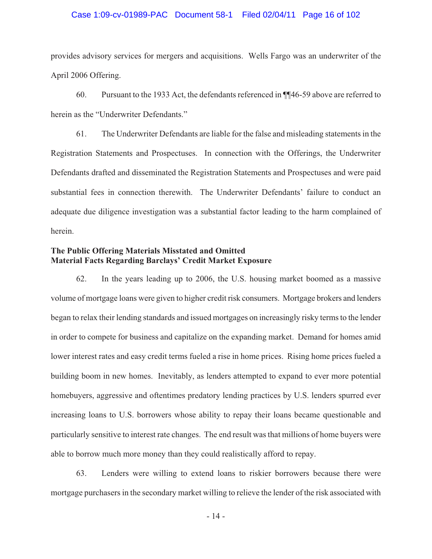# Case 1:09-cv-01989-PAC Document 58-1 Filed 02/04/11 Page 16 of 102

provides advisory services for mergers and acquisitions. Wells Fargo was an underwriter of the April 2006 Offering.

60. Pursuant to the 1933 Act, the defendants referenced in ¶¶46-59 above are referred to herein as the "Underwriter Defendants."

61. The Underwriter Defendants are liable for the false and misleading statements in the Registration Statements and Prospectuses. In connection with the Offerings, the Underwriter Defendants drafted and disseminated the Registration Statements and Prospectuses and were paid substantial fees in connection therewith. The Underwriter Defendants' failure to conduct an adequate due diligence investigation was a substantial factor leading to the harm complained of herein.

# **The Public Offering Materials Misstated and Omitted Material Facts Regarding Barclays' Credit Market Exposure**

62. In the years leading up to 2006, the U.S. housing market boomed as a massive volume of mortgage loans were given to higher credit risk consumers. Mortgage brokers and lenders began to relax their lending standards and issued mortgages on increasingly risky terms to the lender in order to compete for business and capitalize on the expanding market. Demand for homes amid lower interest rates and easy credit terms fueled a rise in home prices. Rising home prices fueled a building boom in new homes. Inevitably, as lenders attempted to expand to ever more potential homebuyers, aggressive and oftentimes predatory lending practices by U.S. lenders spurred ever increasing loans to U.S. borrowers whose ability to repay their loans became questionable and particularly sensitive to interest rate changes. The end result was that millions of home buyers were able to borrow much more money than they could realistically afford to repay.

63. Lenders were willing to extend loans to riskier borrowers because there were mortgage purchasers in the secondary market willing to relieve the lender of the risk associated with

- 14 -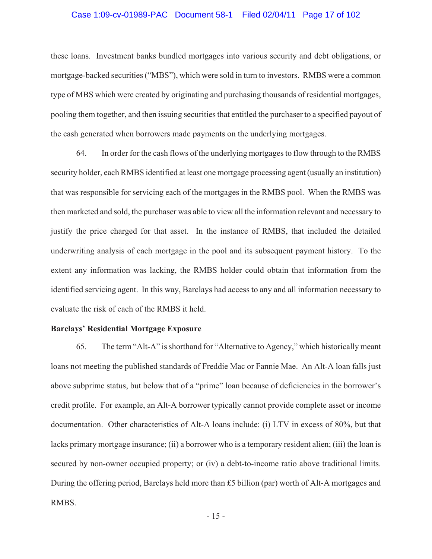# Case 1:09-cv-01989-PAC Document 58-1 Filed 02/04/11 Page 17 of 102

these loans. Investment banks bundled mortgages into various security and debt obligations, or mortgage-backed securities ("MBS"), which were sold in turn to investors. RMBS were a common type of MBS which were created by originating and purchasing thousands of residential mortgages, pooling them together, and then issuing securities that entitled the purchaser to a specified payout of the cash generated when borrowers made payments on the underlying mortgages.

64. In order for the cash flows of the underlying mortgages to flow through to the RMBS security holder, each RMBS identified at least one mortgage processing agent (usually an institution) that was responsible for servicing each of the mortgages in the RMBS pool. When the RMBS was then marketed and sold, the purchaser was able to view all the information relevant and necessary to justify the price charged for that asset. In the instance of RMBS, that included the detailed underwriting analysis of each mortgage in the pool and its subsequent payment history. To the extent any information was lacking, the RMBS holder could obtain that information from the identified servicing agent. In this way, Barclays had access to any and all information necessary to evaluate the risk of each of the RMBS it held.

# **Barclays' Residential Mortgage Exposure**

65. The term "Alt-A" is shorthand for "Alternative to Agency," which historically meant loans not meeting the published standards of Freddie Mac or Fannie Mae. An Alt-A loan falls just above subprime status, but below that of a "prime" loan because of deficiencies in the borrower's credit profile. For example, an Alt-A borrower typically cannot provide complete asset or income documentation. Other characteristics of Alt-A loans include: (i) LTV in excess of 80%, but that lacks primary mortgage insurance; (ii) a borrower who is a temporary resident alien; (iii) the loan is secured by non-owner occupied property; or (iv) a debt-to-income ratio above traditional limits. During the offering period, Barclays held more than  $£5$  billion (par) worth of Alt-A mortgages and RMBS.

- 15 -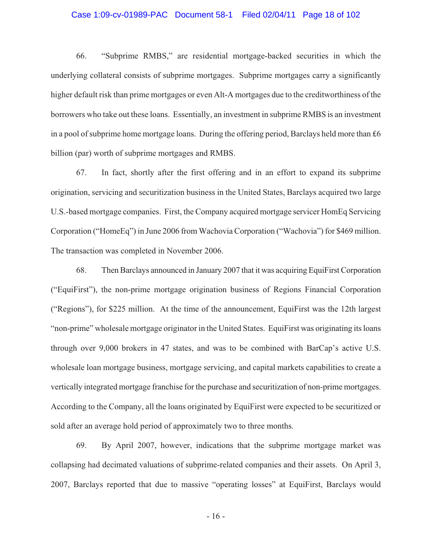# Case 1:09-cv-01989-PAC Document 58-1 Filed 02/04/11 Page 18 of 102

66. "Subprime RMBS," are residential mortgage-backed securities in which the underlying collateral consists of subprime mortgages. Subprime mortgages carry a significantly higher default risk than prime mortgages or even Alt-A mortgages due to the creditworthiness of the borrowers who take out these loans. Essentially, an investment in subprime RMBS is an investment in a pool of subprime home mortgage loans. During the offering period, Barclays held more than  $£6$ billion (par) worth of subprime mortgages and RMBS.

67. In fact, shortly after the first offering and in an effort to expand its subprime origination, servicing and securitization business in the United States, Barclays acquired two large U.S.-based mortgage companies. First, the Company acquired mortgage servicer HomEq Servicing Corporation ("HomeEq") in June 2006 from Wachovia Corporation ("Wachovia") for \$469 million. The transaction was completed in November 2006.

68. Then Barclays announced in January 2007 that it was acquiring EquiFirst Corporation ("EquiFirst"), the non-prime mortgage origination business of Regions Financial Corporation ("Regions"), for \$225 million. At the time of the announcement, EquiFirst was the 12th largest "non-prime" wholesale mortgage originator in the United States. EquiFirst was originating its loans through over 9,000 brokers in 47 states, and was to be combined with BarCap's active U.S. wholesale loan mortgage business, mortgage servicing, and capital markets capabilities to create a vertically integrated mortgage franchise for the purchase and securitization of non-prime mortgages. According to the Company, all the loans originated by EquiFirst were expected to be securitized or sold after an average hold period of approximately two to three months.

69. By April 2007, however, indications that the subprime mortgage market was collapsing had decimated valuations of subprime-related companies and their assets. On April 3, 2007, Barclays reported that due to massive "operating losses" at EquiFirst, Barclays would

- 16 -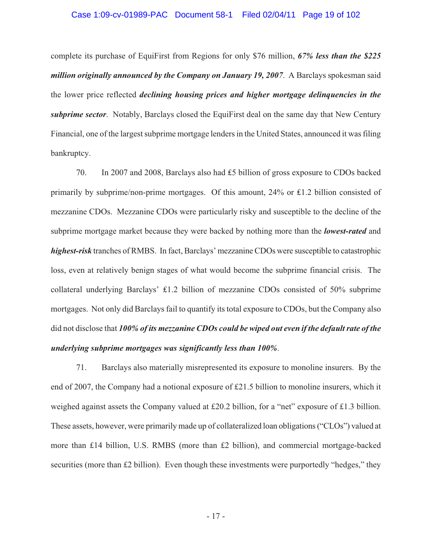complete its purchase of EquiFirst from Regions for only \$76 million, *67% less than the \$225 million originally announced by the Company on January 19, 2007*. A Barclays spokesman said the lower price reflected *declining housing prices and higher mortgage delinquencies in the subprime sector*. Notably, Barclays closed the EquiFirst deal on the same day that New Century Financial, one of the largest subprime mortgage lenders in the United States, announced it was filing bankruptcy.

70. In 2007 and 2008, Barclays also had  $£5$  billion of gross exposure to CDOs backed primarily by subprime/non-prime mortgages. Of this amount,  $24\%$  or £1.2 billion consisted of mezzanine CDOs. Mezzanine CDOs were particularly risky and susceptible to the decline of the subprime mortgage market because they were backed by nothing more than the *lowest-rated* and *highest-risk* tranches of RMBS. In fact, Barclays' mezzanine CDOs were susceptible to catastrophic loss, even at relatively benign stages of what would become the subprime financial crisis. The collateral underlying Barclays'  $£1.2$  billion of mezzanine CDOs consisted of 50% subprime mortgages. Not only did Barclays fail to quantify its total exposure to CDOs, but the Company also did not disclose that *100% of its mezzanine CDOs could be wiped out even if the default rate of the underlying subprime mortgages was significantly less than 100%*.

71. Barclays also materially misrepresented its exposure to monoline insurers. By the end of 2007, the Company had a notional exposure of £21.5 billion to monoline insurers, which it weighed against assets the Company valued at £20.2 billion, for a "net" exposure of £1.3 billion. These assets, however, were primarily made up of collateralized loan obligations ("CLOs") valued at more than £14 billion, U.S. RMBS (more than £2 billion), and commercial mortgage-backed securities (more than £2 billion). Even though these investments were purportedly "hedges," they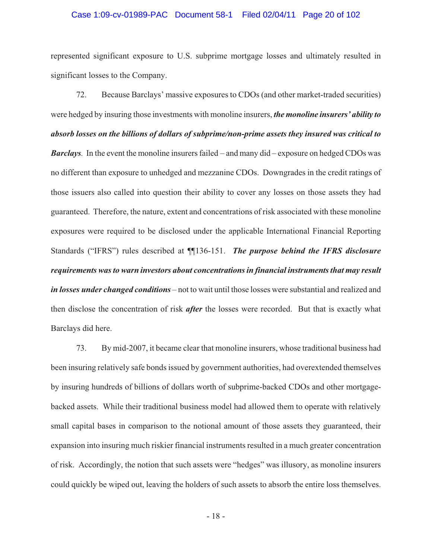# Case 1:09-cv-01989-PAC Document 58-1 Filed 02/04/11 Page 20 of 102

represented significant exposure to U.S. subprime mortgage losses and ultimately resulted in significant losses to the Company.

72. Because Barclays' massive exposures to CDOs (and other market-traded securities) were hedged by insuring those investments with monoline insurers, *the monoline insurers' ability to absorb losses on the billions of dollars of subprime/non-prime assets they insured was critical to Barclays.* In the event the monoline insurers failed – and many did – exposure on hedged CDOs was no different than exposure to unhedged and mezzanine CDOs. Downgrades in the credit ratings of those issuers also called into question their ability to cover any losses on those assets they had guaranteed. Therefore, the nature, extent and concentrations of risk associated with these monoline exposures were required to be disclosed under the applicable International Financial Reporting Standards ("IFRS") rules described at ¶¶136-151. *The purpose behind the IFRS disclosure requirements was to warn investors about concentrations in financial instruments that may result in losses under changed conditions* – not to wait until those losses were substantial and realized and then disclose the concentration of risk *after* the losses were recorded. But that is exactly what Barclays did here.

73. By mid-2007, it became clear that monoline insurers, whose traditional business had been insuring relatively safe bonds issued by government authorities, had overextended themselves by insuring hundreds of billions of dollars worth of subprime-backed CDOs and other mortgagebacked assets. While their traditional business model had allowed them to operate with relatively small capital bases in comparison to the notional amount of those assets they guaranteed, their expansion into insuring much riskier financial instruments resulted in a much greater concentration of risk. Accordingly, the notion that such assets were "hedges" was illusory, as monoline insurers could quickly be wiped out, leaving the holders of such assets to absorb the entire loss themselves.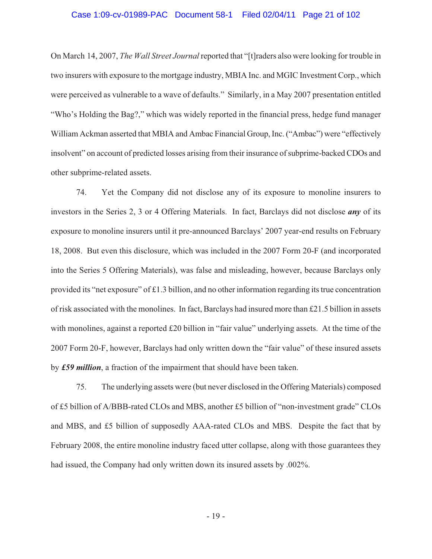# Case 1:09-cv-01989-PAC Document 58-1 Filed 02/04/11 Page 21 of 102

On March 14, 2007, *The Wall Street Journal* reported that "[t]raders also were looking for trouble in two insurers with exposure to the mortgage industry, MBIA Inc. and MGIC Investment Corp., which were perceived as vulnerable to a wave of defaults." Similarly, in a May 2007 presentation entitled "Who's Holding the Bag?," which was widely reported in the financial press, hedge fund manager William Ackman asserted that MBIA and Ambac Financial Group, Inc. ("Ambac") were "effectively insolvent" on account of predicted losses arising from their insurance of subprime-backed CDOs and other subprime-related assets.

74. Yet the Company did not disclose any of its exposure to monoline insurers to investors in the Series 2, 3 or 4 Offering Materials. In fact, Barclays did not disclose *any* of its exposure to monoline insurers until it pre-announced Barclays' 2007 year-end results on February 18, 2008. But even this disclosure, which was included in the 2007 Form 20-F (and incorporated into the Series 5 Offering Materials), was false and misleading, however, because Barclays only provided its "net exposure" of £1.3 billion, and no other information regarding its true concentration of risk associated with the monolines. In fact, Barclays had insured more than £21.5 billion in assets with monolines, against a reported £20 billion in "fair value" underlying assets. At the time of the 2007 Form 20-F, however, Barclays had only written down the "fair value" of these insured assets by *£59 million*, a fraction of the impairment that should have been taken.

75. The underlying assets were (but never disclosed in the Offering Materials) composed of £5 billion of A/BBB-rated CLOs and MBS, another £5 billion of "non-investment grade" CLOs and MBS, and £5 billion of supposedly AAA-rated CLOs and MBS. Despite the fact that by February 2008, the entire monoline industry faced utter collapse, along with those guarantees they had issued, the Company had only written down its insured assets by .002%.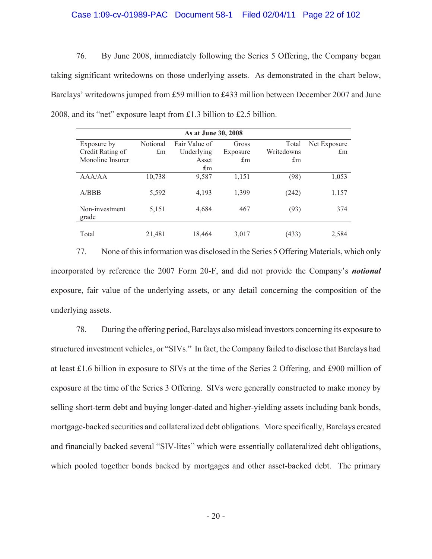# Case 1:09-cv-01989-PAC Document 58-1 Filed 02/04/11 Page 22 of 102

76. By June 2008, immediately following the Series 5 Offering, the Company began taking significant writedowns on those underlying assets. As demonstrated in the chart below, Barclays' writedowns jumped from £59 million to £433 million between December 2007 and June 2008, and its "net" exposure leapt from £1.3 billion to £2.5 billion.

| As at June 30, 2008     |          |               |          |            |              |  |  |  |
|-------------------------|----------|---------------|----------|------------|--------------|--|--|--|
| Exposure by             | Notional | Fair Value of | Gross    | Total      | Net Exposure |  |  |  |
| Credit Rating of        | £m       | Underlying    | Exposure | Writedowns | $\pounds$ m  |  |  |  |
| Monoline Insurer        |          | Asset         | £m       | £m         |              |  |  |  |
|                         |          | $\pounds$ m   |          |            |              |  |  |  |
| AAA/AA                  | 10,738   | 9,587         | 1,151    | (98)       | 1,053        |  |  |  |
| A/BBB                   | 5,592    | 4,193         | 1,399    | (242)      | 1,157        |  |  |  |
| Non-investment<br>grade | 5,151    | 4,684         | 467      | (93)       | 374          |  |  |  |
| Total                   | 21,481   | 18,464        | 3,017    | (433)      | 2,584        |  |  |  |

77. None of this information was disclosed in the Series 5 Offering Materials, which only incorporated by reference the 2007 Form 20-F, and did not provide the Company's *notional* exposure, fair value of the underlying assets, or any detail concerning the composition of the underlying assets.

78. During the offering period, Barclays also mislead investors concerning its exposure to structured investment vehicles, or "SIVs." In fact, the Company failed to disclose that Barclays had at least £1.6 billion in exposure to SIVs at the time of the Series 2 Offering, and £900 million of exposure at the time of the Series 3 Offering. SIVs were generally constructed to make money by selling short-term debt and buying longer-dated and higher-yielding assets including bank bonds, mortgage-backed securities and collateralized debt obligations. More specifically, Barclays created and financially backed several "SIV-lites" which were essentially collateralized debt obligations, which pooled together bonds backed by mortgages and other asset-backed debt. The primary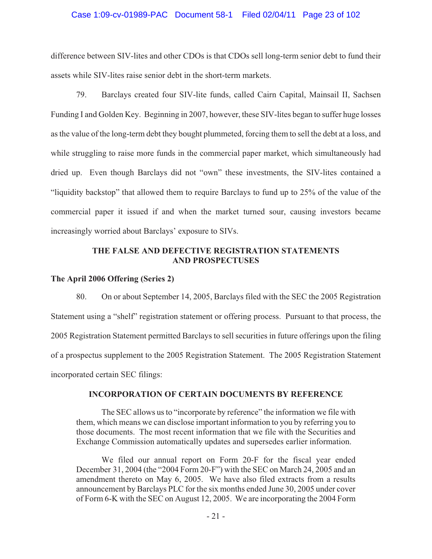# Case 1:09-cv-01989-PAC Document 58-1 Filed 02/04/11 Page 23 of 102

difference between SIV-lites and other CDOs is that CDOs sell long-term senior debt to fund their assets while SIV-lites raise senior debt in the short-term markets.

79. Barclays created four SIV-lite funds, called Cairn Capital, Mainsail II, Sachsen Funding I and Golden Key. Beginning in 2007, however, these SIV-lites began to suffer huge losses as the value of the long-term debt they bought plummeted, forcing them to sell the debt at a loss, and while struggling to raise more funds in the commercial paper market, which simultaneously had dried up. Even though Barclays did not "own" these investments, the SIV-lites contained a "liquidity backstop" that allowed them to require Barclays to fund up to 25% of the value of the commercial paper it issued if and when the market turned sour, causing investors became increasingly worried about Barclays' exposure to SIVs.

# **THE FALSE AND DEFECTIVE REGISTRATION STATEMENTS AND PROSPECTUSES**

# **The April 2006 Offering (Series 2)**

80. On or about September 14, 2005, Barclays filed with the SEC the 2005 Registration Statement using a "shelf" registration statement or offering process. Pursuant to that process, the 2005 Registration Statement permitted Barclays to sell securities in future offerings upon the filing of a prospectus supplement to the 2005 Registration Statement. The 2005 Registration Statement incorporated certain SEC filings:

# **INCORPORATION OF CERTAIN DOCUMENTS BY REFERENCE**

The SEC allows us to "incorporate by reference" the information we file with them, which means we can disclose important information to you by referring you to those documents. The most recent information that we file with the Securities and Exchange Commission automatically updates and supersedes earlier information.

We filed our annual report on Form 20-F for the fiscal year ended December 31, 2004 (the "2004 Form 20-F") with the SEC on March 24, 2005 and an amendment thereto on May 6, 2005. We have also filed extracts from a results announcement by Barclays PLC for the six months ended June 30, 2005 under cover of Form 6-K with the SEC on August 12, 2005. We are incorporating the 2004 Form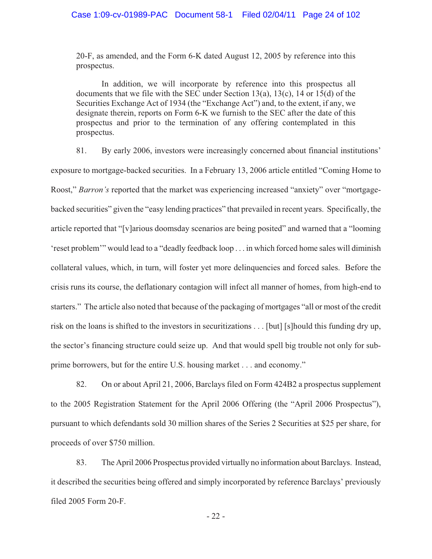20-F, as amended, and the Form 6-K dated August 12, 2005 by reference into this prospectus.

In addition, we will incorporate by reference into this prospectus all documents that we file with the SEC under Section 13(a), 13(c), 14 or 15(d) of the Securities Exchange Act of 1934 (the "Exchange Act") and, to the extent, if any, we designate therein, reports on Form 6-K we furnish to the SEC after the date of this prospectus and prior to the termination of any offering contemplated in this prospectus.

81. By early 2006, investors were increasingly concerned about financial institutions' exposure to mortgage-backed securities. In a February 13, 2006 article entitled "Coming Home to Roost," *Barron's* reported that the market was experiencing increased "anxiety" over "mortgagebacked securities" given the "easy lending practices" that prevailed in recent years. Specifically, the article reported that "[v]arious doomsday scenarios are being posited" and warned that a "looming 'reset problem'" would lead to a "deadly feedback loop . . . in which forced home sales will diminish collateral values, which, in turn, will foster yet more delinquencies and forced sales. Before the crisis runs its course, the deflationary contagion will infect all manner of homes, from high-end to starters." The article also noted that because of the packaging of mortgages "all or most of the credit risk on the loans is shifted to the investors in securitizations . . . [but] [s]hould this funding dry up, the sector's financing structure could seize up. And that would spell big trouble not only for subprime borrowers, but for the entire U.S. housing market . . . and economy."

82. On or about April 21, 2006, Barclays filed on Form 424B2 a prospectus supplement to the 2005 Registration Statement for the April 2006 Offering (the "April 2006 Prospectus"), pursuant to which defendants sold 30 million shares of the Series 2 Securities at \$25 per share, for proceeds of over \$750 million.

83. The April 2006 Prospectus provided virtually no information about Barclays. Instead, it described the securities being offered and simply incorporated by reference Barclays' previously filed 2005 Form 20-F.

- 22 -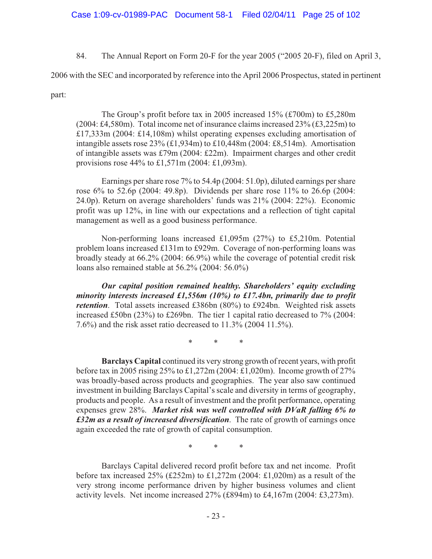84. The Annual Report on Form 20-F for the year 2005 ("2005 20-F), filed on April 3,

2006 with the SEC and incorporated by reference into the April 2006 Prospectus, stated in pertinent

part:

The Group's profit before tax in 2005 increased 15% (£700m) to £5,280m (2004: £4,580m). Total income net of insurance claims increased  $23\%$  (£3,225m) to £17,333m (2004: £14,108m) whilst operating expenses excluding amortisation of intangible assets rose 23% (£1,934m) to £10,448m (2004: £8,514m). Amortisation of intangible assets was £79m (2004: £22m). Impairment charges and other credit provisions rose 44% to £1,571m (2004: £1,093m).

Earnings per share rose 7% to 54.4p (2004: 51.0p), diluted earnings per share rose 6% to 52.6p (2004: 49.8p). Dividends per share rose 11% to 26.6p (2004: 24.0p). Return on average shareholders' funds was 21% (2004: 22%). Economic profit was up 12%, in line with our expectations and a reflection of tight capital management as well as a good business performance.

Non-performing loans increased £1,095m (27%) to £5,210m. Potential problem loans increased £131m to £929m. Coverage of non-performing loans was broadly steady at 66.2% (2004: 66.9%) while the coverage of potential credit risk loans also remained stable at 56.2% (2004: 56.0%)

*Our capital position remained healthy. Shareholders' equity excluding minority interests increased £1,556m (10%) to £17.4bn, primarily due to profit retention*. Total assets increased £386bn (80%) to £924bn. Weighted risk assets increased £50bn (23%) to £269bn. The tier 1 capital ratio decreased to 7% (2004: 7.6%) and the risk asset ratio decreased to 11.3% (2004 11.5%).

\* \* \*

**Barclays Capital** continued its very strong growth of recent years, with profit before tax in 2005 rising 25% to £1,272m (2004: £1,020m). Income growth of 27% was broadly-based across products and geographies. The year also saw continued investment in building Barclays Capital's scale and diversity in terms of geography, products and people. As a result of investment and the profit performance, operating expenses grew 28%. *Market risk was well controlled with DVaR falling 6% to £32m as a result of increased diversification*. The rate of growth of earnings once again exceeded the rate of growth of capital consumption.

\* \* \*

Barclays Capital delivered record profit before tax and net income. Profit before tax increased  $25\%$  (£252m) to £1,272m (2004: £1,020m) as a result of the very strong income performance driven by higher business volumes and client activity levels. Net income increased 27% (£894m) to £4,167m (2004: £3,273m).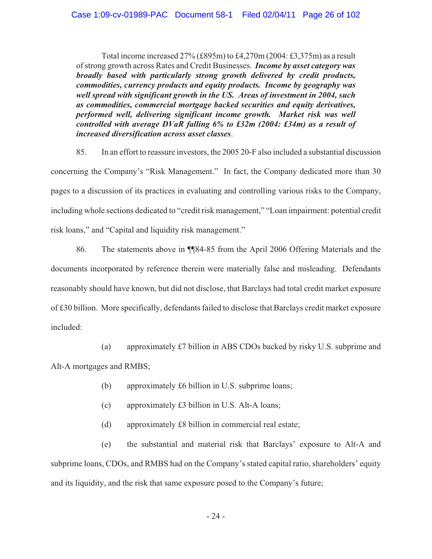Total income increased  $27\%$  (£895m) to £4,270m (2004: £3,375m) as a result of strong growth across Rates and Credit Businesses. *Income by asset category was broadly based with particularly strong growth delivered by credit products, commodities, currency products and equity products. Income by geography was well spread with significant growth in the US. Areas of investment in 2004, such as commodities, commercial mortgage backed securities and equity derivatives, performed well, delivering significant income growth. Market risk was well controlled with average DVaR falling 6% to £32m (2004: £34m) as a result of increased diversification across asset classes*.

85. In an effort to reassure investors, the 2005 20-F also included a substantial discussion concerning the Company's "Risk Management." In fact, the Company dedicated more than 30 pages to a discussion of its practices in evaluating and controlling various risks to the Company, including whole sections dedicated to "credit risk management," "Loan impairment: potential credit risk loans," and "Capital and liquidity risk management."

86. The statements above in ¶¶84-85 from the April 2006 Offering Materials and the documents incorporated by reference therein were materially false and misleading. Defendants reasonably should have known, but did not disclose, that Barclays had total credit market exposure of £30 billion. More specifically, defendants failed to disclose that Barclays credit market exposure included:

(a) approximately £7 billion in ABS CDOs backed by risky U.S. subprime and Alt-A mortgages and RMBS;

- (b) approximately £6 billion in U.S. subprime loans;
- (c) approximately £3 billion in U.S. Alt-A loans;
- (d) approximately £8 billion in commercial real estate;

(e) the substantial and material risk that Barclays' exposure to Alt-A and subprime loans, CDOs, and RMBS had on the Company's stated capital ratio, shareholders' equity and its liquidity, and the risk that same exposure posed to the Company's future;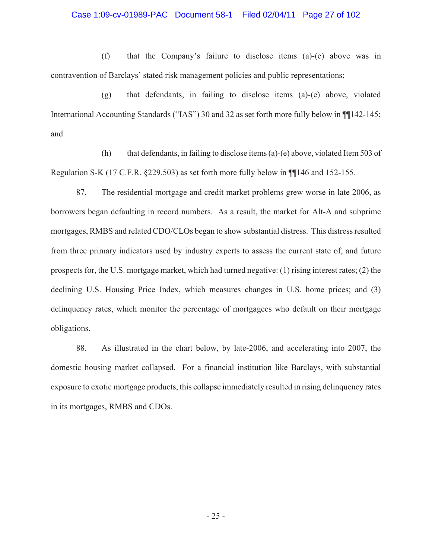#### Case 1:09-cv-01989-PAC Document 58-1 Filed 02/04/11 Page 27 of 102

(f) that the Company's failure to disclose items (a)-(e) above was in contravention of Barclays' stated risk management policies and public representations;

(g) that defendants, in failing to disclose items (a)-(e) above, violated International Accounting Standards ("IAS") 30 and 32 as set forth more fully below in  $\P$ 142-145; and

(h) that defendants, in failing to disclose items (a)-(e) above, violated Item 503 of Regulation S-K (17 C.F.R. §229.503) as set forth more fully below in ¶¶146 and 152-155.

87. The residential mortgage and credit market problems grew worse in late 2006, as borrowers began defaulting in record numbers. As a result, the market for Alt-A and subprime mortgages, RMBS and related CDO/CLOs began to show substantial distress. This distress resulted from three primary indicators used by industry experts to assess the current state of, and future prospects for, the U.S. mortgage market, which had turned negative: (1) rising interest rates; (2) the declining U.S. Housing Price Index, which measures changes in U.S. home prices; and (3) delinquency rates, which monitor the percentage of mortgagees who default on their mortgage obligations.

88. As illustrated in the chart below, by late-2006, and accelerating into 2007, the domestic housing market collapsed. For a financial institution like Barclays, with substantial exposure to exotic mortgage products, this collapse immediately resulted in rising delinquency rates in its mortgages, RMBS and CDOs.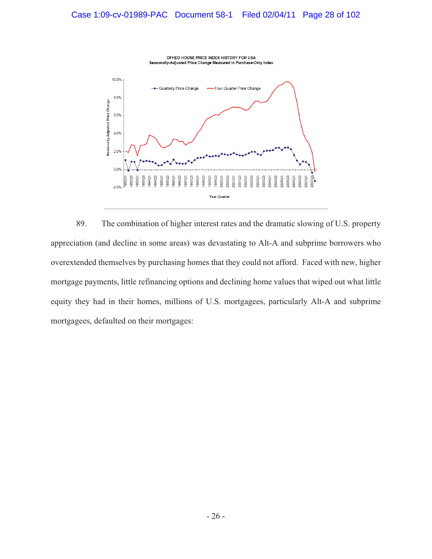

89. The combination of higher interest rates and the dramatic slowing of U.S. property appreciation (and decline in some areas) was devastating to Alt-A and subprime borrowers who overextended themselves by purchasing homes that they could not afford. Faced with new, higher mortgage payments, little refinancing options and declining home values that wiped out what little equity they had in their homes, millions of U.S. mortgagees, particularly Alt-A and subprime mortgagees, defaulted on their mortgages: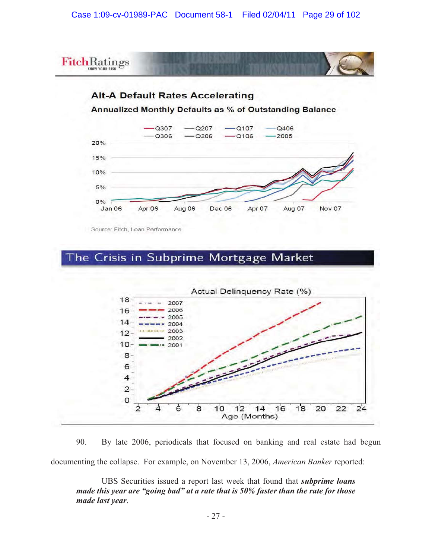

90. By late 2006, periodicals that focused on banking and real estate had begun documenting the collapse. For example, on November 13, 2006, *American Banker* reported:

UBS Securities issued a report last week that found that *subprime loans made this year are "going bad" at a rate that is 50% faster than the rate for those made last year*.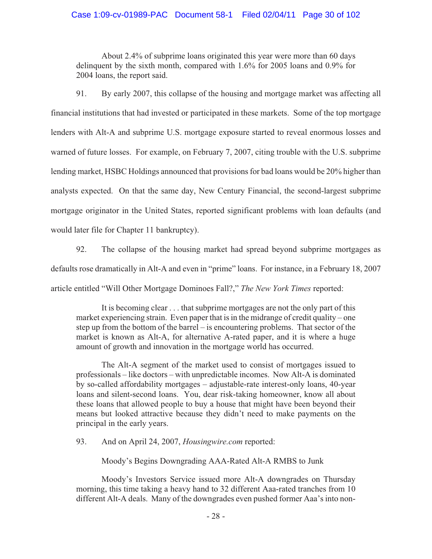# Case 1:09-cv-01989-PAC Document 58-1 Filed 02/04/11 Page 30 of 102

About 2.4% of subprime loans originated this year were more than 60 days delinquent by the sixth month, compared with 1.6% for 2005 loans and 0.9% for 2004 loans, the report said.

91. By early 2007, this collapse of the housing and mortgage market was affecting all financial institutions that had invested or participated in these markets. Some of the top mortgage lenders with Alt-A and subprime U.S. mortgage exposure started to reveal enormous losses and warned of future losses. For example, on February 7, 2007, citing trouble with the U.S. subprime lending market, HSBC Holdings announced that provisions for bad loans would be 20% higher than analysts expected. On that the same day, New Century Financial, the second-largest subprime mortgage originator in the United States, reported significant problems with loan defaults (and would later file for Chapter 11 bankruptcy).

92. The collapse of the housing market had spread beyond subprime mortgages as defaults rose dramatically in Alt-A and even in "prime" loans. For instance, in a February 18, 2007 article entitled "Will Other Mortgage Dominoes Fall?," *The New York Times* reported:

It is becoming clear . . . that subprime mortgages are not the only part of this market experiencing strain. Even paper that is in the midrange of credit quality – one step up from the bottom of the barrel – is encountering problems. That sector of the market is known as Alt-A, for alternative A-rated paper, and it is where a huge amount of growth and innovation in the mortgage world has occurred.

The Alt-A segment of the market used to consist of mortgages issued to professionals – like doctors – with unpredictable incomes. Now Alt-A is dominated by so-called affordability mortgages – adjustable-rate interest-only loans, 40-year loans and silent-second loans. You, dear risk-taking homeowner, know all about these loans that allowed people to buy a house that might have been beyond their means but looked attractive because they didn't need to make payments on the principal in the early years.

93. And on April 24, 2007, *Housingwire.com* reported:

Moody's Begins Downgrading AAA-Rated Alt-A RMBS to Junk

Moody's Investors Service issued more Alt-A downgrades on Thursday morning, this time taking a heavy hand to 32 different Aaa-rated tranches from 10 different Alt-A deals. Many of the downgrades even pushed former Aaa's into non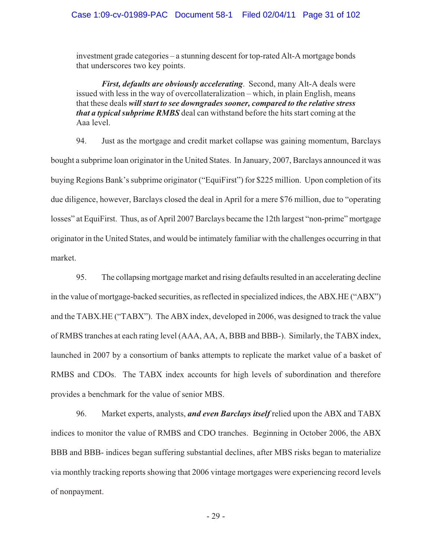investment grade categories – a stunning descent for top-rated Alt-A mortgage bonds that underscores two key points.

*First, defaults are obviously accelerating*. Second, many Alt-A deals were issued with less in the way of overcollateralization – which, in plain English, means that these deals *will start to see downgrades sooner, compared to the relative stress that a typical subprime RMBS* deal can withstand before the hits start coming at the Aaa level.

94. Just as the mortgage and credit market collapse was gaining momentum, Barclays bought a subprime loan originator in the United States. In January, 2007, Barclays announced it was buying Regions Bank's subprime originator ("EquiFirst") for \$225 million. Upon completion of its due diligence, however, Barclays closed the deal in April for a mere \$76 million, due to "operating losses" at EquiFirst. Thus, as of April 2007 Barclays became the 12th largest "non-prime" mortgage originator in the United States, and would be intimately familiar with the challenges occurring in that market.

95. The collapsing mortgage market and rising defaults resulted in an accelerating decline in the value of mortgage-backed securities, as reflected in specialized indices, the ABX.HE ("ABX") and the TABX.HE ("TABX"). The ABX index, developed in 2006, was designed to track the value of RMBS tranches at each rating level (AAA, AA, A, BBB and BBB-). Similarly, the TABX index, launched in 2007 by a consortium of banks attempts to replicate the market value of a basket of RMBS and CDOs. The TABX index accounts for high levels of subordination and therefore provides a benchmark for the value of senior MBS.

96. Market experts, analysts, *and even Barclays itself* relied upon the ABX and TABX indices to monitor the value of RMBS and CDO tranches. Beginning in October 2006, the ABX BBB and BBB- indices began suffering substantial declines, after MBS risks began to materialize via monthly tracking reports showing that 2006 vintage mortgages were experiencing record levels of nonpayment.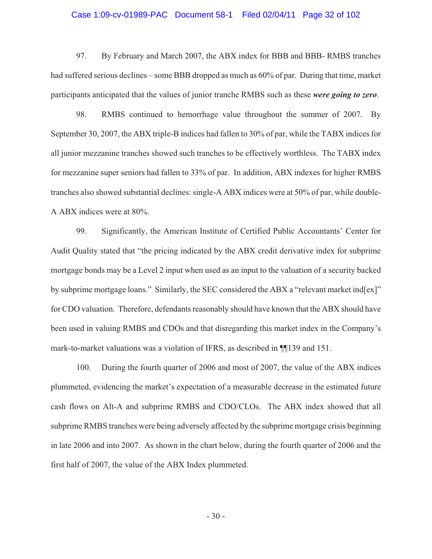#### Case 1:09-cv-01989-PAC Document 58-1 Filed 02/04/11 Page 32 of 102

97. By February and March 2007, the ABX index for BBB and BBB- RMBS tranches had suffered serious declines – some BBB dropped as much as 60% of par. During that time, market participants anticipated that the values of junior tranche RMBS such as these *were going to zero*.

98. RMBS continued to hemorrhage value throughout the summer of 2007. By September 30, 2007, the ABX triple-B indices had fallen to 30% of par, while the TABX indices for all junior mezzanine tranches showed such tranches to be effectively worthless. The TABX index for mezzanine super seniors had fallen to 33% of par. In addition, ABX indexes for higher RMBS tranches also showed substantial declines: single-A ABX indices were at 50% of par, while double-A ABX indices were at 80%.

99. Significantly, the American Institute of Certified Public Accountants' Center for Audit Quality stated that "the pricing indicated by the ABX credit derivative index for subprime mortgage bonds may be a Level 2 input when used as an input to the valuation of a security backed by subprime mortgage loans." Similarly, the SEC considered the ABX a "relevant market ind[ex]" for CDO valuation. Therefore, defendants reasonably should have known that the ABX should have been used in valuing RMBS and CDOs and that disregarding this market index in the Company's mark-to-market valuations was a violation of IFRS, as described in ¶¶139 and 151.

100. During the fourth quarter of 2006 and most of 2007, the value of the ABX indices plummeted, evidencing the market's expectation of a measurable decrease in the estimated future cash flows on Alt-A and subprime RMBS and CDO/CLOs. The ABX index showed that all subprime RMBS tranches were being adversely affected by the subprime mortgage crisis beginning in late 2006 and into 2007. As shown in the chart below, during the fourth quarter of 2006 and the first half of 2007, the value of the ABX Index plummeted.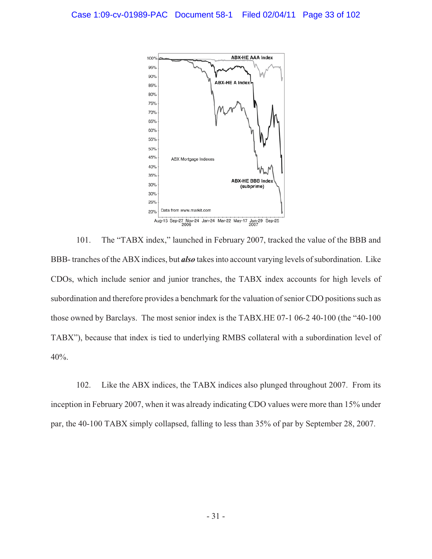

101. The "TABX index," launched in February 2007, tracked the value of the BBB and BBB- tranches of the ABX indices, but *also* takes into account varying levels of subordination. Like CDOs, which include senior and junior tranches, the TABX index accounts for high levels of subordination and therefore provides a benchmark for the valuation of senior CDO positions such as those owned by Barclays. The most senior index is the TABX.HE 07-1 06-2 40-100 (the "40-100 TABX"), because that index is tied to underlying RMBS collateral with a subordination level of 40%.

102. Like the ABX indices, the TABX indices also plunged throughout 2007. From its inception in February 2007, when it was already indicating CDO values were more than 15% under par, the 40-100 TABX simply collapsed, falling to less than 35% of par by September 28, 2007.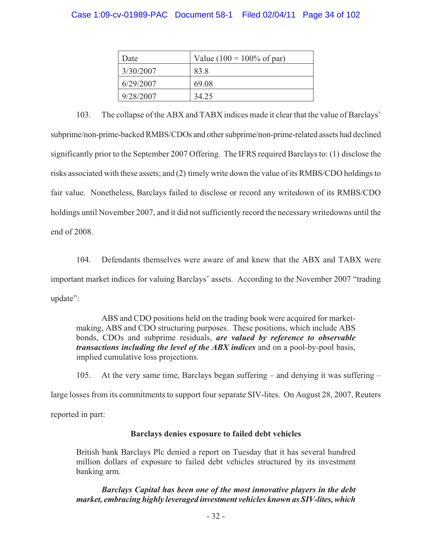# Case 1:09-cv-01989-PAC Document 58-1 Filed 02/04/11 Page 34 of 102

| Date      | Value (100 = 100% of par) |  |  |
|-----------|---------------------------|--|--|
| 3/30/2007 | 83.8                      |  |  |
| 6/29/2007 | 69.08                     |  |  |
| 9/28/2007 | 34.25                     |  |  |

103. The collapse of the ABX and TABX indices made it clear that the value of Barclays' subprime/non-prime-backed RMBS/CDOs and other subprime/non-prime-related assets had declined significantly prior to the September 2007 Offering. The IFRS required Barclays to: (1) disclose the risks associated with these assets; and (2) timely write down the value of its RMBS/CDO holdings to fair value. Nonetheless, Barclays failed to disclose or record any writedown of its RMBS/CDO holdings until November 2007, and it did not sufficiently record the necessary writedowns until the end of 2008.

104. Defendants themselves were aware of and knew that the ABX and TABX were important market indices for valuing Barclays' assets. According to the November 2007 "trading update":

ABS and CDO positions held on the trading book were acquired for marketmaking, ABS and CDO structuring purposes. These positions, which include ABS bonds, CDOs and subprime residuals, *are valued by reference to observable transactions including the level of the ABX indices* and on a pool-by-pool basis, implied cumulative loss projections.

105. At the very same time, Barclays began suffering – and denying it was suffering –

large losses from its commitments to support four separate SIV-lites. On August 28, 2007, Reuters

reported in part:

# **Barclays denies exposure to failed debt vehicles**

British bank Barclays Plc denied a report on Tuesday that it has several hundred million dollars of exposure to failed debt vehicles structured by its investment banking arm.

*Barclays Capital has been one of the most innovative players in the debt market, embracing highly leveraged investment vehicles known as SIV-lites, which*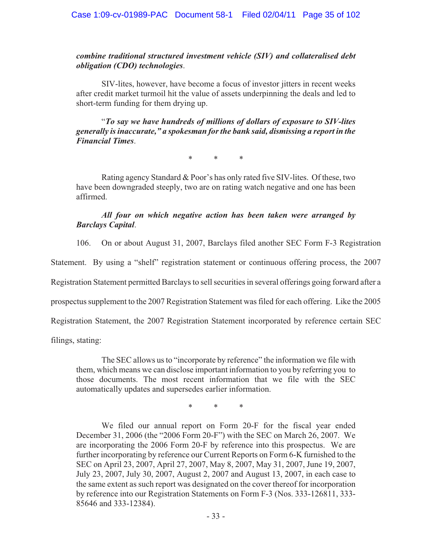*combine traditional structured investment vehicle (SIV) and collateralised debt obligation (CDO) technologies*.

SIV-lites, however, have become a focus of investor jitters in recent weeks after credit market turmoil hit the value of assets underpinning the deals and led to short-term funding for them drying up.

"*To say we have hundreds of millions of dollars of exposure to SIV-lites generally is inaccurate," a spokesman for the bank said, dismissing a report in the Financial Times*.

\* \* \*

Rating agency Standard & Poor's has only rated five SIV-lites. Of these, two have been downgraded steeply, two are on rating watch negative and one has been affirmed.

## *All four on which negative action has been taken were arranged by Barclays Capital*.

106. On or about August 31, 2007, Barclays filed another SEC Form F-3 Registration

Statement. By using a "shelf" registration statement or continuous offering process, the 2007

Registration Statement permitted Barclays to sell securities in several offerings going forward after a

prospectus supplement to the 2007 Registration Statement was filed for each offering. Like the 2005

Registration Statement, the 2007 Registration Statement incorporated by reference certain SEC

filings, stating:

The SEC allows us to "incorporate by reference" the information we file with them, which means we can disclose important information to you by referring you to those documents. The most recent information that we file with the SEC automatically updates and supersedes earlier information.

\* \* \*

We filed our annual report on Form 20-F for the fiscal year ended December 31, 2006 (the "2006 Form 20-F") with the SEC on March 26, 2007. We are incorporating the 2006 Form 20-F by reference into this prospectus. We are further incorporating by reference our Current Reports on Form 6-K furnished to the SEC on April 23, 2007, April 27, 2007, May 8, 2007, May 31, 2007, June 19, 2007, July 23, 2007, July 30, 2007, August 2, 2007 and August 13, 2007, in each case to the same extent as such report was designated on the cover thereof for incorporation by reference into our Registration Statements on Form F-3 (Nos. 333-126811, 333- 85646 and 333-12384).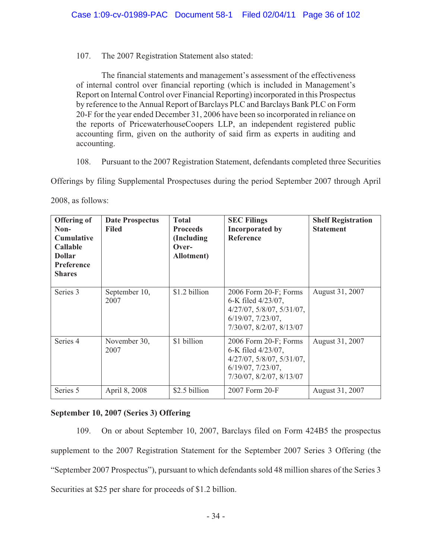## 107. The 2007 Registration Statement also stated:

The financial statements and management's assessment of the effectiveness of internal control over financial reporting (which is included in Management's Report on Internal Control over Financial Reporting) incorporated in this Prospectus by reference to the Annual Report of Barclays PLC and Barclays Bank PLC on Form 20-F for the year ended December 31, 2006 have been so incorporated in reliance on the reports of PricewaterhouseCoopers LLP, an independent registered public accounting firm, given on the authority of said firm as experts in auditing and accounting.

108. Pursuant to the 2007 Registration Statement, defendants completed three Securities

Offerings by filing Supplemental Prospectuses during the period September 2007 through April

| <b>Offering of</b><br>Non-<br><b>Cumulative</b><br><b>Callable</b><br><b>Dollar</b><br><b>Preference</b><br><b>Shares</b> | <b>Date Prospectus</b><br><b>Filed</b> | <b>Total</b><br><b>Proceeds</b><br>(Including)<br>Over-<br>Allotment) | <b>SEC Filings</b><br><b>Incorporated by</b><br><b>Reference</b>                                                                         | <b>Shelf Registration</b><br><b>Statement</b> |
|---------------------------------------------------------------------------------------------------------------------------|----------------------------------------|-----------------------------------------------------------------------|------------------------------------------------------------------------------------------------------------------------------------------|-----------------------------------------------|
| Series 3                                                                                                                  | September 10,<br>2007                  | \$1.2 billion                                                         | 2006 Form 20-F; Forms<br>6-K filed 4/23/07,<br>$4/27/07$ , $5/8/07$ , $5/31/07$ ,<br>$6/19/07$ , $7/23/07$ ,<br>7/30/07, 8/2/07, 8/13/07 | August 31, 2007                               |
| Series 4                                                                                                                  | November 30,<br>2007                   | \$1 billion                                                           | 2006 Form 20-F; Forms<br>6-K filed 4/23/07,<br>$4/27/07$ , $5/8/07$ , $5/31/07$ ,<br>$6/19/07$ , $7/23/07$ ,<br>7/30/07, 8/2/07, 8/13/07 | August 31, 2007                               |
| Series 5                                                                                                                  | April 8, 2008                          | \$2.5 billion                                                         | 2007 Form 20-F                                                                                                                           | August 31, 2007                               |

2008, as follows:

# **September 10, 2007 (Series 3) Offering**

109. On or about September 10, 2007, Barclays filed on Form 424B5 the prospectus supplement to the 2007 Registration Statement for the September 2007 Series 3 Offering (the "September 2007 Prospectus"), pursuant to which defendants sold 48 million shares of the Series 3 Securities at \$25 per share for proceeds of \$1.2 billion.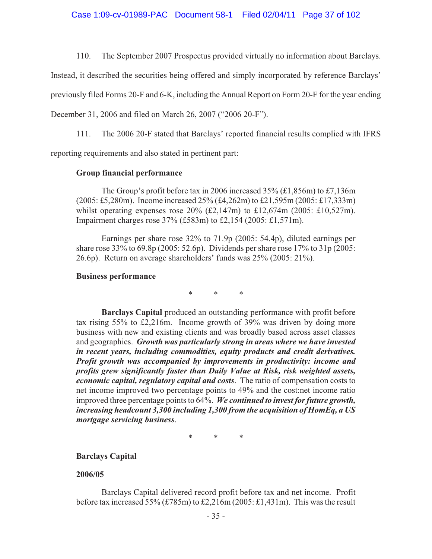110. The September 2007 Prospectus provided virtually no information about Barclays.

Instead, it described the securities being offered and simply incorporated by reference Barclays'

previously filed Forms 20-F and 6-K, including the Annual Report on Form 20-F for the year ending

December 31, 2006 and filed on March 26, 2007 ("2006 20-F").

111. The 2006 20-F stated that Barclays' reported financial results complied with IFRS

reporting requirements and also stated in pertinent part:

### **Group financial performance**

The Group's profit before tax in 2006 increased 35% (£1,856m) to £7,136m (2005: £5,280m). Income increased 25% (£4,262m) to £21,595m (2005: £17,333m) whilst operating expenses rose 20% (£2,147m) to £12,674m (2005: £10,527m). Impairment charges rose 37% (£583m) to £2,154 (2005: £1,571m).

Earnings per share rose 32% to 71.9p (2005: 54.4p), diluted earnings per share rose 33% to 69.8p (2005: 52.6p). Dividends per share rose 17% to 31p (2005: 26.6p). Return on average shareholders' funds was 25% (2005: 21%).

#### **Business performance**

\* \* \*

**Barclays Capital** produced an outstanding performance with profit before tax rising 55% to £2,216m. Income growth of 39% was driven by doing more business with new and existing clients and was broadly based across asset classes and geographies. *Growth was particularly strong in areas where we have invested in recent years, including commodities, equity products and credit derivatives. Profit growth was accompanied by improvements in productivity: income and profits grew significantly faster than Daily Value at Risk, risk weighted assets, economic capital, regulatory capital and costs*. The ratio of compensation costs to net income improved two percentage points to 49% and the cost:net income ratio improved three percentage points to 64%. *We continued to invest for future growth, increasing headcount 3,300 including 1,300 from the acquisition of HomEq, a US mortgage servicing business*.

\* \* \*

### **Barclays Capital**

### **2006/05**

Barclays Capital delivered record profit before tax and net income. Profit before tax increased 55% (£785m) to £2,216m (2005: £1,431m). This was the result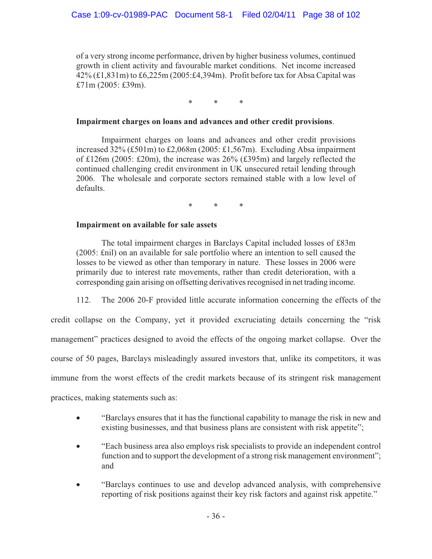of a very strong income performance, driven by higher business volumes, continued growth in client activity and favourable market conditions. Net income increased 42% (£1,831m) to £6,225m (2005:£4,394m). Profit before tax for Absa Capital was £71m (2005: £39m).

\* \* \*

### **Impairment charges on loans and advances and other credit provisions**.

Impairment charges on loans and advances and other credit provisions increased 32% (£501m) to £2,068m (2005: £1,567m). Excluding Absa impairment of £126m (2005: £20m), the increase was 26% (£395m) and largely reflected the continued challenging credit environment in UK unsecured retail lending through 2006. The wholesale and corporate sectors remained stable with a low level of defaults.

\* \* \*

### **Impairment on available for sale assets**

The total impairment charges in Barclays Capital included losses of £83m (2005: £nil) on an available for sale portfolio where an intention to sell caused the losses to be viewed as other than temporary in nature. These losses in 2006 were primarily due to interest rate movements, rather than credit deterioration, with a corresponding gain arising on offsetting derivatives recognised in net trading income.

112. The 2006 20-F provided little accurate information concerning the effects of the

credit collapse on the Company, yet it provided excruciating details concerning the "risk management" practices designed to avoid the effects of the ongoing market collapse. Over the course of 50 pages, Barclays misleadingly assured investors that, unlike its competitors, it was immune from the worst effects of the credit markets because of its stringent risk management practices, making statements such as:

- $\bullet$  "Barclays ensures that it has the functional capability to manage the risk in new and existing businesses, and that business plans are consistent with risk appetite";
- $\bullet$  "Each business area also employs risk specialists to provide an independent control function and to support the development of a strong risk management environment"; and
- - "Barclays continues to use and develop advanced analysis, with comprehensive reporting of risk positions against their key risk factors and against risk appetite."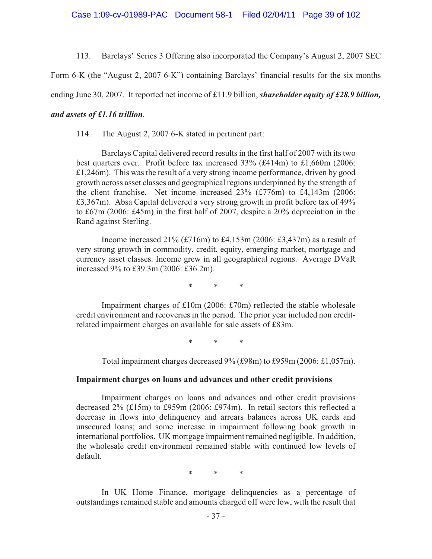113. Barclays' Series 3 Offering also incorporated the Company's August 2, 2007 SEC

Form 6-K (the "August 2, 2007 6-K") containing Barclays' financial results for the six months

ending June 30, 2007. It reported net income of £11.9 billion, *shareholder equity of £28.9 billion,* 

# *and assets of £1.16 trillion*.

114. The August 2, 2007 6-K stated in pertinent part:

Barclays Capital delivered record results in the first half of 2007 with its two best quarters ever. Profit before tax increased 33% (£414m) to £1,660m (2006: £1,246m). This was the result of a very strong income performance, driven by good growth across asset classes and geographical regions underpinned by the strength of the client franchise. Net income increased 23% (£776m) to £4,143m (2006: £3,367m). Absa Capital delivered a very strong growth in profit before tax of 49% to £67m (2006: £45m) in the first half of 2007, despite a 20% depreciation in the Rand against Sterling.

Income increased  $21\%$  (£716m) to £4,153m (2006: £3,437m) as a result of very strong growth in commodity, credit, equity, emerging market, mortgage and currency asset classes. Income grew in all geographical regions. Average DVaR increased 9% to £39.3m (2006: £36.2m).

\* \* \*

Impairment charges of £10m (2006: £70m) reflected the stable wholesale credit environment and recoveries in the period. The prior year included non creditrelated impairment charges on available for sale assets of £83m.

\* \* \*

Total impairment charges decreased 9% (£98m) to £959m (2006: £1,057m).

## **Impairment charges on loans and advances and other credit provisions**

Impairment charges on loans and advances and other credit provisions decreased 2% (£15m) to £959m (2006: £974m). In retail sectors this reflected a decrease in flows into delinquency and arrears balances across UK cards and unsecured loans; and some increase in impairment following book growth in international portfolios. UK mortgage impairment remained negligible. In addition, the wholesale credit environment remained stable with continued low levels of default.

\* \* \*

In UK Home Finance, mortgage delinquencies as a percentage of outstandings remained stable and amounts charged off were low, with the result that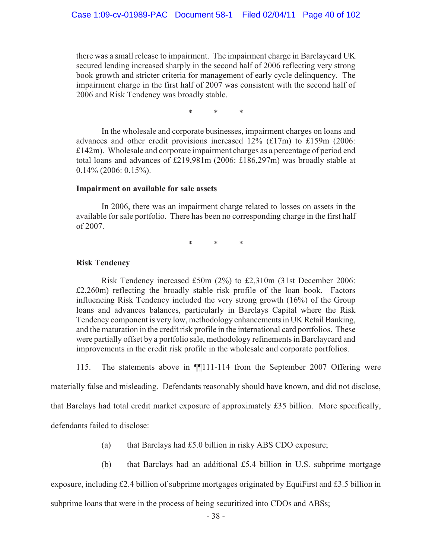there was a small release to impairment. The impairment charge in Barclaycard UK secured lending increased sharply in the second half of 2006 reflecting very strong book growth and stricter criteria for management of early cycle delinquency. The impairment charge in the first half of 2007 was consistent with the second half of 2006 and Risk Tendency was broadly stable.

\* \* \*

In the wholesale and corporate businesses, impairment charges on loans and advances and other credit provisions increased 12% (£17m) to £159m (2006: £142m). Wholesale and corporate impairment charges as a percentage of period end total loans and advances of £219,981m (2006: £186,297m) was broadly stable at  $0.14\%$  (2006: 0.15%).

#### **Impairment on available for sale assets**

In 2006, there was an impairment charge related to losses on assets in the available for sale portfolio. There has been no corresponding charge in the first half of 2007.

\* \* \*

#### **Risk Tendency**

Risk Tendency increased £50m (2%) to £2,310m (31st December 2006: £2,260m) reflecting the broadly stable risk profile of the loan book. Factors influencing Risk Tendency included the very strong growth (16%) of the Group loans and advances balances, particularly in Barclays Capital where the Risk Tendency component is very low, methodology enhancements in UK Retail Banking, and the maturation in the credit risk profile in the international card portfolios. These were partially offset by a portfolio sale, methodology refinements in Barclaycard and improvements in the credit risk profile in the wholesale and corporate portfolios.

115. The statements above in ¶¶111-114 from the September 2007 Offering were

materially false and misleading. Defendants reasonably should have known, and did not disclose,

that Barclays had total credit market exposure of approximately £35 billion. More specifically,

defendants failed to disclose:

(a) that Barclays had £5.0 billion in risky ABS CDO exposure;

(b) that Barclays had an additional £5.4 billion in U.S. subprime mortgage

exposure, including £2.4 billion of subprime mortgages originated by EquiFirst and £3.5 billion in

subprime loans that were in the process of being securitized into CDOs and ABSs;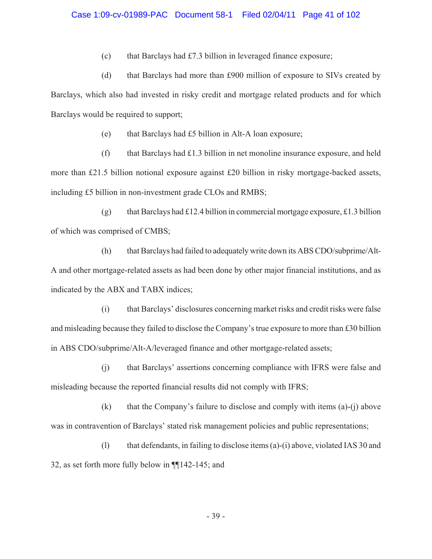(c) that Barclays had  $£7.3$  billion in leveraged finance exposure;

(d) that Barclays had more than £900 million of exposure to SIVs created by Barclays, which also had invested in risky credit and mortgage related products and for which Barclays would be required to support;

(e) that Barclays had £5 billion in Alt-A loan exposure;

(f) that Barclays had £1.3 billion in net monoline insurance exposure, and held more than £21.5 billion notional exposure against £20 billion in risky mortgage-backed assets, including £5 billion in non-investment grade CLOs and RMBS;

(g) that Barclays had £12.4 billion in commercial mortgage exposure, £1.3 billion of which was comprised of CMBS;

(h) that Barclays had failed to adequately write down its ABS CDO/subprime/Alt-A and other mortgage-related assets as had been done by other major financial institutions, and as indicated by the ABX and TABX indices;

(i) that Barclays' disclosures concerning market risks and credit risks were false and misleading because they failed to disclose the Company's true exposure to more than £30 billion in ABS CDO/subprime/Alt-A/leveraged finance and other mortgage-related assets;

(j) that Barclays' assertions concerning compliance with IFRS were false and misleading because the reported financial results did not comply with IFRS;

(k) that the Company's failure to disclose and comply with items (a)-(j) above was in contravention of Barclays' stated risk management policies and public representations;

(l) that defendants, in failing to disclose items (a)-(i) above, violated IAS 30 and 32, as set forth more fully below in ¶¶142-145; and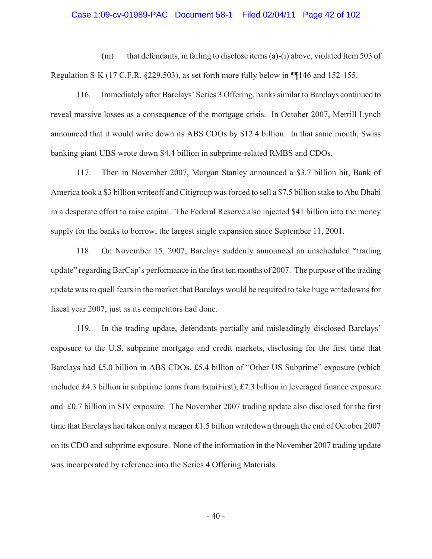#### Case 1:09-cv-01989-PAC Document 58-1 Filed 02/04/11 Page 42 of 102

(m) that defendants, in failing to disclose items (a)-(i) above, violated Item 503 of Regulation S-K (17 C.F.R. §229.503), as set forth more fully below in ¶¶146 and 152-155.

116. Immediately after Barclays' Series 3 Offering, banks similar to Barclays continued to reveal massive losses as a consequence of the mortgage crisis. In October 2007, Merrill Lynch announced that it would write down its ABS CDOs by \$12.4 billion. In that same month, Swiss banking giant UBS wrote down \$4.4 billion in subprime-related RMBS and CDOs.

117. Then in November 2007, Morgan Stanley announced a \$3.7 billion hit, Bank of America took a \$3 billion writeoff and Citigroup was forced to sell a \$7.5 billion stake to Abu Dhabi in a desperate effort to raise capital. The Federal Reserve also injected \$41 billion into the money supply for the banks to borrow, the largest single expansion since September 11, 2001.

118. On November 15, 2007, Barclays suddenly announced an unscheduled "trading update" regarding BarCap's performance in the first ten months of 2007. The purpose of the trading update was to quell fears in the market that Barclays would be required to take huge writedowns for fiscal year 2007, just as its competitors had done.

119. In the trading update, defendants partially and misleadingly disclosed Barclays' exposure to the U.S. subprime mortgage and credit markets, disclosing for the first time that Barclays had £5.0 billion in ABS CDOs, £5.4 billion of "Other US Subprime" exposure (which included £4.3 billion in subprime loans from EquiFirst), £7.3 billion in leveraged finance exposure and £0.7 billion in SIV exposure. The November 2007 trading update also disclosed for the first time that Barclays had taken only a meager £1.5 billion writedown through the end of October 2007 on its CDO and subprime exposure. None of the information in the November 2007 trading update was incorporated by reference into the Series 4 Offering Materials.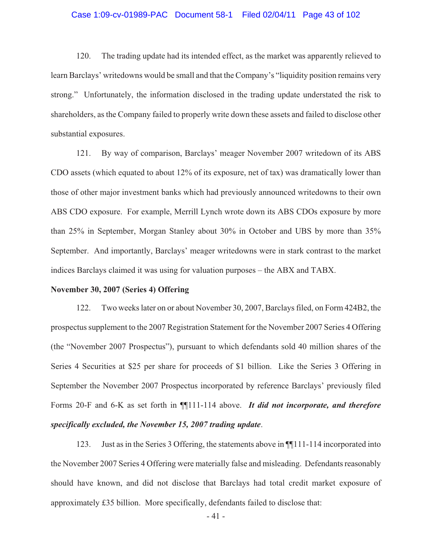#### Case 1:09-cv-01989-PAC Document 58-1 Filed 02/04/11 Page 43 of 102

120. The trading update had its intended effect, as the market was apparently relieved to learn Barclays' writedowns would be small and that the Company's "liquidity position remains very strong." Unfortunately, the information disclosed in the trading update understated the risk to shareholders, as the Company failed to properly write down these assets and failed to disclose other substantial exposures.

121. By way of comparison, Barclays' meager November 2007 writedown of its ABS CDO assets (which equated to about 12% of its exposure, net of tax) was dramatically lower than those of other major investment banks which had previously announced writedowns to their own ABS CDO exposure. For example, Merrill Lynch wrote down its ABS CDOs exposure by more than 25% in September, Morgan Stanley about 30% in October and UBS by more than 35% September. And importantly, Barclays' meager writedowns were in stark contrast to the market indices Barclays claimed it was using for valuation purposes – the ABX and TABX.

#### **November 30, 2007 (Series 4) Offering**

122. Two weeks later on or about November 30, 2007, Barclays filed, on Form 424B2, the prospectus supplement to the 2007 Registration Statement for the November 2007 Series 4 Offering (the "November 2007 Prospectus"), pursuant to which defendants sold 40 million shares of the Series 4 Securities at \$25 per share for proceeds of \$1 billion. Like the Series 3 Offering in September the November 2007 Prospectus incorporated by reference Barclays' previously filed Forms 20-F and 6-K as set forth in ¶¶111-114 above. *It did not incorporate, and therefore specifically excluded, the November 15, 2007 trading update*.

123. Just as in the Series 3 Offering, the statements above in ¶¶111-114 incorporated into the November 2007 Series 4 Offering were materially false and misleading. Defendants reasonably should have known, and did not disclose that Barclays had total credit market exposure of approximately £35 billion. More specifically, defendants failed to disclose that:

- 41 -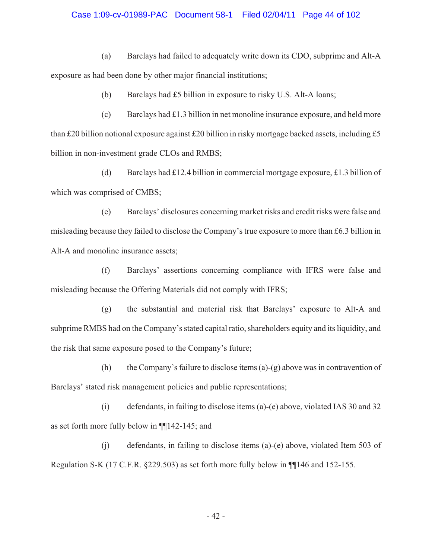### Case 1:09-cv-01989-PAC Document 58-1 Filed 02/04/11 Page 44 of 102

(a) Barclays had failed to adequately write down its CDO, subprime and Alt-A exposure as had been done by other major financial institutions;

(b) Barclays had £5 billion in exposure to risky U.S. Alt-A loans;

(c) Barclays had £1.3 billion in net monoline insurance exposure, and held more than £20 billion notional exposure against £20 billion in risky mortgage backed assets, including £5 billion in non-investment grade CLOs and RMBS;

(d) Barclays had £12.4 billion in commercial mortgage exposure, £1.3 billion of which was comprised of CMBS;

(e) Barclays' disclosures concerning market risks and credit risks were false and misleading because they failed to disclose the Company's true exposure to more than £6.3 billion in Alt-A and monoline insurance assets;

(f) Barclays' assertions concerning compliance with IFRS were false and misleading because the Offering Materials did not comply with IFRS;

(g) the substantial and material risk that Barclays' exposure to Alt-A and subprime RMBS had on the Company's stated capital ratio, shareholders equity and its liquidity, and the risk that same exposure posed to the Company's future;

(h) the Company's failure to disclose items (a)-(g) above was in contravention of Barclays' stated risk management policies and public representations;

(i) defendants, in failing to disclose items (a)-(e) above, violated IAS 30 and 32 as set forth more fully below in ¶¶142-145; and

(j) defendants, in failing to disclose items (a)-(e) above, violated Item 503 of Regulation S-K (17 C.F.R. §229.503) as set forth more fully below in ¶¶146 and 152-155.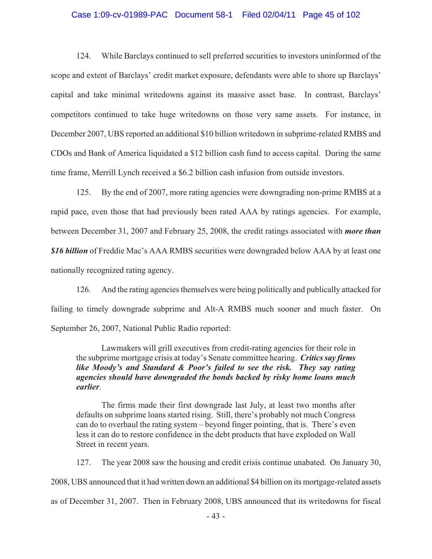### Case 1:09-cv-01989-PAC Document 58-1 Filed 02/04/11 Page 45 of 102

124. While Barclays continued to sell preferred securities to investors uninformed of the scope and extent of Barclays' credit market exposure, defendants were able to shore up Barclays' capital and take minimal writedowns against its massive asset base. In contrast, Barclays' competitors continued to take huge writedowns on those very same assets. For instance, in December 2007, UBS reported an additional \$10 billion writedown in subprime-related RMBS and CDOs and Bank of America liquidated a \$12 billion cash fund to access capital. During the same time frame, Merrill Lynch received a \$6.2 billion cash infusion from outside investors.

125. By the end of 2007, more rating agencies were downgrading non-prime RMBS at a rapid pace, even those that had previously been rated AAA by ratings agencies. For example, between December 31, 2007 and February 25, 2008, the credit ratings associated with *more than \$16 billion* of Freddie Mac's AAA RMBS securities were downgraded below AAA by at least one nationally recognized rating agency.

126. And the rating agencies themselves were being politically and publically attacked for failing to timely downgrade subprime and Alt-A RMBS much sooner and much faster. On September 26, 2007, National Public Radio reported:

Lawmakers will grill executives from credit-rating agencies for their role in the subprime mortgage crisis at today's Senate committee hearing. *Critics say firms like Moody's and Standard & Poor's failed to see the risk. They say rating agencies should have downgraded the bonds backed by risky home loans much earlier*.

The firms made their first downgrade last July, at least two months after defaults on subprime loans started rising. Still, there's probably not much Congress can do to overhaul the rating system – beyond finger pointing, that is. There's even less it can do to restore confidence in the debt products that have exploded on Wall Street in recent years.

127. The year 2008 saw the housing and credit crisis continue unabated. On January 30, 2008, UBS announced that it had written down an additional \$4 billion on its mortgage-related assets as of December 31, 2007. Then in February 2008, UBS announced that its writedowns for fiscal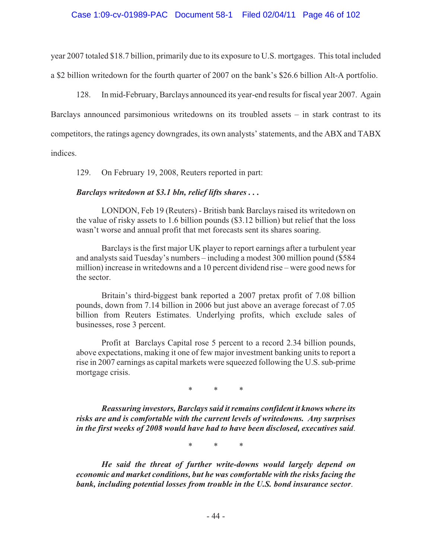year 2007 totaled \$18.7 billion, primarily due to its exposure to U.S. mortgages. This total included a \$2 billion writedown for the fourth quarter of 2007 on the bank's \$26.6 billion Alt-A portfolio.

128. In mid-February, Barclays announced its year-end results for fiscal year 2007. Again Barclays announced parsimonious writedowns on its troubled assets – in stark contrast to its competitors, the ratings agency downgrades, its own analysts' statements, and the ABX and TABX indices.

129. On February 19, 2008, Reuters reported in part:

## *Barclays writedown at \$3.1 bln, relief lifts shares . . .*

LONDON, Feb 19 (Reuters) - British bank Barclays raised its writedown on the value of risky assets to 1.6 billion pounds (\$3.12 billion) but relief that the loss wasn't worse and annual profit that met forecasts sent its shares soaring.

Barclays is the first major UK player to report earnings after a turbulent year and analysts said Tuesday's numbers – including a modest 300 million pound (\$584 million) increase in writedowns and a 10 percent dividend rise – were good news for the sector.

Britain's third-biggest bank reported a 2007 pretax profit of 7.08 billion pounds, down from 7.14 billion in 2006 but just above an average forecast of 7.05 billion from Reuters Estimates. Underlying profits, which exclude sales of businesses, rose 3 percent.

Profit at Barclays Capital rose 5 percent to a record 2.34 billion pounds, above expectations, making it one of few major investment banking units to report a rise in 2007 earnings as capital markets were squeezed following the U.S. sub-prime mortgage crisis.

\* \* \*

*Reassuring investors, Barclays said it remains confident it knows where its risks are and is comfortable with the current levels of writedowns. Any surprises in the first weeks of 2008 would have had to have been disclosed, executives said*.

\* \* \*

*He said the threat of further write-downs would largely depend on economic and market conditions, but he was comfortable with the risks facing the bank, including potential losses from trouble in the U.S. bond insurance sector*.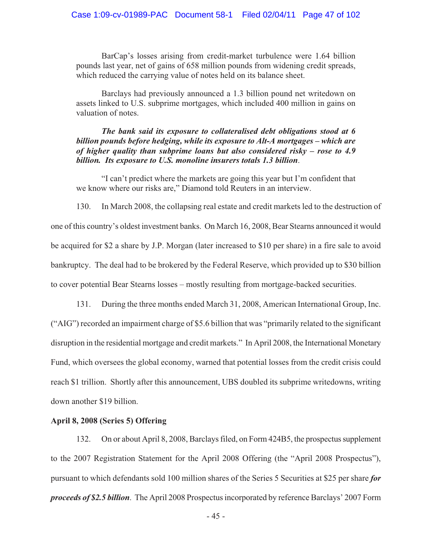BarCap's losses arising from credit-market turbulence were 1.64 billion pounds last year, net of gains of 658 million pounds from widening credit spreads, which reduced the carrying value of notes held on its balance sheet.

Barclays had previously announced a 1.3 billion pound net writedown on assets linked to U.S. subprime mortgages, which included 400 million in gains on valuation of notes.

*The bank said its exposure to collateralised debt obligations stood at 6 billion pounds before hedging, while its exposure to Alt-A mortgages – which are of higher quality than subprime loans but also considered risky – rose to 4.9 billion. Its exposure to U.S. monoline insurers totals 1.3 billion*.

"I can't predict where the markets are going this year but I'm confident that we know where our risks are," Diamond told Reuters in an interview.

130. In March 2008, the collapsing real estate and credit markets led to the destruction of one of this country's oldest investment banks. On March 16, 2008, Bear Stearns announced it would be acquired for \$2 a share by J.P. Morgan (later increased to \$10 per share) in a fire sale to avoid bankruptcy. The deal had to be brokered by the Federal Reserve, which provided up to \$30 billion to cover potential Bear Stearns losses – mostly resulting from mortgage-backed securities.

131. During the three months ended March 31, 2008, American International Group, Inc. ("AIG") recorded an impairment charge of \$5.6 billion that was "primarily related to the significant disruption in the residential mortgage and credit markets." In April 2008, the International Monetary Fund, which oversees the global economy, warned that potential losses from the credit crisis could reach \$1 trillion. Shortly after this announcement, UBS doubled its subprime writedowns, writing down another \$19 billion.

### **April 8, 2008 (Series 5) Offering**

132. On or about April 8, 2008, Barclays filed, on Form 424B5, the prospectus supplement to the 2007 Registration Statement for the April 2008 Offering (the "April 2008 Prospectus"), pursuant to which defendants sold 100 million shares of the Series 5 Securities at \$25 per share *for proceeds of \$2.5 billion*. The April 2008 Prospectus incorporated by reference Barclays' 2007 Form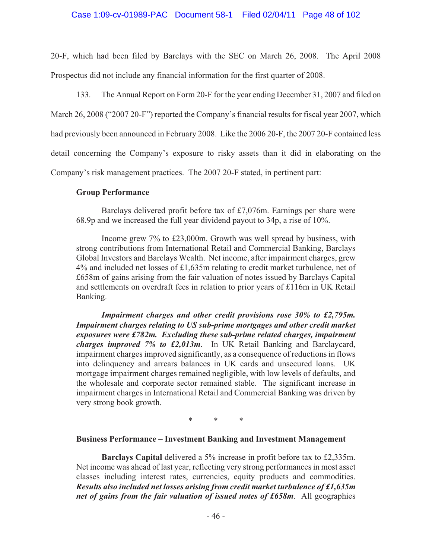20-F, which had been filed by Barclays with the SEC on March 26, 2008. The April 2008 Prospectus did not include any financial information for the first quarter of 2008.

133. The Annual Report on Form 20-F for the year ending December 31, 2007 and filed on

March 26, 2008 ("2007 20-F") reported the Company's financial results for fiscal year 2007, which had previously been announced in February 2008. Like the 2006 20-F, the 2007 20-F contained less

detail concerning the Company's exposure to risky assets than it did in elaborating on the

Company's risk management practices. The 2007 20-F stated, in pertinent part:

## **Group Performance**

Barclays delivered profit before tax of £7,076m. Earnings per share were 68.9p and we increased the full year dividend payout to 34p, a rise of 10%.

Income grew 7% to £23,000m. Growth was well spread by business, with strong contributions from International Retail and Commercial Banking, Barclays Global Investors and Barclays Wealth. Net income, after impairment charges, grew 4% and included net losses of £1,635m relating to credit market turbulence, net of £658m of gains arising from the fair valuation of notes issued by Barclays Capital and settlements on overdraft fees in relation to prior years of £116m in UK Retail Banking.

*Impairment charges and other credit provisions rose 30% to £2,795m. Impairment charges relating to US sub-prime mortgages and other credit market exposures were £782m. Excluding these sub-prime related charges, impairment charges improved 7% to £2,013m*. In UK Retail Banking and Barclaycard, impairment charges improved significantly, as a consequence of reductions in flows into delinquency and arrears balances in UK cards and unsecured loans. UK mortgage impairment charges remained negligible, with low levels of defaults, and the wholesale and corporate sector remained stable. The significant increase in impairment charges in International Retail and Commercial Banking was driven by very strong book growth.

\* \* \*

## **Business Performance – Investment Banking and Investment Management**

**Barclays Capital** delivered a 5% increase in profit before tax to £2,335m. Net income was ahead of last year, reflecting very strong performances in most asset classes including interest rates, currencies, equity products and commodities. *Results also included net losses arising from credit market turbulence of £1,635m net of gains from the fair valuation of issued notes of £658m*. All geographies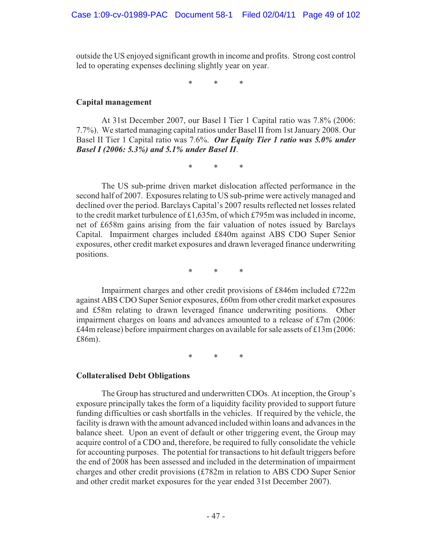outside the US enjoyed significant growth in income and profits. Strong cost control led to operating expenses declining slightly year on year.

\* \* \*

### **Capital management**

At 31st December 2007, our Basel I Tier 1 Capital ratio was 7.8% (2006: 7.7%). We started managing capital ratios under Basel II from 1st January 2008. Our Basel II Tier 1 Capital ratio was 7.6%. *Our Equity Tier 1 ratio was 5.0% under Basel I (2006: 5.3%) and 5.1% under Basel II*.

\* \* \*

The US sub-prime driven market dislocation affected performance in the second half of 2007. Exposures relating to US sub-prime were actively managed and declined over the period. Barclays Capital's 2007 results reflected net losses related to the credit market turbulence of £1,635m, of which £795m was included in income, net of £658m gains arising from the fair valuation of notes issued by Barclays Capital. Impairment charges included £840m against ABS CDO Super Senior exposures, other credit market exposures and drawn leveraged finance underwriting positions.

\* \* \*

Impairment charges and other credit provisions of £846m included £722m against ABS CDO Super Senior exposures, £60m from other credit market exposures and £58m relating to drawn leveraged finance underwriting positions. Other impairment charges on loans and advances amounted to a release of £7m (2006: £44m release) before impairment charges on available for sale assets of £13m (2006: £86m).

\* \* \*

### **Collateralised Debt Obligations**

The Group has structured and underwritten CDOs. At inception, the Group's exposure principally takes the form of a liquidity facility provided to support future funding difficulties or cash shortfalls in the vehicles. If required by the vehicle, the facility is drawn with the amount advanced included within loans and advances in the balance sheet. Upon an event of default or other triggering event, the Group may acquire control of a CDO and, therefore, be required to fully consolidate the vehicle for accounting purposes. The potential for transactions to hit default triggers before the end of 2008 has been assessed and included in the determination of impairment charges and other credit provisions (£782m in relation to ABS CDO Super Senior and other credit market exposures for the year ended 31st December 2007).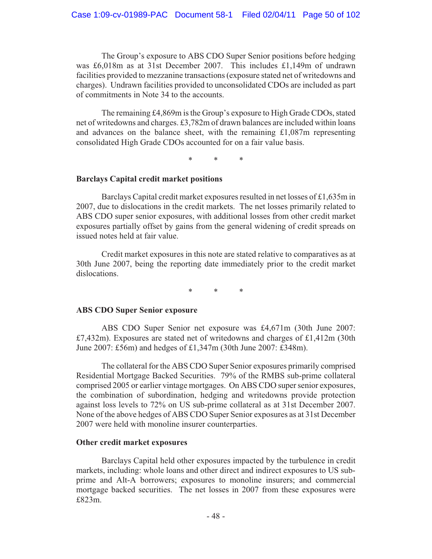The Group's exposure to ABS CDO Super Senior positions before hedging was £6,018m as at 31st December 2007. This includes £1,149m of undrawn facilities provided to mezzanine transactions (exposure stated net of writedowns and charges). Undrawn facilities provided to unconsolidated CDOs are included as part of commitments in Note 34 to the accounts.

The remaining £4,869m is the Group's exposure to High Grade CDOs, stated net of writedowns and charges. £3,782m of drawn balances are included within loans and advances on the balance sheet, with the remaining  $\text{\pounds}1,087\text{m}$  representing consolidated High Grade CDOs accounted for on a fair value basis.

\* \* \*

## **Barclays Capital credit market positions**

Barclays Capital credit market exposures resulted in net losses of £1,635m in 2007, due to dislocations in the credit markets. The net losses primarily related to ABS CDO super senior exposures, with additional losses from other credit market exposures partially offset by gains from the general widening of credit spreads on issued notes held at fair value.

Credit market exposures in this note are stated relative to comparatives as at 30th June 2007, being the reporting date immediately prior to the credit market dislocations.

\* \* \*

## **ABS CDO Super Senior exposure**

ABS CDO Super Senior net exposure was £4,671m (30th June 2007: £7,432m). Exposures are stated net of writedowns and charges of £1,412m (30th June 2007: £56m) and hedges of £1,347m (30th June 2007: £348m).

The collateral for the ABS CDO Super Senior exposures primarily comprised Residential Mortgage Backed Securities. 79% of the RMBS sub-prime collateral comprised 2005 or earlier vintage mortgages. On ABS CDO super senior exposures, the combination of subordination, hedging and writedowns provide protection against loss levels to 72% on US sub-prime collateral as at 31st December 2007. None of the above hedges of ABS CDO Super Senior exposures as at 31st December 2007 were held with monoline insurer counterparties.

## **Other credit market exposures**

Barclays Capital held other exposures impacted by the turbulence in credit markets, including: whole loans and other direct and indirect exposures to US subprime and Alt-A borrowers; exposures to monoline insurers; and commercial mortgage backed securities. The net losses in 2007 from these exposures were £823m.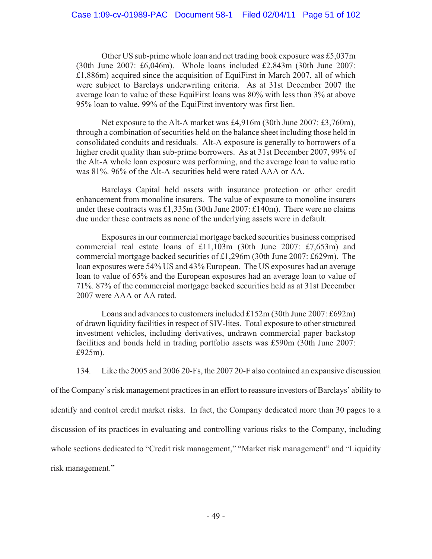Other US sub-prime whole loan and net trading book exposure was £5,037m (30th June 2007: £6,046m). Whole loans included £2,843m (30th June 2007: £1,886m) acquired since the acquisition of EquiFirst in March 2007, all of which were subject to Barclays underwriting criteria. As at 31st December 2007 the average loan to value of these EquiFirst loans was 80% with less than 3% at above 95% loan to value. 99% of the EquiFirst inventory was first lien.

Net exposure to the Alt-A market was £4,916m (30th June 2007: £3,760m), through a combination of securities held on the balance sheet including those held in consolidated conduits and residuals. Alt-A exposure is generally to borrowers of a higher credit quality than sub-prime borrowers. As at 31st December 2007, 99% of the Alt-A whole loan exposure was performing, and the average loan to value ratio was 81%. 96% of the Alt-A securities held were rated AAA or AA.

Barclays Capital held assets with insurance protection or other credit enhancement from monoline insurers. The value of exposure to monoline insurers under these contracts was £1,335m (30th June 2007: £140m). There were no claims due under these contracts as none of the underlying assets were in default.

Exposures in our commercial mortgage backed securities business comprised commercial real estate loans of £11,103m (30th June 2007: £7,653m) and commercial mortgage backed securities of £1,296m (30th June 2007: £629m). The loan exposures were 54% US and 43% European. The US exposures had an average loan to value of 65% and the European exposures had an average loan to value of 71%. 87% of the commercial mortgage backed securities held as at 31st December 2007 were AAA or AA rated.

Loans and advances to customers included £152m (30th June 2007: £692m) of drawn liquidity facilities in respect of SIV-lites. Total exposure to other structured investment vehicles, including derivatives, undrawn commercial paper backstop facilities and bonds held in trading portfolio assets was £590m (30th June 2007: £925m).

134. Like the 2005 and 2006 20-Fs, the 2007 20-F also contained an expansive discussion

of the Company's risk management practices in an effort to reassure investors of Barclays' ability to identify and control credit market risks. In fact, the Company dedicated more than 30 pages to a discussion of its practices in evaluating and controlling various risks to the Company, including whole sections dedicated to "Credit risk management," "Market risk management" and "Liquidity risk management."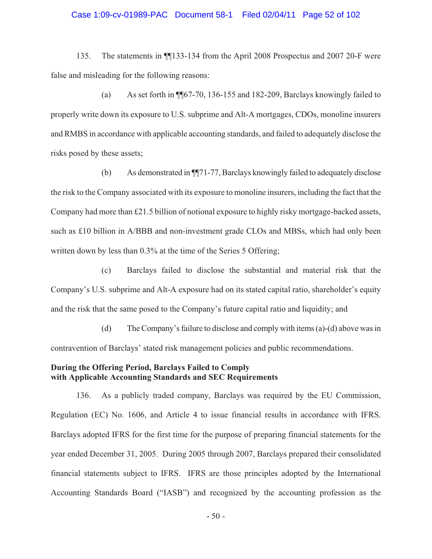#### Case 1:09-cv-01989-PAC Document 58-1 Filed 02/04/11 Page 52 of 102

135. The statements in ¶¶133-134 from the April 2008 Prospectus and 2007 20-F were false and misleading for the following reasons:

(a) As set forth in ¶¶67-70, 136-155 and 182-209, Barclays knowingly failed to properly write down its exposure to U.S. subprime and Alt-A mortgages, CDOs, monoline insurers and RMBS in accordance with applicable accounting standards, and failed to adequately disclose the risks posed by these assets;

(b) As demonstrated in ¶¶71-77, Barclays knowingly failed to adequately disclose the risk to the Company associated with its exposure to monoline insurers, including the fact that the Company had more than £21.5 billion of notional exposure to highly risky mortgage-backed assets, such as £10 billion in A/BBB and non-investment grade CLOs and MBSs, which had only been written down by less than  $0.3\%$  at the time of the Series 5 Offering;

(c) Barclays failed to disclose the substantial and material risk that the Company's U.S. subprime and Alt-A exposure had on its stated capital ratio, shareholder's equity and the risk that the same posed to the Company's future capital ratio and liquidity; and

(d) The Company's failure to disclose and comply with items (a)-(d) above was in contravention of Barclays' stated risk management policies and public recommendations.

### **During the Offering Period, Barclays Failed to Comply with Applicable Accounting Standards and SEC Requirements**

136. As a publicly traded company, Barclays was required by the EU Commission, Regulation (EC) No. 1606, and Article 4 to issue financial results in accordance with IFRS. Barclays adopted IFRS for the first time for the purpose of preparing financial statements for the year ended December 31, 2005. During 2005 through 2007, Barclays prepared their consolidated financial statements subject to IFRS. IFRS are those principles adopted by the International Accounting Standards Board ("IASB") and recognized by the accounting profession as the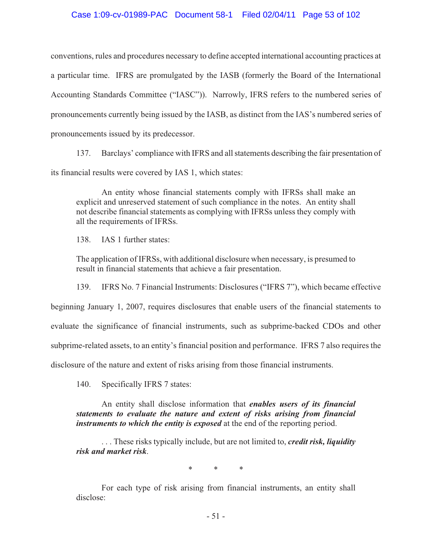## Case 1:09-cv-01989-PAC Document 58-1 Filed 02/04/11 Page 53 of 102

conventions, rules and procedures necessary to define accepted international accounting practices at a particular time. IFRS are promulgated by the IASB (formerly the Board of the International Accounting Standards Committee ("IASC")). Narrowly, IFRS refers to the numbered series of pronouncements currently being issued by the IASB, as distinct from the IAS's numbered series of pronouncements issued by its predecessor.

137. Barclays' compliance with IFRS and all statements describing the fair presentation of

its financial results were covered by IAS 1, which states:

An entity whose financial statements comply with IFRSs shall make an explicit and unreserved statement of such compliance in the notes. An entity shall not describe financial statements as complying with IFRSs unless they comply with all the requirements of IFRSs.

138. IAS 1 further states:

The application of IFRSs, with additional disclosure when necessary, is presumed to result in financial statements that achieve a fair presentation.

139. IFRS No. 7 Financial Instruments: Disclosures ("IFRS 7"), which became effective

beginning January 1, 2007, requires disclosures that enable users of the financial statements to

evaluate the significance of financial instruments, such as subprime-backed CDOs and other

subprime-related assets, to an entity's financial position and performance. IFRS 7 also requires the

disclosure of the nature and extent of risks arising from those financial instruments.

140. Specifically IFRS 7 states:

An entity shall disclose information that *enables users of its financial statements to evaluate the nature and extent of risks arising from financial instruments to which the entity is exposed* at the end of the reporting period.

. . . These risks typically include, but are not limited to, *credit risk, liquidity risk and market risk*.

\* \* \*

For each type of risk arising from financial instruments, an entity shall disclose:

- 51 -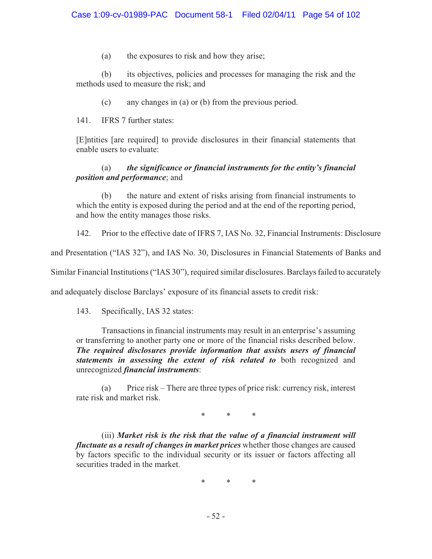(a) the exposures to risk and how they arise;

(b) its objectives, policies and processes for managing the risk and the methods used to measure the risk; and

(c) any changes in (a) or (b) from the previous period.

141. IFRS 7 further states:

[E]ntities [are required] to provide disclosures in their financial statements that enable users to evaluate:

# (a) *the significance or financial instruments for the entity's financial position and performance*; and

(b) the nature and extent of risks arising from financial instruments to which the entity is exposed during the period and at the end of the reporting period, and how the entity manages those risks.

142. Prior to the effective date of IFRS 7, IAS No. 32, Financial Instruments: Disclosure

and Presentation ("IAS 32"), and IAS No. 30, Disclosures in Financial Statements of Banks and

Similar Financial Institutions ("IAS 30"), required similar disclosures. Barclays failed to accurately

and adequately disclose Barclays' exposure of its financial assets to credit risk:

143. Specifically, IAS 32 states:

Transactions in financial instruments may result in an enterprise's assuming or transferring to another party one or more of the financial risks described below. *The required disclosures provide information that assists users of financial statements in assessing the extent of risk related to* both recognized and unrecognized *financial instruments*:

(a) Price risk – There are three types of price risk: currency risk, interest rate risk and market risk.

\* \* \*

(iii) *Market risk is the risk that the value of a financial instrument will fluctuate as a result of changes in market prices* whether those changes are caused by factors specific to the individual security or its issuer or factors affecting all securities traded in the market.

\* \* \*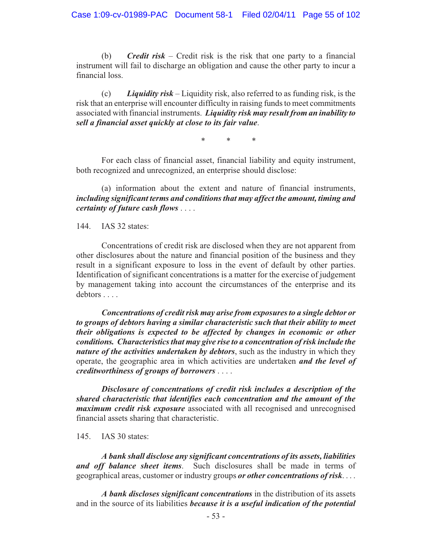(b) *Credit risk* – Credit risk is the risk that one party to a financial instrument will fail to discharge an obligation and cause the other party to incur a financial loss.

(c) *Liquidity risk* – Liquidity risk, also referred to as funding risk, is the risk that an enterprise will encounter difficulty in raising funds to meet commitments associated with financial instruments. *Liquidity risk may result from an inability to sell a financial asset quickly at close to its fair value*.

\* \* \*

For each class of financial asset, financial liability and equity instrument, both recognized and unrecognized, an enterprise should disclose:

(a) information about the extent and nature of financial instruments, *including significant terms and conditions that may affect the amount, timing and certainty of future cash flows* . . . .

144. IAS 32 states:

Concentrations of credit risk are disclosed when they are not apparent from other disclosures about the nature and financial position of the business and they result in a significant exposure to loss in the event of default by other parties. Identification of significant concentrations is a matter for the exercise of judgement by management taking into account the circumstances of the enterprise and its debtors . . . .

*Concentrations of credit risk may arise from exposures to a single debtor or to groups of debtors having a similar characteristic such that their ability to meet their obligations is expected to be affected by changes in economic or other conditions. Characteristics that may give rise to a concentration of risk include the nature of the activities undertaken by debtors*, such as the industry in which they operate, the geographic area in which activities are undertaken *and the level of creditworthiness of groups of borrowers* . . . .

*Disclosure of concentrations of credit risk includes a description of the shared characteristic that identifies each concentration and the amount of the maximum credit risk exposure* associated with all recognised and unrecognised financial assets sharing that characteristic.

145. IAS 30 states:

*A bank shall disclose any significant concentrations of its assets, liabilities and off balance sheet items*. Such disclosures shall be made in terms of geographical areas, customer or industry groups *or other concentrations of risk*. . . .

*A bank discloses significant concentrations* in the distribution of its assets and in the source of its liabilities *because it is a useful indication of the potential*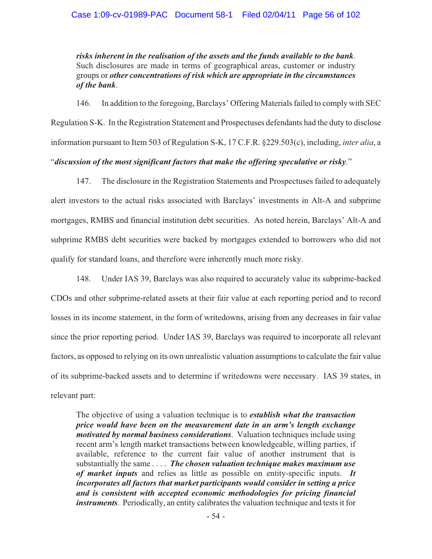*risks inherent in the realisation of the assets and the funds available to the bank*. Such disclosures are made in terms of geographical areas, customer or industry groups or *other concentrations of risk which are appropriate in the circumstances of the bank*.

146. In addition to the foregoing, Barclays' Offering Materials failed to comply with SEC Regulation S-K. In the Registration Statement and Prospectuses defendants had the duty to disclose information pursuant to Item 503 of Regulation S-K, 17 C.F.R. §229.503(c), including, *inter alia*, a

# "*discussion of the most significant factors that make the offering speculative or risky*."

147. The disclosure in the Registration Statements and Prospectuses failed to adequately alert investors to the actual risks associated with Barclays' investments in Alt-A and subprime mortgages, RMBS and financial institution debt securities. As noted herein, Barclays' Alt-A and subprime RMBS debt securities were backed by mortgages extended to borrowers who did not qualify for standard loans, and therefore were inherently much more risky.

148. Under IAS 39, Barclays was also required to accurately value its subprime-backed CDOs and other subprime-related assets at their fair value at each reporting period and to record losses in its income statement, in the form of writedowns, arising from any decreases in fair value since the prior reporting period. Under IAS 39, Barclays was required to incorporate all relevant factors, as opposed to relying on its own unrealistic valuation assumptions to calculate the fair value of its subprime-backed assets and to determine if writedowns were necessary. IAS 39 states, in relevant part:

The objective of using a valuation technique is to *establish what the transaction price would have been on the measurement date in an arm's length exchange motivated by normal business considerations*. Valuation techniques include using recent arm's length market transactions between knowledgeable, willing parties, if available, reference to the current fair value of another instrument that is substantially the same . . . . *The chosen valuation technique makes maximum use of market inputs* and relies as little as possible on entity-specific inputs. *It incorporates all factors that market participants would consider in setting a price and is consistent with accepted economic methodologies for pricing financial instruments*. Periodically, an entity calibrates the valuation technique and tests it for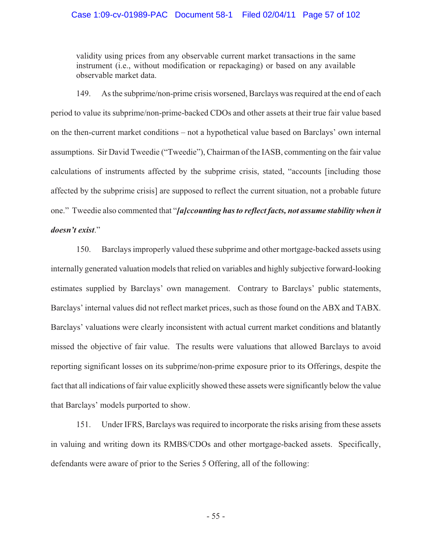validity using prices from any observable current market transactions in the same instrument (i.e., without modification or repackaging) or based on any available observable market data.

149. As the subprime/non-prime crisis worsened, Barclays was required at the end of each period to value its subprime/non-prime-backed CDOs and other assets at their true fair value based on the then-current market conditions – not a hypothetical value based on Barclays' own internal assumptions. Sir David Tweedie ("Tweedie"), Chairman of the IASB, commenting on the fair value calculations of instruments affected by the subprime crisis, stated, "accounts [including those affected by the subprime crisis] are supposed to reflect the current situation, not a probable future one." Tweedie also commented that "*[a]ccounting has to reflect facts, not assume stability when it doesn't exist*."

150. Barclays improperly valued these subprime and other mortgage-backed assets using internally generated valuation models that relied on variables and highly subjective forward-looking estimates supplied by Barclays' own management. Contrary to Barclays' public statements, Barclays' internal values did not reflect market prices, such as those found on the ABX and TABX. Barclays' valuations were clearly inconsistent with actual current market conditions and blatantly missed the objective of fair value. The results were valuations that allowed Barclays to avoid reporting significant losses on its subprime/non-prime exposure prior to its Offerings, despite the fact that all indications of fair value explicitly showed these assets were significantly below the value that Barclays' models purported to show.

151. Under IFRS, Barclays was required to incorporate the risks arising from these assets in valuing and writing down its RMBS/CDOs and other mortgage-backed assets. Specifically, defendants were aware of prior to the Series 5 Offering, all of the following: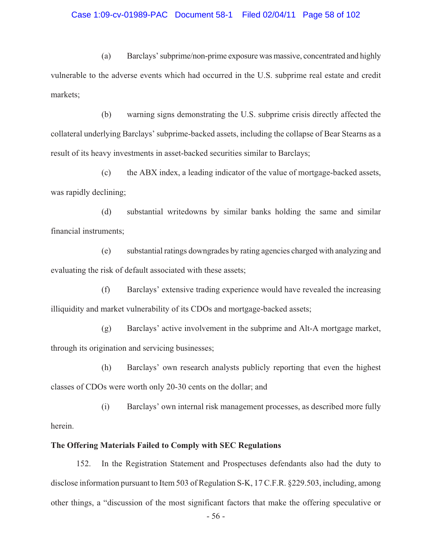## Case 1:09-cv-01989-PAC Document 58-1 Filed 02/04/11 Page 58 of 102

(a) Barclays' subprime/non-prime exposure was massive, concentrated and highly vulnerable to the adverse events which had occurred in the U.S. subprime real estate and credit markets;

(b) warning signs demonstrating the U.S. subprime crisis directly affected the collateral underlying Barclays' subprime-backed assets, including the collapse of Bear Stearns as a result of its heavy investments in asset-backed securities similar to Barclays;

(c) the ABX index, a leading indicator of the value of mortgage-backed assets, was rapidly declining;

(d) substantial writedowns by similar banks holding the same and similar financial instruments;

(e) substantial ratings downgrades by rating agencies charged with analyzing and evaluating the risk of default associated with these assets;

(f) Barclays' extensive trading experience would have revealed the increasing illiquidity and market vulnerability of its CDOs and mortgage-backed assets;

(g) Barclays' active involvement in the subprime and Alt-A mortgage market, through its origination and servicing businesses;

(h) Barclays' own research analysts publicly reporting that even the highest classes of CDOs were worth only 20-30 cents on the dollar; and

(i) Barclays' own internal risk management processes, as described more fully herein.

### **The Offering Materials Failed to Comply with SEC Regulations**

152. In the Registration Statement and Prospectuses defendants also had the duty to disclose information pursuant to Item 503 of Regulation S-K, 17 C.F.R. §229.503, including, among other things, a "discussion of the most significant factors that make the offering speculative or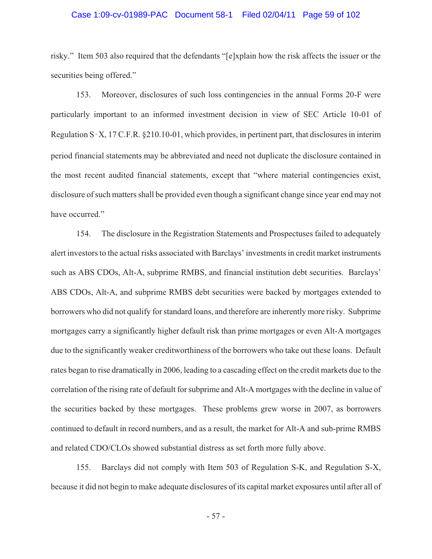#### Case 1:09-cv-01989-PAC Document 58-1 Filed 02/04/11 Page 59 of 102

risky." Item 503 also required that the defendants "[e]xplain how the risk affects the issuer or the securities being offered."

153. Moreover, disclosures of such loss contingencies in the annual Forms 20-F were particularly important to an informed investment decision in view of SEC Article 10-01 of Regulation  $S-X$ , 17 C.F.R. §210.10-01, which provides, in pertinent part, that disclosures in interim period financial statements may be abbreviated and need not duplicate the disclosure contained in the most recent audited financial statements, except that "where material contingencies exist, disclosure of such matters shall be provided even though a significant change since year end may not have occurred."

154. The disclosure in the Registration Statements and Prospectuses failed to adequately alert investors to the actual risks associated with Barclays' investments in credit market instruments such as ABS CDOs, Alt-A, subprime RMBS, and financial institution debt securities. Barclays' ABS CDOs, Alt-A, and subprime RMBS debt securities were backed by mortgages extended to borrowers who did not qualify for standard loans, and therefore are inherently more risky. Subprime mortgages carry a significantly higher default risk than prime mortgages or even Alt-A mortgages due to the significantly weaker creditworthiness of the borrowers who take out these loans. Default rates began to rise dramatically in 2006, leading to a cascading effect on the credit markets due to the correlation of the rising rate of default for subprime and Alt-A mortgages with the decline in value of the securities backed by these mortgages. These problems grew worse in 2007, as borrowers continued to default in record numbers, and as a result, the market for Alt-A and sub-prime RMBS and related CDO/CLOs showed substantial distress as set forth more fully above.

155. Barclays did not comply with Item 503 of Regulation S-K, and Regulation S-X, because it did not begin to make adequate disclosures of its capital market exposures until after all of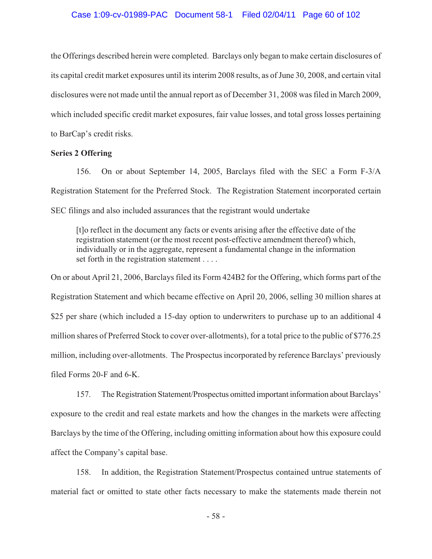the Offerings described herein were completed. Barclays only began to make certain disclosures of its capital credit market exposures until its interim 2008 results, as of June 30, 2008, and certain vital disclosures were not made until the annual report as of December 31, 2008 was filed in March 2009, which included specific credit market exposures, fair value losses, and total gross losses pertaining to BarCap's credit risks.

#### **Series 2 Offering**

156. On or about September 14, 2005, Barclays filed with the SEC a Form F-3/A Registration Statement for the Preferred Stock. The Registration Statement incorporated certain SEC filings and also included assurances that the registrant would undertake

[t]o reflect in the document any facts or events arising after the effective date of the registration statement (or the most recent post-effective amendment thereof) which, individually or in the aggregate, represent a fundamental change in the information set forth in the registration statement . . . .

On or about April 21, 2006, Barclays filed its Form 424B2 for the Offering, which forms part of the Registration Statement and which became effective on April 20, 2006, selling 30 million shares at \$25 per share (which included a 15-day option to underwriters to purchase up to an additional 4 million shares of Preferred Stock to cover over-allotments), for a total price to the public of \$776.25 million, including over-allotments. The Prospectus incorporated by reference Barclays' previously filed Forms 20-F and 6-K.

157. The Registration Statement/Prospectus omitted important information about Barclays' exposure to the credit and real estate markets and how the changes in the markets were affecting Barclays by the time of the Offering, including omitting information about how this exposure could affect the Company's capital base.

158. In addition, the Registration Statement/Prospectus contained untrue statements of material fact or omitted to state other facts necessary to make the statements made therein not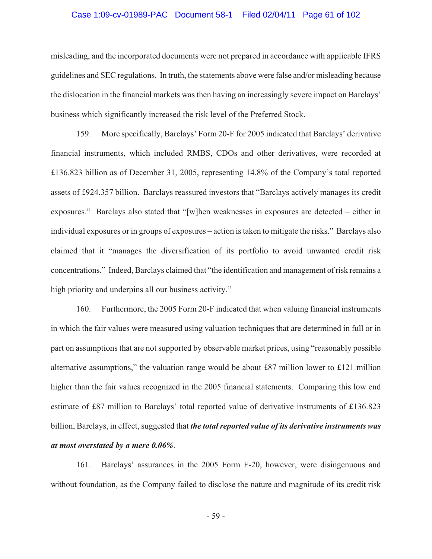#### Case 1:09-cv-01989-PAC Document 58-1 Filed 02/04/11 Page 61 of 102

misleading, and the incorporated documents were not prepared in accordance with applicable IFRS guidelines and SEC regulations. In truth, the statements above were false and/or misleading because the dislocation in the financial markets was then having an increasingly severe impact on Barclays' business which significantly increased the risk level of the Preferred Stock.

159. More specifically, Barclays' Form 20-F for 2005 indicated that Barclays' derivative financial instruments, which included RMBS, CDOs and other derivatives, were recorded at £136.823 billion as of December 31, 2005, representing 14.8% of the Company's total reported assets of £924.357 billion. Barclays reassured investors that "Barclays actively manages its credit exposures." Barclays also stated that "[w]hen weaknesses in exposures are detected – either in individual exposures or in groups of exposures – action is taken to mitigate the risks." Barclays also claimed that it "manages the diversification of its portfolio to avoid unwanted credit risk concentrations." Indeed, Barclays claimed that "the identification and management of risk remains a high priority and underpins all our business activity."

160. Furthermore, the 2005 Form 20-F indicated that when valuing financial instruments in which the fair values were measured using valuation techniques that are determined in full or in part on assumptions that are not supported by observable market prices, using "reasonably possible alternative assumptions," the valuation range would be about £87 million lower to £121 million higher than the fair values recognized in the 2005 financial statements. Comparing this low end estimate of £87 million to Barclays' total reported value of derivative instruments of £136.823 billion, Barclays, in effect, suggested that *the total reported value of its derivative instruments was at most overstated by a mere 0.06%*.

161. Barclays' assurances in the 2005 Form F-20, however, were disingenuous and without foundation, as the Company failed to disclose the nature and magnitude of its credit risk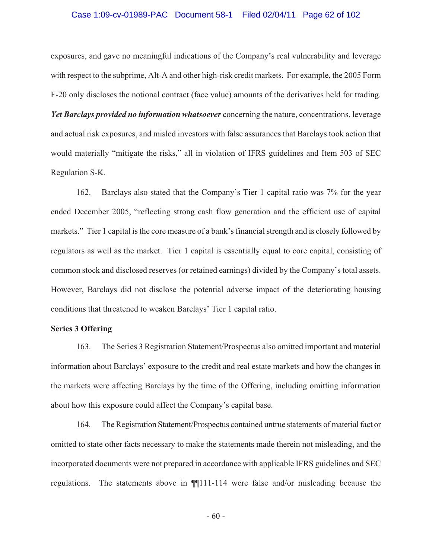#### Case 1:09-cv-01989-PAC Document 58-1 Filed 02/04/11 Page 62 of 102

exposures, and gave no meaningful indications of the Company's real vulnerability and leverage with respect to the subprime, Alt-A and other high-risk credit markets. For example, the 2005 Form F-20 only discloses the notional contract (face value) amounts of the derivatives held for trading. *Yet Barclays provided no information whatsoever* concerning the nature, concentrations, leverage and actual risk exposures, and misled investors with false assurances that Barclays took action that would materially "mitigate the risks," all in violation of IFRS guidelines and Item 503 of SEC Regulation S-K.

162. Barclays also stated that the Company's Tier 1 capital ratio was 7% for the year ended December 2005, "reflecting strong cash flow generation and the efficient use of capital markets." Tier 1 capital is the core measure of a bank's financial strength and is closely followed by regulators as well as the market. Tier 1 capital is essentially equal to core capital, consisting of common stock and disclosed reserves (or retained earnings) divided by the Company's total assets. However, Barclays did not disclose the potential adverse impact of the deteriorating housing conditions that threatened to weaken Barclays' Tier 1 capital ratio.

#### **Series 3 Offering**

163. The Series 3 Registration Statement/Prospectus also omitted important and material information about Barclays' exposure to the credit and real estate markets and how the changes in the markets were affecting Barclays by the time of the Offering, including omitting information about how this exposure could affect the Company's capital base.

164. The Registration Statement/Prospectus contained untrue statements of material fact or omitted to state other facts necessary to make the statements made therein not misleading, and the incorporated documents were not prepared in accordance with applicable IFRS guidelines and SEC regulations. The statements above in ¶¶111-114 were false and/or misleading because the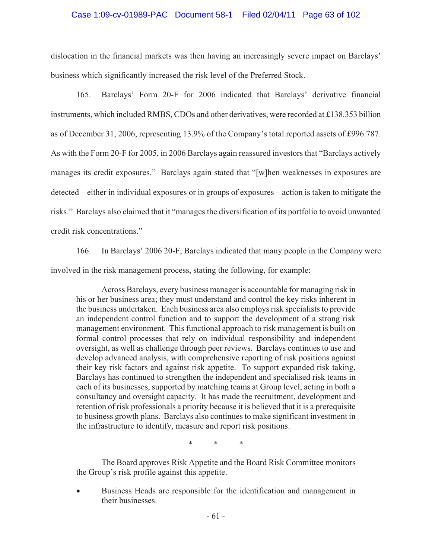## Case 1:09-cv-01989-PAC Document 58-1 Filed 02/04/11 Page 63 of 102

dislocation in the financial markets was then having an increasingly severe impact on Barclays' business which significantly increased the risk level of the Preferred Stock.

165. Barclays' Form 20-F for 2006 indicated that Barclays' derivative financial instruments, which included RMBS, CDOs and other derivatives, were recorded at £138.353 billion as of December 31, 2006, representing 13.9% of the Company's total reported assets of £996.787. As with the Form 20-F for 2005, in 2006 Barclays again reassured investors that "Barclays actively manages its credit exposures." Barclays again stated that "[w]hen weaknesses in exposures are detected – either in individual exposures or in groups of exposures – action is taken to mitigate the risks." Barclays also claimed that it "manages the diversification of its portfolio to avoid unwanted credit risk concentrations."

166. In Barclays' 2006 20-F, Barclays indicated that many people in the Company were involved in the risk management process, stating the following, for example:

Across Barclays, every business manager is accountable for managing risk in his or her business area; they must understand and control the key risks inherent in the business undertaken. Each business area also employs risk specialists to provide an independent control function and to support the development of a strong risk management environment. This functional approach to risk management is built on formal control processes that rely on individual responsibility and independent oversight, as well as challenge through peer reviews. Barclays continues to use and develop advanced analysis, with comprehensive reporting of risk positions against their key risk factors and against risk appetite. To support expanded risk taking, Barclays has continued to strengthen the independent and specialised risk teams in each of its businesses, supported by matching teams at Group level, acting in both a consultancy and oversight capacity. It has made the recruitment, development and retention of risk professionals a priority because it is believed that it is a prerequisite to business growth plans. Barclays also continues to make significant investment in the infrastructure to identify, measure and report risk positions.

\* \* \*

The Board approves Risk Appetite and the Board Risk Committee monitors the Group's risk profile against this appetite.

 $\bullet$  Business Heads are responsible for the identification and management in their businesses.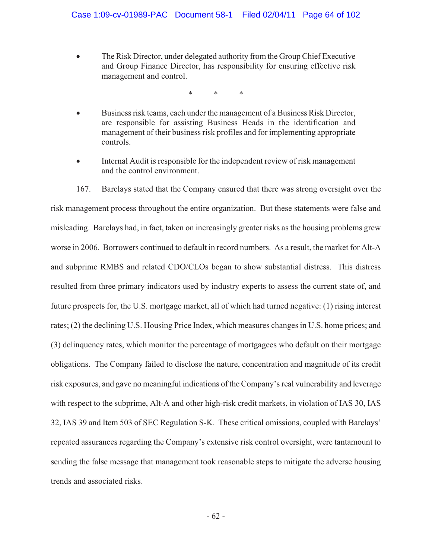- The Risk Director, under delegated authority from the Group Chief Executive and Group Finance Director, has responsibility for ensuring effective risk management and control.

\* \* \*

- - Business risk teams, each under the management of a Business Risk Director, are responsible for assisting Business Heads in the identification and management of their business risk profiles and for implementing appropriate controls.
- - Internal Audit is responsible for the independent review of risk management and the control environment.

167. Barclays stated that the Company ensured that there was strong oversight over the risk management process throughout the entire organization. But these statements were false and misleading. Barclays had, in fact, taken on increasingly greater risks as the housing problems grew worse in 2006. Borrowers continued to default in record numbers. As a result, the market for Alt-A and subprime RMBS and related CDO/CLOs began to show substantial distress. This distress resulted from three primary indicators used by industry experts to assess the current state of, and future prospects for, the U.S. mortgage market, all of which had turned negative: (1) rising interest rates; (2) the declining U.S. Housing Price Index, which measures changes in U.S. home prices; and (3) delinquency rates, which monitor the percentage of mortgagees who default on their mortgage obligations. The Company failed to disclose the nature, concentration and magnitude of its credit risk exposures, and gave no meaningful indications of the Company's real vulnerability and leverage with respect to the subprime, Alt-A and other high-risk credit markets, in violation of IAS 30, IAS 32, IAS 39 and Item 503 of SEC Regulation S-K. These critical omissions, coupled with Barclays' repeated assurances regarding the Company's extensive risk control oversight, were tantamount to sending the false message that management took reasonable steps to mitigate the adverse housing trends and associated risks.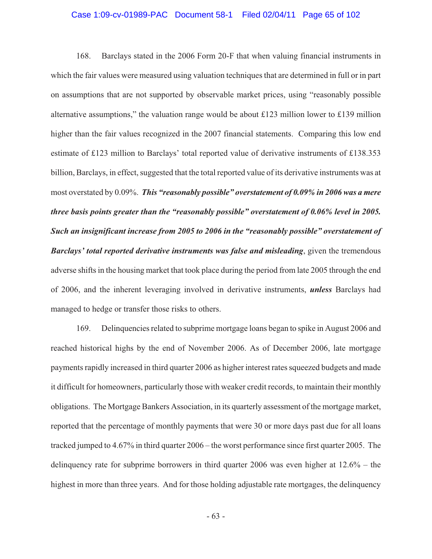#### Case 1:09-cv-01989-PAC Document 58-1 Filed 02/04/11 Page 65 of 102

168. Barclays stated in the 2006 Form 20-F that when valuing financial instruments in which the fair values were measured using valuation techniques that are determined in full or in part on assumptions that are not supported by observable market prices, using "reasonably possible alternative assumptions," the valuation range would be about £123 million lower to £139 million higher than the fair values recognized in the 2007 financial statements. Comparing this low end estimate of £123 million to Barclays' total reported value of derivative instruments of £138.353 billion, Barclays, in effect, suggested that the total reported value of its derivative instruments was at most overstated by 0.09%. *This "reasonably possible" overstatement of 0.09% in 2006 was a mere three basis points greater than the "reasonably possible" overstatement of 0.06% level in 2005. Such an insignificant increase from 2005 to 2006 in the "reasonably possible" overstatement of Barclays' total reported derivative instruments was false and misleading*, given the tremendous adverse shifts in the housing market that took place during the period from late 2005 through the end of 2006, and the inherent leveraging involved in derivative instruments, *unless* Barclays had managed to hedge or transfer those risks to others.

169. Delinquencies related to subprime mortgage loans began to spike in August 2006 and reached historical highs by the end of November 2006. As of December 2006, late mortgage payments rapidly increased in third quarter 2006 as higher interest rates squeezed budgets and made it difficult for homeowners, particularly those with weaker credit records, to maintain their monthly obligations. The Mortgage Bankers Association, in its quarterly assessment of the mortgage market, reported that the percentage of monthly payments that were 30 or more days past due for all loans tracked jumped to 4.67% in third quarter 2006 – the worst performance since first quarter 2005. The delinquency rate for subprime borrowers in third quarter 2006 was even higher at 12.6% – the highest in more than three years. And for those holding adjustable rate mortgages, the delinquency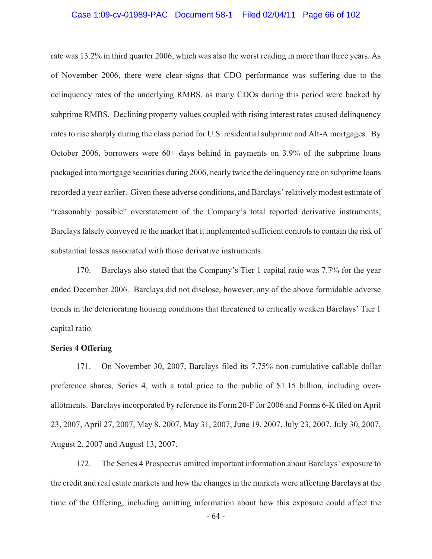#### Case 1:09-cv-01989-PAC Document 58-1 Filed 02/04/11 Page 66 of 102

rate was 13.2% in third quarter 2006, which was also the worst reading in more than three years. As of November 2006, there were clear signs that CDO performance was suffering due to the delinquency rates of the underlying RMBS, as many CDOs during this period were backed by subprime RMBS. Declining property values coupled with rising interest rates caused delinquency rates to rise sharply during the class period for U.S. residential subprime and Alt-A mortgages. By October 2006, borrowers were 60+ days behind in payments on 3.9% of the subprime loans packaged into mortgage securities during 2006, nearly twice the delinquency rate on subprime loans recorded a year earlier. Given these adverse conditions, and Barclays' relatively modest estimate of "reasonably possible" overstatement of the Company's total reported derivative instruments, Barclays falsely conveyed to the market that it implemented sufficient controls to contain the risk of substantial losses associated with those derivative instruments.

170. Barclays also stated that the Company's Tier 1 capital ratio was 7.7% for the year ended December 2006. Barclays did not disclose, however, any of the above formidable adverse trends in the deteriorating housing conditions that threatened to critically weaken Barclays' Tier 1 capital ratio.

#### **Series 4 Offering**

171. On November 30, 2007, Barclays filed its 7.75% non-cumulative callable dollar preference shares, Series 4, with a total price to the public of \$1.15 billion, including overallotments. Barclays incorporated by reference its Form 20-F for 2006 and Forms 6-K filed on April 23, 2007, April 27, 2007, May 8, 2007, May 31, 2007, June 19, 2007, July 23, 2007, July 30, 2007, August 2, 2007 and August 13, 2007.

172. The Series 4 Prospectus omitted important information about Barclays' exposure to the credit and real estate markets and how the changes in the markets were affecting Barclays at the time of the Offering, including omitting information about how this exposure could affect the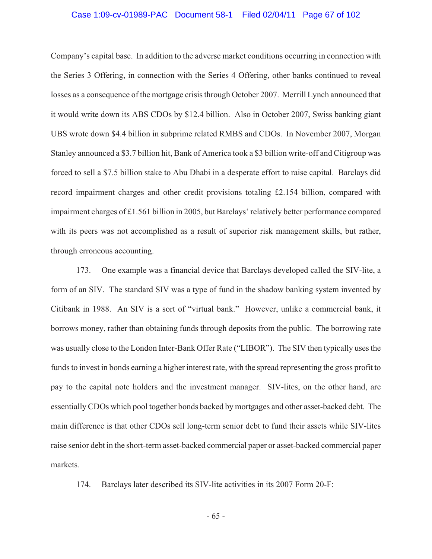#### Case 1:09-cv-01989-PAC Document 58-1 Filed 02/04/11 Page 67 of 102

Company's capital base. In addition to the adverse market conditions occurring in connection with the Series 3 Offering, in connection with the Series 4 Offering, other banks continued to reveal losses as a consequence of the mortgage crisis through October 2007. Merrill Lynch announced that it would write down its ABS CDOs by \$12.4 billion. Also in October 2007, Swiss banking giant UBS wrote down \$4.4 billion in subprime related RMBS and CDOs. In November 2007, Morgan Stanley announced a \$3.7 billion hit, Bank of America took a \$3 billion write-off and Citigroup was forced to sell a \$7.5 billion stake to Abu Dhabi in a desperate effort to raise capital. Barclays did record impairment charges and other credit provisions totaling £2.154 billion, compared with impairment charges of £1.561 billion in 2005, but Barclays' relatively better performance compared with its peers was not accomplished as a result of superior risk management skills, but rather, through erroneous accounting.

173. One example was a financial device that Barclays developed called the SIV-lite, a form of an SIV. The standard SIV was a type of fund in the shadow banking system invented by Citibank in 1988. An SIV is a sort of "virtual bank." However, unlike a commercial bank, it borrows money, rather than obtaining funds through deposits from the public. The borrowing rate was usually close to the London Inter-Bank Offer Rate ("LIBOR"). The SIV then typically uses the funds to invest in bonds earning a higher interest rate, with the spread representing the gross profit to pay to the capital note holders and the investment manager. SIV-lites, on the other hand, are essentially CDOs which pool together bonds backed by mortgages and other asset-backed debt. The main difference is that other CDOs sell long-term senior debt to fund their assets while SIV-lites raise senior debt in the short-term asset-backed commercial paper or asset-backed commercial paper markets.

174. Barclays later described its SIV-lite activities in its 2007 Form 20-F: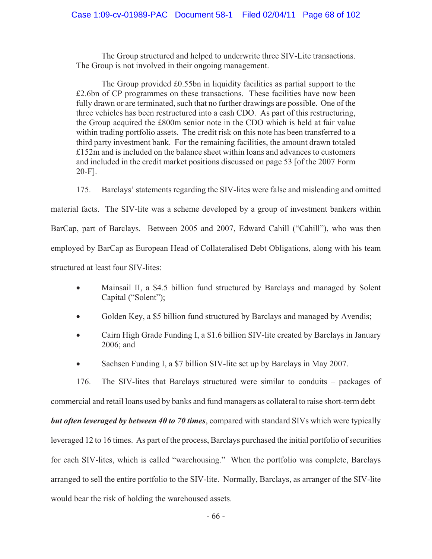The Group structured and helped to underwrite three SIV-Lite transactions. The Group is not involved in their ongoing management.

The Group provided £0.55bn in liquidity facilities as partial support to the £2.6bn of CP programmes on these transactions. These facilities have now been fully drawn or are terminated, such that no further drawings are possible. One of the three vehicles has been restructured into a cash CDO. As part of this restructuring, the Group acquired the £800m senior note in the CDO which is held at fair value within trading portfolio assets. The credit risk on this note has been transferred to a third party investment bank. For the remaining facilities, the amount drawn totaled £152m and is included on the balance sheet within loans and advances to customers and included in the credit market positions discussed on page 53 [of the 2007 Form 20-F].

175. Barclays' statements regarding the SIV-lites were false and misleading and omitted material facts. The SIV-lite was a scheme developed by a group of investment bankers within BarCap, part of Barclays. Between 2005 and 2007, Edward Cahill ("Cahill"), who was then employed by BarCap as European Head of Collateralised Debt Obligations, along with his team structured at least four SIV-lites:

- $\bullet$  Mainsail II, a \$4.5 billion fund structured by Barclays and managed by Solent Capital ("Solent");
- -Golden Key, a \$5 billion fund structured by Barclays and managed by Avendis;
- - Cairn High Grade Funding I, a \$1.6 billion SIV-lite created by Barclays in January 2006; and
- $\bullet$ Sachsen Funding I, a \$7 billion SIV-lite set up by Barclays in May 2007.

176. The SIV-lites that Barclays structured were similar to conduits – packages of commercial and retail loans used by banks and fund managers as collateral to raise short-term debt – *but often leveraged by between 40 to 70 times*, compared with standard SIVs which were typically leveraged 12 to 16 times. As part of the process, Barclays purchased the initial portfolio of securities for each SIV-lites, which is called "warehousing." When the portfolio was complete, Barclays arranged to sell the entire portfolio to the SIV-lite. Normally, Barclays, as arranger of the SIV-lite would bear the risk of holding the warehoused assets.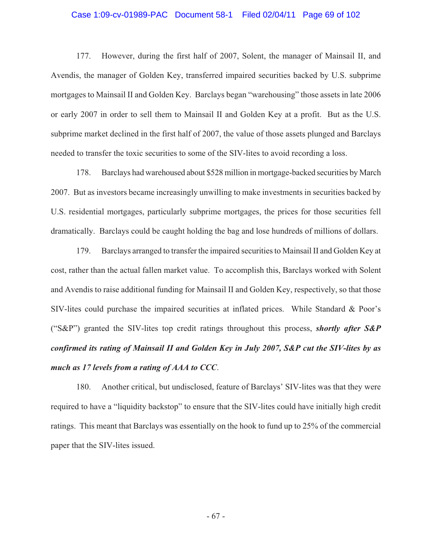# Case 1:09-cv-01989-PAC Document 58-1 Filed 02/04/11 Page 69 of 102

177. However, during the first half of 2007, Solent, the manager of Mainsail II, and Avendis, the manager of Golden Key, transferred impaired securities backed by U.S. subprime mortgages to Mainsail II and Golden Key. Barclays began "warehousing" those assets in late 2006 or early 2007 in order to sell them to Mainsail II and Golden Key at a profit. But as the U.S. subprime market declined in the first half of 2007, the value of those assets plunged and Barclays needed to transfer the toxic securities to some of the SIV-lites to avoid recording a loss.

178. Barclays had warehoused about \$528 million in mortgage-backed securities by March 2007. But as investors became increasingly unwilling to make investments in securities backed by U.S. residential mortgages, particularly subprime mortgages, the prices for those securities fell dramatically. Barclays could be caught holding the bag and lose hundreds of millions of dollars.

179. Barclays arranged to transfer the impaired securities to Mainsail II and Golden Key at cost, rather than the actual fallen market value. To accomplish this, Barclays worked with Solent and Avendis to raise additional funding for Mainsail II and Golden Key, respectively, so that those SIV-lites could purchase the impaired securities at inflated prices. While Standard & Poor's ("S&P") granted the SIV-lites top credit ratings throughout this process, *shortly after S&P confirmed its rating of Mainsail II and Golden Key in July 2007, S&P cut the SIV-lites by as much as 17 levels from a rating of AAA to CCC*.

180. Another critical, but undisclosed, feature of Barclays' SIV-lites was that they were required to have a "liquidity backstop" to ensure that the SIV-lites could have initially high credit ratings. This meant that Barclays was essentially on the hook to fund up to 25% of the commercial paper that the SIV-lites issued.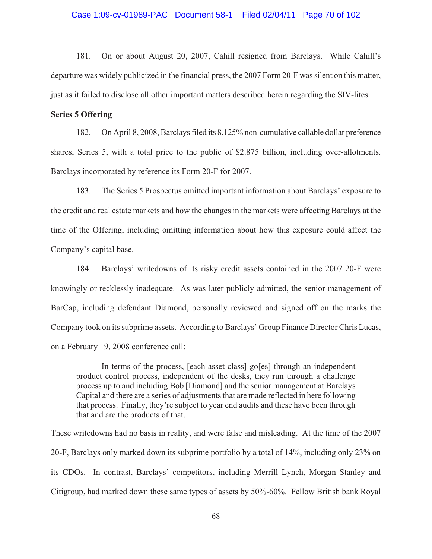#### Case 1:09-cv-01989-PAC Document 58-1 Filed 02/04/11 Page 70 of 102

181. On or about August 20, 2007, Cahill resigned from Barclays. While Cahill's departure was widely publicized in the financial press, the 2007 Form 20-F was silent on this matter, just as it failed to disclose all other important matters described herein regarding the SIV-lites.

#### **Series 5 Offering**

182. On April 8, 2008, Barclays filed its 8.125% non-cumulative callable dollar preference shares, Series 5, with a total price to the public of \$2.875 billion, including over-allotments. Barclays incorporated by reference its Form 20-F for 2007.

183. The Series 5 Prospectus omitted important information about Barclays' exposure to the credit and real estate markets and how the changes in the markets were affecting Barclays at the time of the Offering, including omitting information about how this exposure could affect the Company's capital base.

184. Barclays' writedowns of its risky credit assets contained in the 2007 20-F were knowingly or recklessly inadequate. As was later publicly admitted, the senior management of BarCap, including defendant Diamond, personally reviewed and signed off on the marks the Company took on its subprime assets. According to Barclays' Group Finance Director Chris Lucas, on a February 19, 2008 conference call:

In terms of the process, [each asset class] go[es] through an independent product control process, independent of the desks, they run through a challenge process up to and including Bob [Diamond] and the senior management at Barclays Capital and there are a series of adjustments that are made reflected in here following that process. Finally, they're subject to year end audits and these have been through that and are the products of that.

These writedowns had no basis in reality, and were false and misleading. At the time of the 2007 20-F, Barclays only marked down its subprime portfolio by a total of 14%, including only 23% on its CDOs. In contrast, Barclays' competitors, including Merrill Lynch, Morgan Stanley and Citigroup, had marked down these same types of assets by 50%-60%. Fellow British bank Royal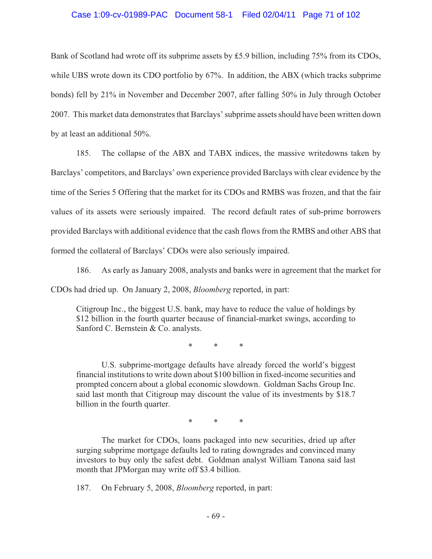### Case 1:09-cv-01989-PAC Document 58-1 Filed 02/04/11 Page 71 of 102

Bank of Scotland had wrote off its subprime assets by  $£5.9$  billion, including 75% from its CDOs, while UBS wrote down its CDO portfolio by 67%. In addition, the ABX (which tracks subprime bonds) fell by 21% in November and December 2007, after falling 50% in July through October 2007. This market data demonstrates that Barclays' subprime assets should have been written down by at least an additional 50%.

185. The collapse of the ABX and TABX indices, the massive writedowns taken by Barclays' competitors, and Barclays' own experience provided Barclays with clear evidence by the time of the Series 5 Offering that the market for its CDOs and RMBS was frozen, and that the fair values of its assets were seriously impaired. The record default rates of sub-prime borrowers provided Barclays with additional evidence that the cash flows from the RMBS and other ABS that formed the collateral of Barclays' CDOs were also seriously impaired.

186. As early as January 2008, analysts and banks were in agreement that the market for CDOs had dried up. On January 2, 2008, *Bloomberg* reported, in part:

Citigroup Inc., the biggest U.S. bank, may have to reduce the value of holdings by \$12 billion in the fourth quarter because of financial-market swings, according to Sanford C. Bernstein & Co. analysts.

\* \* \*

U.S. subprime-mortgage defaults have already forced the world's biggest financial institutions to write down about \$100 billion in fixed-income securities and prompted concern about a global economic slowdown. Goldman Sachs Group Inc. said last month that Citigroup may discount the value of its investments by \$18.7 billion in the fourth quarter.

\* \* \*

The market for CDOs, loans packaged into new securities, dried up after surging subprime mortgage defaults led to rating downgrades and convinced many investors to buy only the safest debt. Goldman analyst William Tanona said last month that JPMorgan may write off \$3.4 billion.

187. On February 5, 2008, *Bloomberg* reported, in part: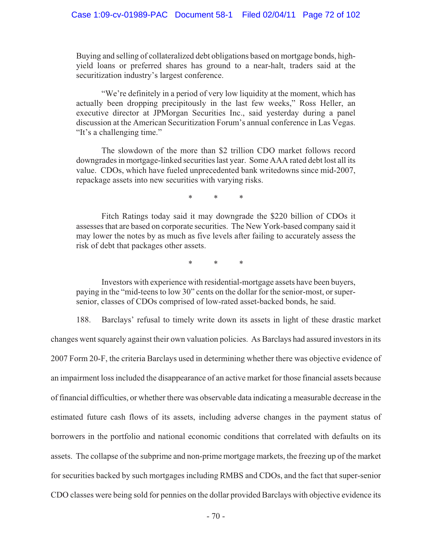Buying and selling of collateralized debt obligations based on mortgage bonds, highyield loans or preferred shares has ground to a near-halt, traders said at the securitization industry's largest conference.

"We're definitely in a period of very low liquidity at the moment, which has actually been dropping precipitously in the last few weeks," Ross Heller, an executive director at JPMorgan Securities Inc., said yesterday during a panel discussion at the American Securitization Forum's annual conference in Las Vegas. "It's a challenging time."

The slowdown of the more than \$2 trillion CDO market follows record downgrades in mortgage-linked securities last year. Some AAA rated debt lost all its value. CDOs, which have fueled unprecedented bank writedowns since mid-2007, repackage assets into new securities with varying risks.

\* \* \*

Fitch Ratings today said it may downgrade the \$220 billion of CDOs it assesses that are based on corporate securities. The New York-based company said it may lower the notes by as much as five levels after failing to accurately assess the risk of debt that packages other assets.

\* \* \*

Investors with experience with residential-mortgage assets have been buyers, paying in the "mid-teens to low 30" cents on the dollar for the senior-most, or supersenior, classes of CDOs comprised of low-rated asset-backed bonds, he said.

188. Barclays' refusal to timely write down its assets in light of these drastic market changes went squarely against their own valuation policies. As Barclays had assured investors in its 2007 Form 20-F, the criteria Barclays used in determining whether there was objective evidence of an impairment loss included the disappearance of an active market for those financial assets because of financial difficulties, or whether there was observable data indicating a measurable decrease in the estimated future cash flows of its assets, including adverse changes in the payment status of borrowers in the portfolio and national economic conditions that correlated with defaults on its assets. The collapse of the subprime and non-prime mortgage markets, the freezing up of the market for securities backed by such mortgages including RMBS and CDOs, and the fact that super-senior CDO classes were being sold for pennies on the dollar provided Barclays with objective evidence its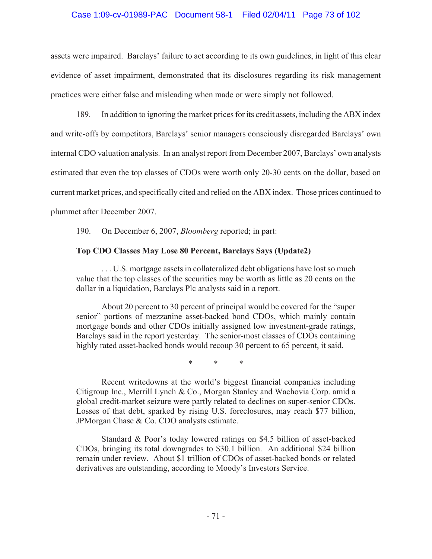# Case 1:09-cv-01989-PAC Document 58-1 Filed 02/04/11 Page 73 of 102

assets were impaired. Barclays' failure to act according to its own guidelines, in light of this clear evidence of asset impairment, demonstrated that its disclosures regarding its risk management practices were either false and misleading when made or were simply not followed.

189. In addition to ignoring the market prices for its credit assets, including the ABX index and write-offs by competitors, Barclays' senior managers consciously disregarded Barclays' own internal CDO valuation analysis. In an analyst report from December 2007, Barclays' own analysts estimated that even the top classes of CDOs were worth only 20-30 cents on the dollar, based on current market prices, and specifically cited and relied on the ABX index. Those prices continued to plummet after December 2007.

190. On December 6, 2007, *Bloomberg* reported; in part:

### **Top CDO Classes May Lose 80 Percent, Barclays Says (Update2)**

... U.S. mortgage assets in collateralized debt obligations have lost so much value that the top classes of the securities may be worth as little as 20 cents on the dollar in a liquidation, Barclays Plc analysts said in a report.

About 20 percent to 30 percent of principal would be covered for the "super senior" portions of mezzanine asset-backed bond CDOs, which mainly contain mortgage bonds and other CDOs initially assigned low investment-grade ratings, Barclays said in the report yesterday. The senior-most classes of CDOs containing highly rated asset-backed bonds would recoup 30 percent to 65 percent, it said.

\* \* \*

Recent writedowns at the world's biggest financial companies including Citigroup Inc., Merrill Lynch & Co., Morgan Stanley and Wachovia Corp. amid a global credit-market seizure were partly related to declines on super-senior CDOs. Losses of that debt, sparked by rising U.S. foreclosures, may reach \$77 billion, JPMorgan Chase & Co. CDO analysts estimate.

Standard & Poor's today lowered ratings on \$4.5 billion of asset-backed CDOs, bringing its total downgrades to \$30.1 billion. An additional \$24 billion remain under review. About \$1 trillion of CDOs of asset-backed bonds or related derivatives are outstanding, according to Moody's Investors Service.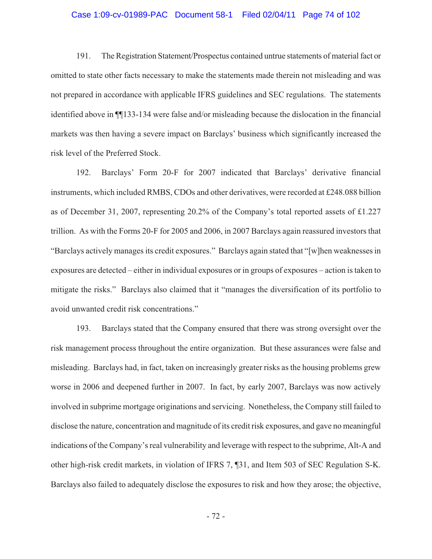#### Case 1:09-cv-01989-PAC Document 58-1 Filed 02/04/11 Page 74 of 102

191. The Registration Statement/Prospectus contained untrue statements of material fact or omitted to state other facts necessary to make the statements made therein not misleading and was not prepared in accordance with applicable IFRS guidelines and SEC regulations. The statements identified above in ¶¶133-134 were false and/or misleading because the dislocation in the financial markets was then having a severe impact on Barclays' business which significantly increased the risk level of the Preferred Stock.

192. Barclays' Form 20-F for 2007 indicated that Barclays' derivative financial instruments, which included RMBS, CDOs and other derivatives, were recorded at £248.088 billion as of December 31, 2007, representing 20.2% of the Company's total reported assets of £1.227 trillion. As with the Forms 20-F for 2005 and 2006, in 2007 Barclays again reassured investors that "Barclays actively manages its credit exposures." Barclays again stated that "[w]hen weaknesses in exposures are detected – either in individual exposures or in groups of exposures – action is taken to mitigate the risks." Barclays also claimed that it "manages the diversification of its portfolio to avoid unwanted credit risk concentrations."

193. Barclays stated that the Company ensured that there was strong oversight over the risk management process throughout the entire organization. But these assurances were false and misleading. Barclays had, in fact, taken on increasingly greater risks as the housing problems grew worse in 2006 and deepened further in 2007. In fact, by early 2007, Barclays was now actively involved in subprime mortgage originations and servicing. Nonetheless, the Company still failed to disclose the nature, concentration and magnitude of its credit risk exposures, and gave no meaningful indications of the Company's real vulnerability and leverage with respect to the subprime, Alt-A and other high-risk credit markets, in violation of IFRS 7, ¶31, and Item 503 of SEC Regulation S-K. Barclays also failed to adequately disclose the exposures to risk and how they arose; the objective,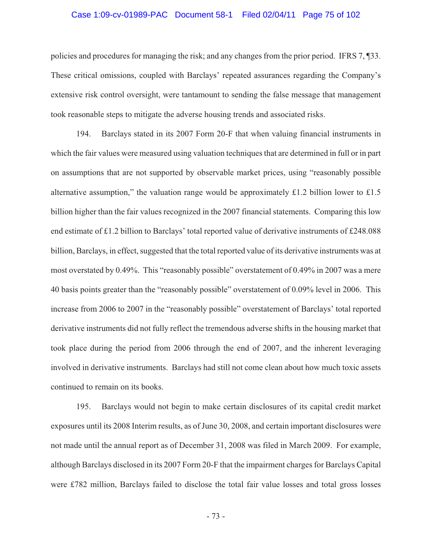#### Case 1:09-cv-01989-PAC Document 58-1 Filed 02/04/11 Page 75 of 102

policies and procedures for managing the risk; and any changes from the prior period. IFRS 7, ¶33. These critical omissions, coupled with Barclays' repeated assurances regarding the Company's extensive risk control oversight, were tantamount to sending the false message that management took reasonable steps to mitigate the adverse housing trends and associated risks.

194. Barclays stated in its 2007 Form 20-F that when valuing financial instruments in which the fair values were measured using valuation techniques that are determined in full or in part on assumptions that are not supported by observable market prices, using "reasonably possible alternative assumption," the valuation range would be approximately £1.2 billion lower to £1.5 billion higher than the fair values recognized in the 2007 financial statements. Comparing this low end estimate of £1.2 billion to Barclays' total reported value of derivative instruments of £248.088 billion, Barclays, in effect, suggested that the total reported value of its derivative instruments was at most overstated by 0.49%. This "reasonably possible" overstatement of 0.49% in 2007 was a mere 40 basis points greater than the "reasonably possible" overstatement of 0.09% level in 2006. This increase from 2006 to 2007 in the "reasonably possible" overstatement of Barclays' total reported derivative instruments did not fully reflect the tremendous adverse shifts in the housing market that took place during the period from 2006 through the end of 2007, and the inherent leveraging involved in derivative instruments. Barclays had still not come clean about how much toxic assets continued to remain on its books.

195. Barclays would not begin to make certain disclosures of its capital credit market exposures until its 2008 Interim results, as of June 30, 2008, and certain important disclosures were not made until the annual report as of December 31, 2008 was filed in March 2009. For example, although Barclays disclosed in its 2007 Form 20-F that the impairment charges for Barclays Capital were £782 million, Barclays failed to disclose the total fair value losses and total gross losses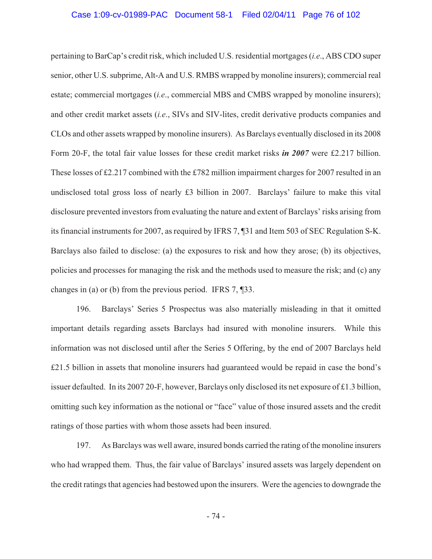pertaining to BarCap's credit risk, which included U.S. residential mortgages (*i.e*., ABS CDO super senior, other U.S. subprime, Alt-A and U.S. RMBS wrapped by monoline insurers); commercial real estate; commercial mortgages (*i.e*., commercial MBS and CMBS wrapped by monoline insurers); and other credit market assets (*i.e*., SIVs and SIV-lites, credit derivative products companies and CLOs and other assets wrapped by monoline insurers). As Barclays eventually disclosed in its 2008 Form 20-F, the total fair value losses for these credit market risks *in 2007* were £2.217 billion. These losses of £2.217 combined with the £782 million impairment charges for 2007 resulted in an undisclosed total gross loss of nearly £3 billion in 2007. Barclays' failure to make this vital disclosure prevented investors from evaluating the nature and extent of Barclays' risks arising from its financial instruments for 2007, as required by IFRS 7, ¶31 and Item 503 of SEC Regulation S-K. Barclays also failed to disclose: (a) the exposures to risk and how they arose; (b) its objectives, policies and processes for managing the risk and the methods used to measure the risk; and (c) any changes in (a) or (b) from the previous period. IFRS 7, ¶33.

196. Barclays' Series 5 Prospectus was also materially misleading in that it omitted important details regarding assets Barclays had insured with monoline insurers. While this information was not disclosed until after the Series 5 Offering, by the end of 2007 Barclays held £21.5 billion in assets that monoline insurers had guaranteed would be repaid in case the bond's issuer defaulted. In its 2007 20-F, however, Barclays only disclosed its net exposure of £1.3 billion, omitting such key information as the notional or "face" value of those insured assets and the credit ratings of those parties with whom those assets had been insured.

197. As Barclays was well aware, insured bonds carried the rating of the monoline insurers who had wrapped them. Thus, the fair value of Barclays' insured assets was largely dependent on the credit ratings that agencies had bestowed upon the insurers. Were the agencies to downgrade the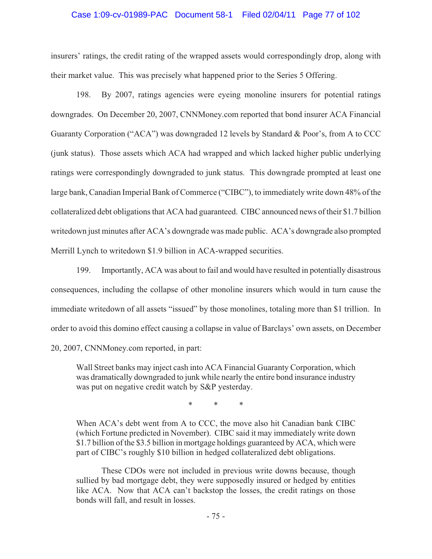### Case 1:09-cv-01989-PAC Document 58-1 Filed 02/04/11 Page 77 of 102

insurers' ratings, the credit rating of the wrapped assets would correspondingly drop, along with their market value. This was precisely what happened prior to the Series 5 Offering.

198. By 2007, ratings agencies were eyeing monoline insurers for potential ratings downgrades. On December 20, 2007, CNNMoney.com reported that bond insurer ACA Financial Guaranty Corporation ("ACA") was downgraded 12 levels by Standard & Poor's, from A to CCC (junk status). Those assets which ACA had wrapped and which lacked higher public underlying ratings were correspondingly downgraded to junk status. This downgrade prompted at least one large bank, Canadian Imperial Bank of Commerce ("CIBC"), to immediately write down 48% of the collateralized debt obligations that ACA had guaranteed. CIBC announced news of their \$1.7 billion writedown just minutes after ACA's downgrade was made public. ACA's downgrade also prompted Merrill Lynch to writedown \$1.9 billion in ACA-wrapped securities.

199. Importantly, ACA was about to fail and would have resulted in potentially disastrous consequences, including the collapse of other monoline insurers which would in turn cause the immediate writedown of all assets "issued" by those monolines, totaling more than \$1 trillion. In order to avoid this domino effect causing a collapse in value of Barclays' own assets, on December 20, 2007, CNNMoney.com reported, in part:

Wall Street banks may inject cash into ACA Financial Guaranty Corporation, which was dramatically downgraded to junk while nearly the entire bond insurance industry was put on negative credit watch by S&P yesterday.

\* \* \*

When ACA's debt went from A to CCC, the move also hit Canadian bank CIBC (which Fortune predicted in November). CIBC said it may immediately write down \$1.7 billion of the \$3.5 billion in mortgage holdings guaranteed by ACA, which were part of CIBC's roughly \$10 billion in hedged collateralized debt obligations.

These CDOs were not included in previous write downs because, though sullied by bad mortgage debt, they were supposedly insured or hedged by entities like ACA. Now that ACA can't backstop the losses, the credit ratings on those bonds will fall, and result in losses.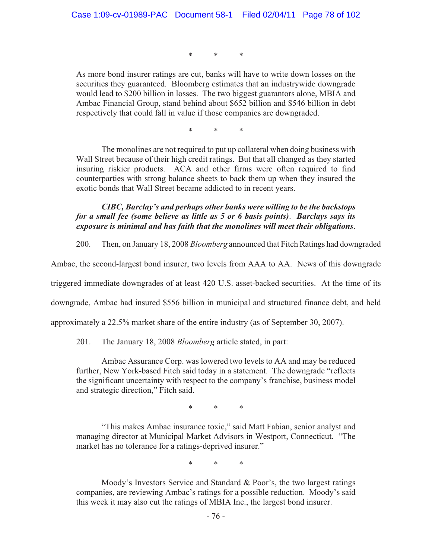\* \* \*

As more bond insurer ratings are cut, banks will have to write down losses on the securities they guaranteed. Bloomberg estimates that an industrywide downgrade would lead to \$200 billion in losses. The two biggest guarantors alone, MBIA and Ambac Financial Group, stand behind about \$652 billion and \$546 billion in debt respectively that could fall in value if those companies are downgraded.

\* \* \*

The monolines are not required to put up collateral when doing business with Wall Street because of their high credit ratings. But that all changed as they started insuring riskier products. ACA and other firms were often required to find counterparties with strong balance sheets to back them up when they insured the exotic bonds that Wall Street became addicted to in recent years.

# *CIBC, Barclay's and perhaps other banks were willing to be the backstops for a small fee (some believe as little as 5 or 6 basis points)*. *Barclays says its exposure is minimal and has faith that the monolines will meet their obligations*.

200. Then, on January 18, 2008 *Bloomberg* announced that Fitch Ratings had downgraded

Ambac, the second-largest bond insurer, two levels from AAA to AA. News of this downgrade

triggered immediate downgrades of at least 420 U.S. asset-backed securities. At the time of its

downgrade, Ambac had insured \$556 billion in municipal and structured finance debt, and held

approximately a 22.5% market share of the entire industry (as of September 30, 2007).

201. The January 18, 2008 *Bloomberg* article stated, in part:

Ambac Assurance Corp. was lowered two levels to AA and may be reduced further, New York-based Fitch said today in a statement. The downgrade "reflects the significant uncertainty with respect to the company's franchise, business model and strategic direction," Fitch said.

\* \* \*

"This makes Ambac insurance toxic," said Matt Fabian, senior analyst and managing director at Municipal Market Advisors in Westport, Connecticut. "The market has no tolerance for a ratings-deprived insurer."

\* \* \*

Moody's Investors Service and Standard & Poor's, the two largest ratings companies, are reviewing Ambac's ratings for a possible reduction. Moody's said this week it may also cut the ratings of MBIA Inc., the largest bond insurer.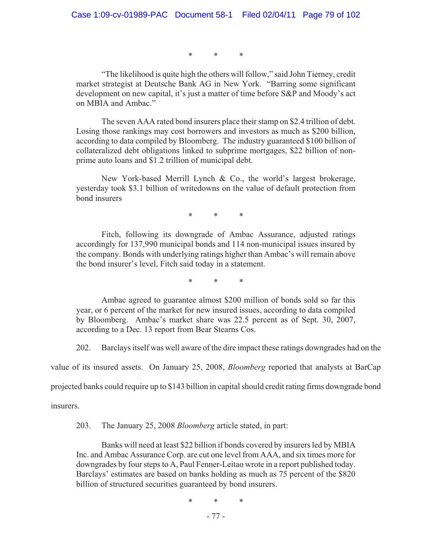\* \* \*

"The likelihood is quite high the others will follow," said John Tierney, credit market strategist at Deutsche Bank AG in New York. "Barring some significant development on new capital, it's just a matter of time before S&P and Moody's act on MBIA and Ambac."

The seven AAA rated bond insurers place their stamp on \$2.4 trillion of debt. Losing those rankings may cost borrowers and investors as much as \$200 billion, according to data compiled by Bloomberg. The industry guaranteed \$100 billion of collateralized debt obligations linked to subprime mortgages, \$22 billion of nonprime auto loans and \$1.2 trillion of municipal debt.

New York-based Merrill Lynch & Co., the world's largest brokerage, yesterday took \$3.1 billion of writedowns on the value of default protection from bond insurers

\* \* \*

Fitch, following its downgrade of Ambac Assurance, adjusted ratings accordingly for 137,990 municipal bonds and 114 non-municipal issues insured by the company. Bonds with underlying ratings higher than Ambac's will remain above the bond insurer's level, Fitch said today in a statement.

\* \* \*

Ambac agreed to guarantee almost \$200 million of bonds sold so far this year, or 6 percent of the market for new insured issues, according to data compiled by Bloomberg. Ambac's market share was 22.5 percent as of Sept. 30, 2007, according to a Dec. 13 report from Bear Stearns Cos.

202. Barclays itself was well aware of the dire impact these ratings downgrades had on the

value of its insured assets. On January 25, 2008, *Bloomberg* reported that analysts at BarCap

projected banks could require up to \$143 billion in capital should credit rating firms downgrade bond

insurers.

203. The January 25, 2008 *Bloomberg* article stated, in part:

Banks will need at least \$22 billion if bonds covered by insurers led by MBIA Inc. and Ambac Assurance Corp. are cut one level from AAA, and six times more for downgrades by four steps to A, Paul Fenner-Leitao wrote in a report published today. Barclays' estimates are based on banks holding as much as 75 percent of the \$820 billion of structured securities guaranteed by bond insurers.

\* \* \*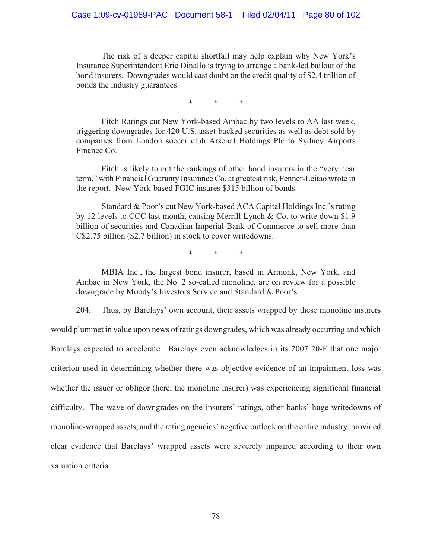The risk of a deeper capital shortfall may help explain why New York's Insurance Superintendent Eric Dinallo is trying to arrange a bank-led bailout of the bond insurers. Downgrades would cast doubt on the credit quality of \$2.4 trillion of bonds the industry guarantees.

\* \* \*

Fitch Ratings cut New York-based Ambac by two levels to AA last week, triggering downgrades for 420 U.S. asset-backed securities as well as debt sold by companies from London soccer club Arsenal Holdings Plc to Sydney Airports Finance Co.

Fitch is likely to cut the rankings of other bond insurers in the "very near term," with Financial Guaranty Insurance Co. at greatest risk, Fenner-Leitao wrote in the report. New York-based FGIC insures \$315 billion of bonds.

Standard & Poor's cut New York-based ACA Capital Holdings Inc.'s rating by 12 levels to CCC last month, causing Merrill Lynch & Co. to write down \$1.9 billion of securities and Canadian Imperial Bank of Commerce to sell more than C\$2.75 billion (\$2.7 billion) in stock to cover writedowns.

\* \* \*

MBIA Inc., the largest bond insurer, based in Armonk, New York, and Ambac in New York, the No. 2 so-called monoline, are on review for a possible downgrade by Moody's Investors Service and Standard & Poor's.

204. Thus, by Barclays' own account, their assets wrapped by these monoline insurers would plummet in value upon news of ratings downgrades, which was already occurring and which Barclays expected to accelerate. Barclays even acknowledges in its 2007 20-F that one major criterion used in determining whether there was objective evidence of an impairment loss was whether the issuer or obligor (here, the monoline insurer) was experiencing significant financial difficulty. The wave of downgrades on the insurers' ratings, other banks' huge writedowns of monoline-wrapped assets, and the rating agencies' negative outlook on the entire industry, provided clear evidence that Barclays' wrapped assets were severely impaired according to their own valuation criteria.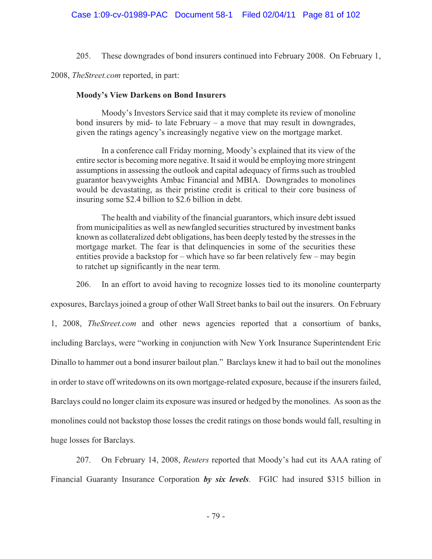205. These downgrades of bond insurers continued into February 2008. On February 1,

2008, *TheStreet.com* reported, in part:

### **Moody's View Darkens on Bond Insurers**

Moody's Investors Service said that it may complete its review of monoline bond insurers by mid- to late February – a move that may result in downgrades, given the ratings agency's increasingly negative view on the mortgage market.

In a conference call Friday morning, Moody's explained that its view of the entire sector is becoming more negative. It said it would be employing more stringent assumptions in assessing the outlook and capital adequacy of firms such as troubled guarantor heavyweights Ambac Financial and MBIA. Downgrades to monolines would be devastating, as their pristine credit is critical to their core business of insuring some \$2.4 billion to \$2.6 billion in debt.

The health and viability of the financial guarantors, which insure debt issued from municipalities as well as newfangled securities structured by investment banks known as collateralized debt obligations, has been deeply tested by the stresses in the mortgage market. The fear is that delinquencies in some of the securities these entities provide a backstop for – which have so far been relatively few – may begin to ratchet up significantly in the near term.

206. In an effort to avoid having to recognize losses tied to its monoline counterparty

exposures, Barclays joined a group of other Wall Street banks to bail out the insurers. On February

1, 2008, *TheStreet.com* and other news agencies reported that a consortium of banks, including Barclays, were "working in conjunction with New York Insurance Superintendent Eric Dinallo to hammer out a bond insurer bailout plan." Barclays knew it had to bail out the monolines in order to stave off writedowns on its own mortgage-related exposure, because if the insurers failed, Barclays could no longer claim its exposure was insured or hedged by the monolines. As soon as the monolines could not backstop those losses the credit ratings on those bonds would fall, resulting in huge losses for Barclays.

207. On February 14, 2008, *Reuters* reported that Moody's had cut its AAA rating of Financial Guaranty Insurance Corporation *by six levels*. FGIC had insured \$315 billion in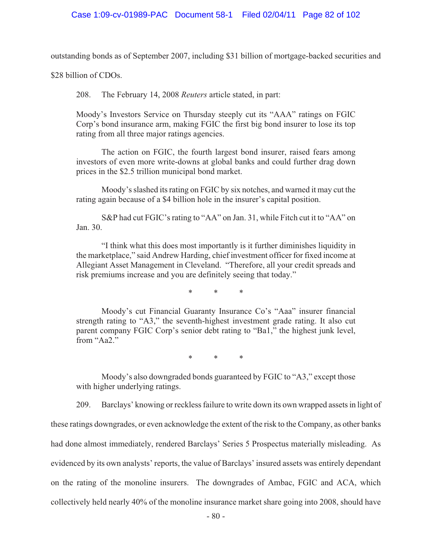outstanding bonds as of September 2007, including \$31 billion of mortgage-backed securities and

\$28 billion of CDOs.

208. The February 14, 2008 *Reuters* article stated, in part:

Moody's Investors Service on Thursday steeply cut its "AAA" ratings on FGIC Corp's bond insurance arm, making FGIC the first big bond insurer to lose its top rating from all three major ratings agencies.

The action on FGIC, the fourth largest bond insurer, raised fears among investors of even more write-downs at global banks and could further drag down prices in the \$2.5 trillion municipal bond market.

Moody's slashed its rating on FGIC by six notches, and warned it may cut the rating again because of a \$4 billion hole in the insurer's capital position.

S&P had cut FGIC's rating to "AA" on Jan. 31, while Fitch cut it to "AA" on Jan. 30.

"I think what this does most importantly is it further diminishes liquidity in the marketplace," said Andrew Harding, chief investment officer for fixed income at Allegiant Asset Management in Cleveland. "Therefore, all your credit spreads and risk premiums increase and you are definitely seeing that today."

\* \* \*

Moody's cut Financial Guaranty Insurance Co's "Aaa" insurer financial strength rating to "A3," the seventh-highest investment grade rating. It also cut parent company FGIC Corp's senior debt rating to "Ba1," the highest junk level, from "Aa2."

\* \* \*

Moody's also downgraded bonds guaranteed by FGIC to "A3," except those with higher underlying ratings.

209. Barclays' knowing or reckless failure to write down its own wrapped assets in light of these ratings downgrades, or even acknowledge the extent of the risk to the Company, as other banks had done almost immediately, rendered Barclays' Series 5 Prospectus materially misleading. As evidenced by its own analysts' reports, the value of Barclays' insured assets was entirely dependant on the rating of the monoline insurers. The downgrades of Ambac, FGIC and ACA, which collectively held nearly 40% of the monoline insurance market share going into 2008, should have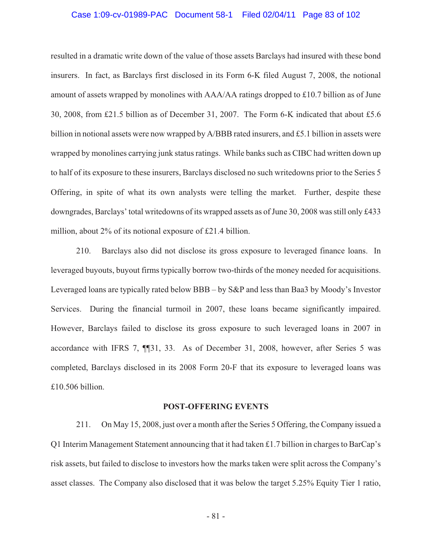#### Case 1:09-cv-01989-PAC Document 58-1 Filed 02/04/11 Page 83 of 102

resulted in a dramatic write down of the value of those assets Barclays had insured with these bond insurers. In fact, as Barclays first disclosed in its Form 6-K filed August 7, 2008, the notional amount of assets wrapped by monolines with AAA/AA ratings dropped to £10.7 billion as of June 30, 2008, from £21.5 billion as of December 31, 2007. The Form 6-K indicated that about £5.6 billion in notional assets were now wrapped by A/BBB rated insurers, and £5.1 billion in assets were wrapped by monolines carrying junk status ratings. While banks such as CIBC had written down up to half of its exposure to these insurers, Barclays disclosed no such writedowns prior to the Series 5 Offering, in spite of what its own analysts were telling the market. Further, despite these downgrades, Barclays' total writedowns of its wrapped assets as of June 30, 2008 was still only £433 million, about 2% of its notional exposure of £21.4 billion.

210. Barclays also did not disclose its gross exposure to leveraged finance loans. In leveraged buyouts, buyout firms typically borrow two-thirds of the money needed for acquisitions. Leveraged loans are typically rated below BBB – by S&P and less than Baa3 by Moody's Investor Services. During the financial turmoil in 2007, these loans became significantly impaired. However, Barclays failed to disclose its gross exposure to such leveraged loans in 2007 in accordance with IFRS 7, ¶¶31, 33. As of December 31, 2008, however, after Series 5 was completed, Barclays disclosed in its 2008 Form 20-F that its exposure to leveraged loans was £10.506 billion.

#### **POST-OFFERING EVENTS**

211. On May 15, 2008, just over a month after the Series 5 Offering, the Company issued a Q1 Interim Management Statement announcing that it had taken £1.7 billion in charges to BarCap's risk assets, but failed to disclose to investors how the marks taken were split across the Company's asset classes. The Company also disclosed that it was below the target 5.25% Equity Tier 1 ratio,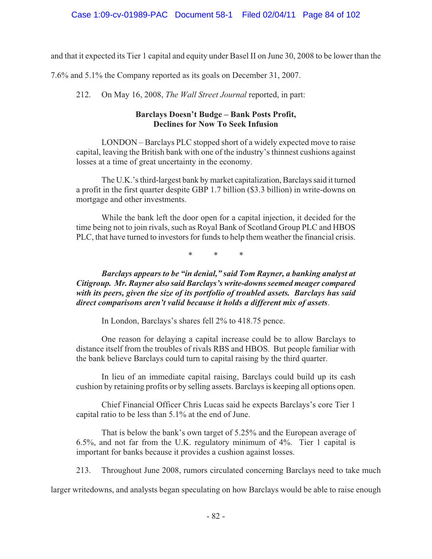and that it expected its Tier 1 capital and equity under Basel II on June 30, 2008 to be lower than the

7.6% and 5.1% the Company reported as its goals on December 31, 2007.

212. On May 16, 2008, *The Wall Street Journal* reported, in part:

# **Barclays Doesn't Budge – Bank Posts Profit, Declines for Now To Seek Infusion**

LONDON – Barclays PLC stopped short of a widely expected move to raise capital, leaving the British bank with one of the industry's thinnest cushions against losses at a time of great uncertainty in the economy.

The U.K.'s third-largest bank by market capitalization, Barclays said it turned a profit in the first quarter despite GBP 1.7 billion (\$3.3 billion) in write-downs on mortgage and other investments.

While the bank left the door open for a capital injection, it decided for the time being not to join rivals, such as Royal Bank of Scotland Group PLC and HBOS PLC, that have turned to investors for funds to help them weather the financial crisis.

\* \* \*

*Barclays appears to be "in denial," said Tom Rayner, a banking analyst at Citigroup. Mr. Rayner also said Barclays's write-downs seemed meager compared with its peers, given the size of its portfolio of troubled assets. Barclays has said direct comparisons aren't valid because it holds a different mix of assets*.

In London, Barclays's shares fell 2% to 418.75 pence.

One reason for delaying a capital increase could be to allow Barclays to distance itself from the troubles of rivals RBS and HBOS. But people familiar with the bank believe Barclays could turn to capital raising by the third quarter.

In lieu of an immediate capital raising, Barclays could build up its cash cushion by retaining profits or by selling assets. Barclays is keeping all options open.

Chief Financial Officer Chris Lucas said he expects Barclays's core Tier 1 capital ratio to be less than 5.1% at the end of June.

That is below the bank's own target of 5.25% and the European average of 6.5%, and not far from the U.K. regulatory minimum of 4%. Tier 1 capital is important for banks because it provides a cushion against losses.

213. Throughout June 2008, rumors circulated concerning Barclays need to take much

larger writedowns, and analysts began speculating on how Barclays would be able to raise enough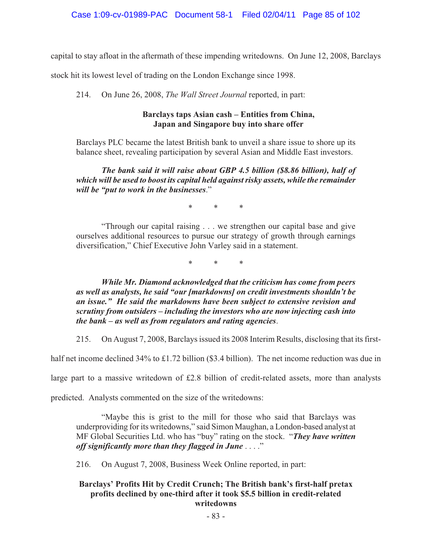capital to stay afloat in the aftermath of these impending writedowns. On June 12, 2008, Barclays

stock hit its lowest level of trading on the London Exchange since 1998.

214. On June 26, 2008, *The Wall Street Journal* reported, in part:

# **Barclays taps Asian cash – Entities from China, Japan and Singapore buy into share offer**

Barclays PLC became the latest British bank to unveil a share issue to shore up its balance sheet, revealing participation by several Asian and Middle East investors.

*The bank said it will raise about GBP 4.5 billion (\$8.86 billion), half of which will be used to boost its capital held against risky assets, while the remainder will be "put to work in the businesses*."

\* \* \*

"Through our capital raising . . . we strengthen our capital base and give ourselves additional resources to pursue our strategy of growth through earnings diversification," Chief Executive John Varley said in a statement.

\* \* \*

*While Mr. Diamond acknowledged that the criticism has come from peers as well as analysts, he said "our [markdowns] on credit investments shouldn't be an issue." He said the markdowns have been subject to extensive revision and scrutiny from outsiders – including the investors who are now injecting cash into the bank – as well as from regulators and rating agencies*.

215. On August 7, 2008, Barclays issued its 2008 Interim Results, disclosing that its first-

half net income declined 34% to £1.72 billion (\$3.4 billion). The net income reduction was due in

large part to a massive writedown of £2.8 billion of credit-related assets, more than analysts

predicted. Analysts commented on the size of the writedowns:

"Maybe this is grist to the mill for those who said that Barclays was underproviding for its writedowns," said Simon Maughan, a London-based analyst at MF Global Securities Ltd. who has "buy" rating on the stock. "*They have written off significantly more than they flagged in June* . . . ."

216. On August 7, 2008, Business Week Online reported, in part:

# **Barclays' Profits Hit by Credit Crunch; The British bank's first-half pretax profits declined by one-third after it took \$5.5 billion in credit-related writedowns**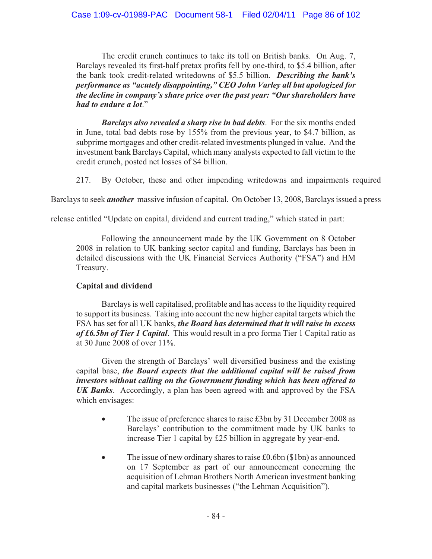The credit crunch continues to take its toll on British banks. On Aug. 7, Barclays revealed its first-half pretax profits fell by one-third, to \$5.4 billion, after the bank took credit-related writedowns of \$5.5 billion. *Describing the bank's performance as "acutely disappointing," CEO John Varley all but apologized for the decline in company's share price over the past year: "Our shareholders have had to endure a lot*."

*Barclays also revealed a sharp rise in bad debts*. For the six months ended in June, total bad debts rose by 155% from the previous year, to \$4.7 billion, as subprime mortgages and other credit-related investments plunged in value. And the investment bank Barclays Capital, which many analysts expected to fall victim to the credit crunch, posted net losses of \$4 billion.

217. By October, these and other impending writedowns and impairments required

Barclays to seek *another* massive infusion of capital. On October 13, 2008, Barclays issued a press

release entitled "Update on capital, dividend and current trading," which stated in part:

Following the announcement made by the UK Government on 8 October 2008 in relation to UK banking sector capital and funding, Barclays has been in detailed discussions with the UK Financial Services Authority ("FSA") and HM Treasury.

# **Capital and dividend**

Barclays is well capitalised, profitable and has access to the liquidity required to support its business. Taking into account the new higher capital targets which the FSA has set for all UK banks, *the Board has determined that it will raise in excess of £6.5bn of Tier 1 Capital*. This would result in a pro forma Tier 1 Capital ratio as at 30 June 2008 of over 11%.

Given the strength of Barclays' well diversified business and the existing capital base, *the Board expects that the additional capital will be raised from investors without calling on the Government funding which has been offered to UK Banks*. Accordingly, a plan has been agreed with and approved by the FSA which envisages:

- $\bullet$  The issue of preference shares to raise £3bn by 31 December 2008 as Barclays' contribution to the commitment made by UK banks to increase Tier 1 capital by £25 billion in aggregate by year-end.
- - The issue of new ordinary shares to raise £0.6bn (\$1bn) as announced on 17 September as part of our announcement concerning the acquisition of Lehman Brothers North American investment banking and capital markets businesses ("the Lehman Acquisition").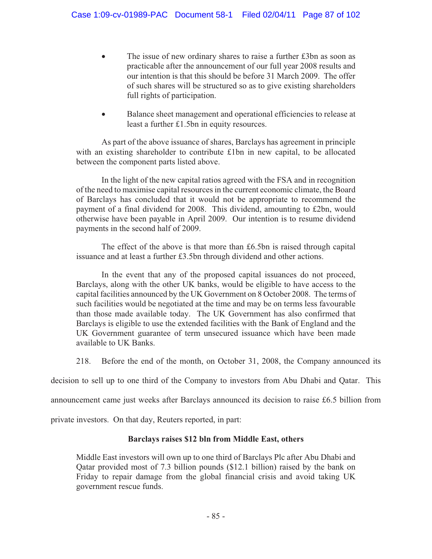- - The issue of new ordinary shares to raise a further £3bn as soon as practicable after the announcement of our full year 2008 results and our intention is that this should be before 31 March 2009. The offer of such shares will be structured so as to give existing shareholders full rights of participation.
- $\bullet$  Balance sheet management and operational efficiencies to release at least a further £1.5bn in equity resources.

As part of the above issuance of shares, Barclays has agreement in principle with an existing shareholder to contribute £1bn in new capital, to be allocated between the component parts listed above.

In the light of the new capital ratios agreed with the FSA and in recognition of the need to maximise capital resources in the current economic climate, the Board of Barclays has concluded that it would not be appropriate to recommend the payment of a final dividend for 2008. This dividend, amounting to £2bn, would otherwise have been payable in April 2009. Our intention is to resume dividend payments in the second half of 2009.

The effect of the above is that more than £6.5bn is raised through capital issuance and at least a further £3.5bn through dividend and other actions.

In the event that any of the proposed capital issuances do not proceed, Barclays, along with the other UK banks, would be eligible to have access to the capital facilities announced by the UK Government on 8 October 2008. The terms of such facilities would be negotiated at the time and may be on terms less favourable than those made available today. The UK Government has also confirmed that Barclays is eligible to use the extended facilities with the Bank of England and the UK Government guarantee of term unsecured issuance which have been made available to UK Banks.

218. Before the end of the month, on October 31, 2008, the Company announced its

decision to sell up to one third of the Company to investors from Abu Dhabi and Qatar. This

announcement came just weeks after Barclays announced its decision to raise £6.5 billion from

private investors. On that day, Reuters reported, in part:

# **Barclays raises \$12 bln from Middle East, others**

Middle East investors will own up to one third of Barclays Plc after Abu Dhabi and Qatar provided most of 7.3 billion pounds (\$12.1 billion) raised by the bank on Friday to repair damage from the global financial crisis and avoid taking UK government rescue funds.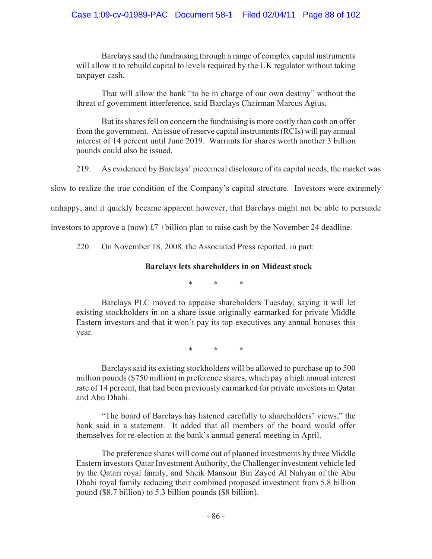Barclays said the fundraising through a range of complex capital instruments will allow it to rebuild capital to levels required by the UK regulator without taking taxpayer cash.

That will allow the bank "to be in charge of our own destiny" without the threat of government interference, said Barclays Chairman Marcus Agius.

But its shares fell on concern the fundraising is more costly than cash on offer from the government. An issue of reserve capital instruments (RCIs) will pay annual interest of 14 percent until June 2019. Warrants for shares worth another 3 billion pounds could also be issued.

219. As evidenced by Barclays' piecemeal disclosure of its capital needs, the market was

slow to realize the true condition of the Company's capital structure. Investors were extremely

unhappy, and it quickly became apparent however, that Barclays might not be able to persuade

investors to approve a (now) £7 +billion plan to raise cash by the November 24 deadline.

220. On November 18, 2008, the Associated Press reported, in part:

# **Barclays lets shareholders in on Mideast stock**

\* \* \*

Barclays PLC moved to appease shareholders Tuesday, saying it will let existing stockholders in on a share issue originally earmarked for private Middle Eastern investors and that it won't pay its top executives any annual bonuses this year.

\* \* \*

Barclays said its existing stockholders will be allowed to purchase up to 500 million pounds (\$750 million) in preference shares, which pay a high annual interest rate of 14 percent, that had been previously earmarked for private investors in Qatar and Abu Dhabi.

"The board of Barclays has listened carefully to shareholders' views," the bank said in a statement. It added that all members of the board would offer themselves for re-election at the bank's annual general meeting in April.

The preference shares will come out of planned investments by three Middle Eastern investors Qatar Investment Authority, the Challenger investment vehicle led by the Qatari royal family, and Sheik Mansour Bin Zayed Al Nahyan of the Abu Dhabi royal family reducing their combined proposed investment from 5.8 billion pound (\$8.7 billion) to 5.3 billion pounds (\$8 billion).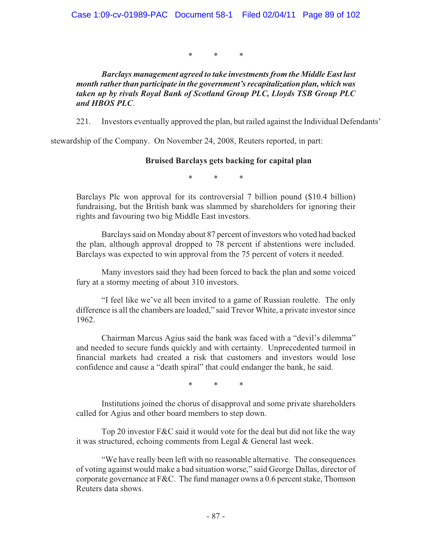\* \* \*

*Barclays management agreed to take investments from the Middle East last month rather than participate in the government's recapitalization plan, which was taken up by rivals Royal Bank of Scotland Group PLC, Lloyds TSB Group PLC and HBOS PLC*.

221. Investors eventually approved the plan, but railed against the Individual Defendants'

stewardship of the Company. On November 24, 2008, Reuters reported, in part:

# **Bruised Barclays gets backing for capital plan**

\* \* \*

Barclays Plc won approval for its controversial 7 billion pound (\$10.4 billion) fundraising, but the British bank was slammed by shareholders for ignoring their rights and favouring two big Middle East investors.

Barclays said on Monday about 87 percent of investors who voted had backed the plan, although approval dropped to 78 percent if abstentions were included. Barclays was expected to win approval from the 75 percent of voters it needed.

Many investors said they had been forced to back the plan and some voiced fury at a stormy meeting of about 310 investors.

"I feel like we've all been invited to a game of Russian roulette. The only difference is all the chambers are loaded," said Trevor White, a private investor since 1962.

Chairman Marcus Agius said the bank was faced with a "devil's dilemma" and needed to secure funds quickly and with certainty. Unprecedented turmoil in financial markets had created a risk that customers and investors would lose confidence and cause a "death spiral" that could endanger the bank, he said.

\* \* \*

Institutions joined the chorus of disapproval and some private shareholders called for Agius and other board members to step down.

Top 20 investor F&C said it would vote for the deal but did not like the way it was structured, echoing comments from Legal & General last week.

"We have really been left with no reasonable alternative. The consequences of voting against would make a bad situation worse," said George Dallas, director of corporate governance at F&C. The fund manager owns a 0.6 percent stake, Thomson Reuters data shows.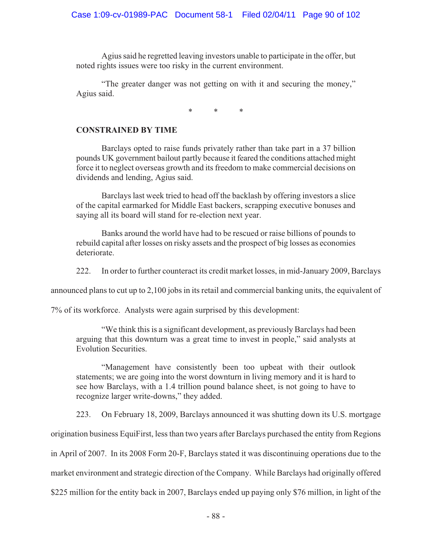Agius said he regretted leaving investors unable to participate in the offer, but noted rights issues were too risky in the current environment.

"The greater danger was not getting on with it and securing the money," Agius said.

\* \* \*

## **CONSTRAINED BY TIME**

Barclays opted to raise funds privately rather than take part in a 37 billion pounds UK government bailout partly because it feared the conditions attached might force it to neglect overseas growth and its freedom to make commercial decisions on dividends and lending, Agius said.

Barclays last week tried to head off the backlash by offering investors a slice of the capital earmarked for Middle East backers, scrapping executive bonuses and saying all its board will stand for re-election next year.

Banks around the world have had to be rescued or raise billions of pounds to rebuild capital after losses on risky assets and the prospect of big losses as economies deteriorate.

222. In order to further counteract its credit market losses, in mid-January 2009, Barclays

announced plans to cut up to 2,100 jobs in its retail and commercial banking units, the equivalent of

7% of its workforce. Analysts were again surprised by this development:

"We think this is a significant development, as previously Barclays had been arguing that this downturn was a great time to invest in people," said analysts at Evolution Securities.

"Management have consistently been too upbeat with their outlook statements; we are going into the worst downturn in living memory and it is hard to see how Barclays, with a 1.4 trillion pound balance sheet, is not going to have to recognize larger write-downs," they added.

223. On February 18, 2009, Barclays announced it was shutting down its U.S. mortgage

origination business EquiFirst, less than two years after Barclays purchased the entity from Regions

in April of 2007. In its 2008 Form 20-F, Barclays stated it was discontinuing operations due to the

market environment and strategic direction of the Company. While Barclays had originally offered

\$225 million for the entity back in 2007, Barclays ended up paying only \$76 million, in light of the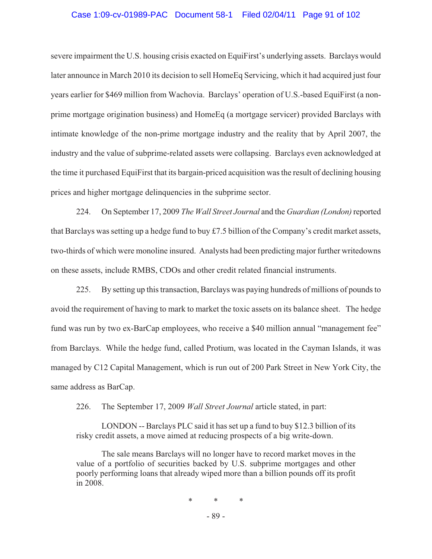# Case 1:09-cv-01989-PAC Document 58-1 Filed 02/04/11 Page 91 of 102

severe impairment the U.S. housing crisis exacted on EquiFirst's underlying assets. Barclays would later announce in March 2010 its decision to sell HomeEq Servicing, which it had acquired just four years earlier for \$469 million from Wachovia. Barclays' operation of U.S.-based EquiFirst (a nonprime mortgage origination business) and HomeEq (a mortgage servicer) provided Barclays with intimate knowledge of the non-prime mortgage industry and the reality that by April 2007, the industry and the value of subprime-related assets were collapsing. Barclays even acknowledged at the time it purchased EquiFirst that its bargain-priced acquisition was the result of declining housing prices and higher mortgage delinquencies in the subprime sector.

224. On September 17, 2009 *The Wall Street Journal* and the *Guardian (London)* reported that Barclays was setting up a hedge fund to buy £7.5 billion of the Company's credit market assets, two-thirds of which were monoline insured. Analysts had been predicting major further writedowns on these assets, include RMBS, CDOs and other credit related financial instruments.

225. By setting up this transaction, Barclays was paying hundreds of millions of pounds to avoid the requirement of having to mark to market the toxic assets on its balance sheet. The hedge fund was run by two ex-BarCap employees, who receive a \$40 million annual "management fee" from Barclays. While the hedge fund, called Protium, was located in the Cayman Islands, it was managed by C12 Capital Management, which is run out of 200 Park Street in New York City, the same address as BarCap.

226. The September 17, 2009 *Wall Street Journal* article stated, in part:

LONDON -- Barclays PLC said it has set up a fund to buy \$12.3 billion of its risky credit assets, a move aimed at reducing prospects of a big write-down.

The sale means Barclays will no longer have to record market moves in the value of a portfolio of securities backed by U.S. subprime mortgages and other poorly performing loans that already wiped more than a billion pounds off its profit in 2008.

\* \* \*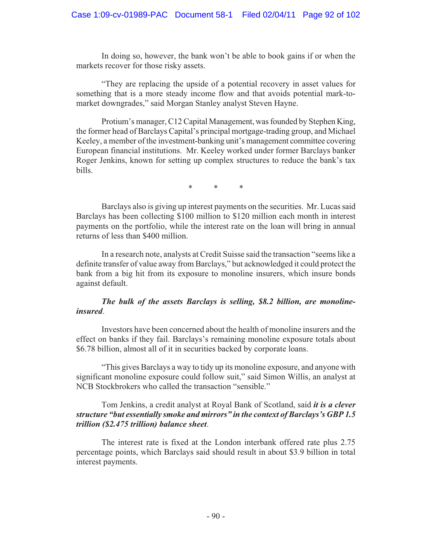In doing so, however, the bank won't be able to book gains if or when the markets recover for those risky assets.

"They are replacing the upside of a potential recovery in asset values for something that is a more steady income flow and that avoids potential mark-tomarket downgrades," said Morgan Stanley analyst Steven Hayne.

Protium's manager, C12 Capital Management, was founded by Stephen King, the former head of Barclays Capital's principal mortgage-trading group, and Michael Keeley, a member of the investment-banking unit's management committee covering European financial institutions. Mr. Keeley worked under former Barclays banker Roger Jenkins, known for setting up complex structures to reduce the bank's tax bills.

\* \* \*

Barclays also is giving up interest payments on the securities. Mr. Lucas said Barclays has been collecting \$100 million to \$120 million each month in interest payments on the portfolio, while the interest rate on the loan will bring in annual returns of less than \$400 million.

In a research note, analysts at Credit Suisse said the transaction "seems like a definite transfer of value away from Barclays," but acknowledged it could protect the bank from a big hit from its exposure to monoline insurers, which insure bonds against default.

## *The bulk of the assets Barclays is selling, \$8.2 billion, are monolineinsured*.

Investors have been concerned about the health of monoline insurers and the effect on banks if they fail. Barclays's remaining monoline exposure totals about \$6.78 billion, almost all of it in securities backed by corporate loans.

"This gives Barclays a way to tidy up its monoline exposure, and anyone with significant monoline exposure could follow suit," said Simon Willis, an analyst at NCB Stockbrokers who called the transaction "sensible."

### Tom Jenkins, a credit analyst at Royal Bank of Scotland, said *it is a clever structure "but essentially smoke and mirrors" in the context of Barclays's GBP 1.5 trillion (\$2.475 trillion) balance sheet*.

The interest rate is fixed at the London interbank offered rate plus 2.75 percentage points, which Barclays said should result in about \$3.9 billion in total interest payments.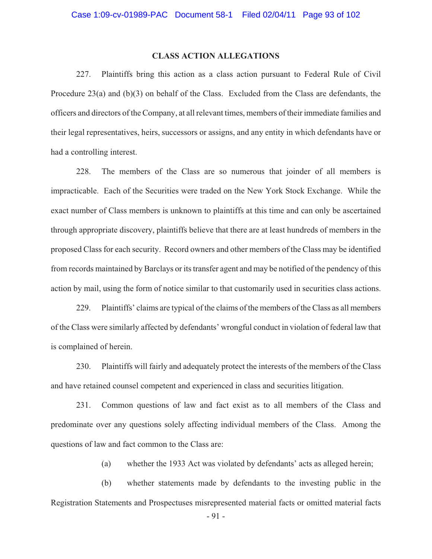### **CLASS ACTION ALLEGATIONS**

227. Plaintiffs bring this action as a class action pursuant to Federal Rule of Civil Procedure 23(a) and (b)(3) on behalf of the Class. Excluded from the Class are defendants, the officers and directors of the Company, at all relevant times, members of their immediate families and their legal representatives, heirs, successors or assigns, and any entity in which defendants have or had a controlling interest.

228. The members of the Class are so numerous that joinder of all members is impracticable. Each of the Securities were traded on the New York Stock Exchange. While the exact number of Class members is unknown to plaintiffs at this time and can only be ascertained through appropriate discovery, plaintiffs believe that there are at least hundreds of members in the proposed Class for each security. Record owners and other members of the Class may be identified from records maintained by Barclays or its transfer agent and may be notified of the pendency of this action by mail, using the form of notice similar to that customarily used in securities class actions.

229. Plaintiffs' claims are typical of the claims of the members of the Class as all members of the Class were similarly affected by defendants' wrongful conduct in violation of federal law that is complained of herein.

230. Plaintiffs will fairly and adequately protect the interests of the members of the Class and have retained counsel competent and experienced in class and securities litigation.

231. Common questions of law and fact exist as to all members of the Class and predominate over any questions solely affecting individual members of the Class. Among the questions of law and fact common to the Class are:

(a) whether the 1933 Act was violated by defendants' acts as alleged herein;

(b) whether statements made by defendants to the investing public in the Registration Statements and Prospectuses misrepresented material facts or omitted material facts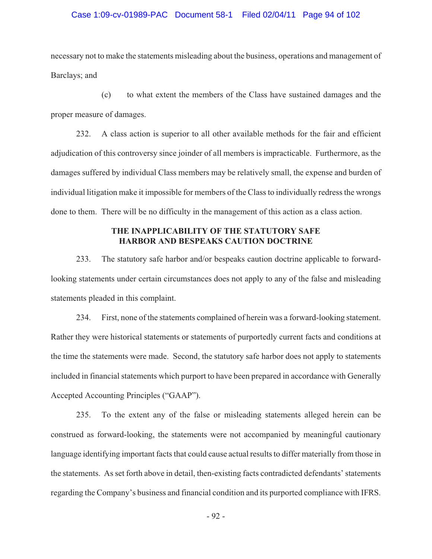#### Case 1:09-cv-01989-PAC Document 58-1 Filed 02/04/11 Page 94 of 102

necessary not to make the statements misleading about the business, operations and management of Barclays; and

(c) to what extent the members of the Class have sustained damages and the proper measure of damages.

232. A class action is superior to all other available methods for the fair and efficient adjudication of this controversy since joinder of all members is impracticable. Furthermore, as the damages suffered by individual Class members may be relatively small, the expense and burden of individual litigation make it impossible for members of the Class to individually redress the wrongs done to them. There will be no difficulty in the management of this action as a class action.

### **THE INAPPLICABILITY OF THE STATUTORY SAFE HARBOR AND BESPEAKS CAUTION DOCTRINE**

233. The statutory safe harbor and/or bespeaks caution doctrine applicable to forwardlooking statements under certain circumstances does not apply to any of the false and misleading statements pleaded in this complaint.

234. First, none of the statements complained of herein was a forward-looking statement. Rather they were historical statements or statements of purportedly current facts and conditions at the time the statements were made. Second, the statutory safe harbor does not apply to statements included in financial statements which purport to have been prepared in accordance with Generally Accepted Accounting Principles ("GAAP").

235. To the extent any of the false or misleading statements alleged herein can be construed as forward-looking, the statements were not accompanied by meaningful cautionary language identifying important facts that could cause actual results to differ materially from those in the statements. As set forth above in detail, then-existing facts contradicted defendants' statements regarding the Company's business and financial condition and its purported compliance with IFRS.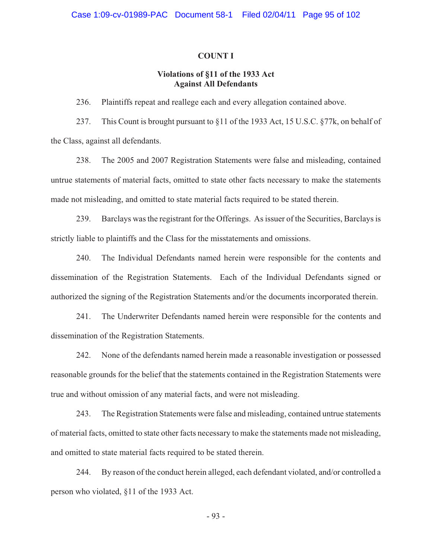#### **COUNT I**

## **Violations of §11 of the 1933 Act Against All Defendants**

236. Plaintiffs repeat and reallege each and every allegation contained above.

237. This Count is brought pursuant to §11 of the 1933 Act, 15 U.S.C. §77k, on behalf of the Class, against all defendants.

238. The 2005 and 2007 Registration Statements were false and misleading, contained untrue statements of material facts, omitted to state other facts necessary to make the statements made not misleading, and omitted to state material facts required to be stated therein.

239. Barclays was the registrant for the Offerings. As issuer of the Securities, Barclays is strictly liable to plaintiffs and the Class for the misstatements and omissions.

240. The Individual Defendants named herein were responsible for the contents and dissemination of the Registration Statements. Each of the Individual Defendants signed or authorized the signing of the Registration Statements and/or the documents incorporated therein.

241. The Underwriter Defendants named herein were responsible for the contents and dissemination of the Registration Statements.

242. None of the defendants named herein made a reasonable investigation or possessed reasonable grounds for the belief that the statements contained in the Registration Statements were true and without omission of any material facts, and were not misleading.

243. The Registration Statements were false and misleading, contained untrue statements of material facts, omitted to state other facts necessary to make the statements made not misleading, and omitted to state material facts required to be stated therein.

244. By reason of the conduct herein alleged, each defendant violated, and/or controlled a person who violated, §11 of the 1933 Act.

- 93 -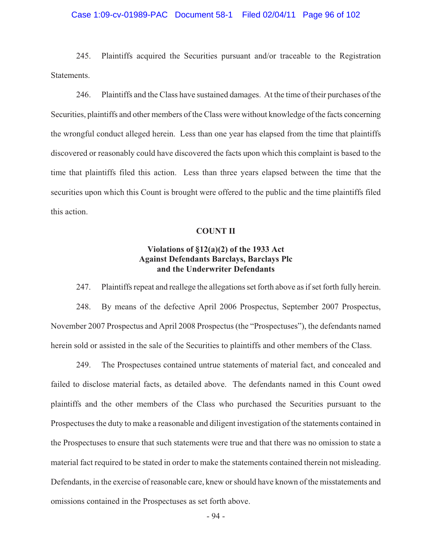#### Case 1:09-cv-01989-PAC Document 58-1 Filed 02/04/11 Page 96 of 102

245. Plaintiffs acquired the Securities pursuant and/or traceable to the Registration Statements.

246. Plaintiffs and the Class have sustained damages. At the time of their purchases of the Securities, plaintiffs and other members of the Class were without knowledge of the facts concerning the wrongful conduct alleged herein. Less than one year has elapsed from the time that plaintiffs discovered or reasonably could have discovered the facts upon which this complaint is based to the time that plaintiffs filed this action. Less than three years elapsed between the time that the securities upon which this Count is brought were offered to the public and the time plaintiffs filed this action.

#### **COUNT II**

### **Violations of §12(a)(2) of the 1933 Act Against Defendants Barclays, Barclays Plc and the Underwriter Defendants**

247. Plaintiffs repeat and reallege the allegations set forth above as if set forth fully herein.

248. By means of the defective April 2006 Prospectus, September 2007 Prospectus, November 2007 Prospectus and April 2008 Prospectus (the "Prospectuses"), the defendants named herein sold or assisted in the sale of the Securities to plaintiffs and other members of the Class.

249. The Prospectuses contained untrue statements of material fact, and concealed and failed to disclose material facts, as detailed above. The defendants named in this Count owed plaintiffs and the other members of the Class who purchased the Securities pursuant to the Prospectuses the duty to make a reasonable and diligent investigation of the statements contained in the Prospectuses to ensure that such statements were true and that there was no omission to state a material fact required to be stated in order to make the statements contained therein not misleading. Defendants, in the exercise of reasonable care, knew or should have known of the misstatements and omissions contained in the Prospectuses as set forth above.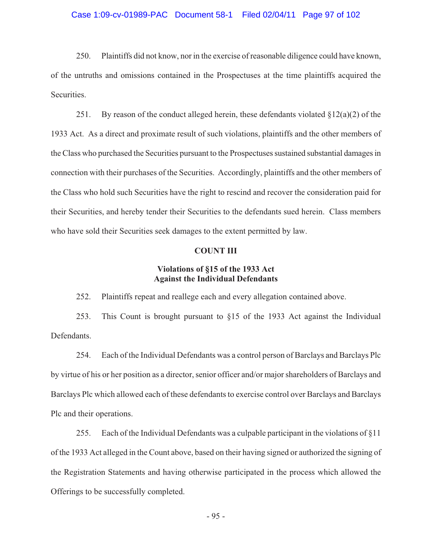#### Case 1:09-cv-01989-PAC Document 58-1 Filed 02/04/11 Page 97 of 102

250. Plaintiffs did not know, nor in the exercise of reasonable diligence could have known, of the untruths and omissions contained in the Prospectuses at the time plaintiffs acquired the Securities.

251. By reason of the conduct alleged herein, these defendants violated  $\S 12(a)(2)$  of the 1933 Act. As a direct and proximate result of such violations, plaintiffs and the other members of the Class who purchased the Securities pursuant to the Prospectuses sustained substantial damages in connection with their purchases of the Securities. Accordingly, plaintiffs and the other members of the Class who hold such Securities have the right to rescind and recover the consideration paid for their Securities, and hereby tender their Securities to the defendants sued herein. Class members who have sold their Securities seek damages to the extent permitted by law.

### **COUNT III**

## **Violations of §15 of the 1933 Act Against the Individual Defendants**

252. Plaintiffs repeat and reallege each and every allegation contained above.

253. This Count is brought pursuant to §15 of the 1933 Act against the Individual **Defendants** 

254. Each of the Individual Defendants was a control person of Barclays and Barclays Plc by virtue of his or her position as a director, senior officer and/or major shareholders of Barclays and Barclays Plc which allowed each of these defendants to exercise control over Barclays and Barclays Plc and their operations.

255. Each of the Individual Defendants was a culpable participant in the violations of §11 of the 1933 Act alleged in the Count above, based on their having signed or authorized the signing of the Registration Statements and having otherwise participated in the process which allowed the Offerings to be successfully completed.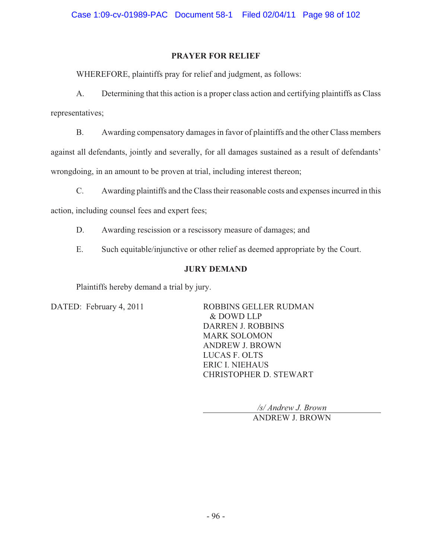# **PRAYER FOR RELIEF**

WHEREFORE, plaintiffs pray for relief and judgment, as follows:

A. Determining that this action is a proper class action and certifying plaintiffs as Class representatives;

B. Awarding compensatory damages in favor of plaintiffs and the other Class members against all defendants, jointly and severally, for all damages sustained as a result of defendants' wrongdoing, in an amount to be proven at trial, including interest thereon;

C. Awarding plaintiffs and the Class their reasonable costs and expenses incurred in this

action, including counsel fees and expert fees;

- D. Awarding rescission or a rescissory measure of damages; and
- E. Such equitable/injunctive or other relief as deemed appropriate by the Court.

# **JURY DEMAND**

Plaintiffs hereby demand a trial by jury.

DATED: February 4, 2011 ROBBINS GELLER RUDMAN & DOWD LLP DARREN J. ROBBINS MARK SOLOMON ANDREW J. BROWN LUCAS F. OLTS ERIC I. NIEHAUS CHRISTOPHER D. STEWART

*/s/ Andrew J. Brown* 

ANDREW J. BROWN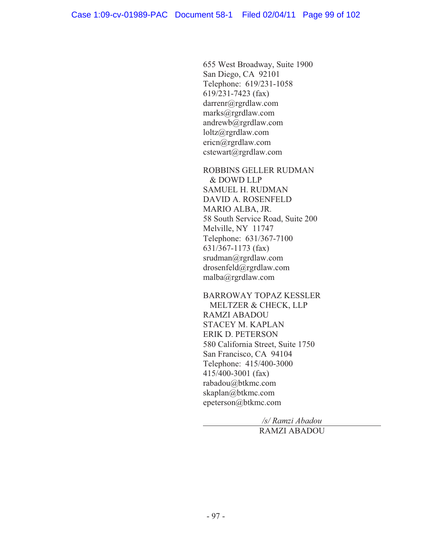655 West Broadway, Suite 1900 San Diego, CA 92101 Telephone: 619/231-1058 619/231-7423 (fax) darrenr@rgrdlaw.com marks@rgrdlaw.com andrewb@rgrdlaw.com loltz@rgrdlaw.com ericn@rgrdlaw.com cstewart@rgrdlaw.com

ROBBINS GELLER RUDMAN & DOWD LLP SAMUEL H. RUDMAN DAVID A. ROSENFELD MARIO ALBA, JR. 58 South Service Road, Suite 200 Melville, NY 11747 Telephone: 631/367-7100 631/367-1173 (fax) srudman@rgrdlaw.com drosenfeld@rgrdlaw.com malba@rgrdlaw.com

BARROWAY TOPAZ KESSLER MELTZER & CHECK, LLP RAMZI ABADOU STACEY M. KAPLAN ERIK D. PETERSON 580 California Street, Suite 1750 San Francisco, CA 94104 Telephone: 415/400-3000 415/400-3001 (fax) rabadou@btkmc.com skaplan@btkmc.com epeterson@btkmc.com

> */s/ Ramzi Abadou*  RAMZI ABADOU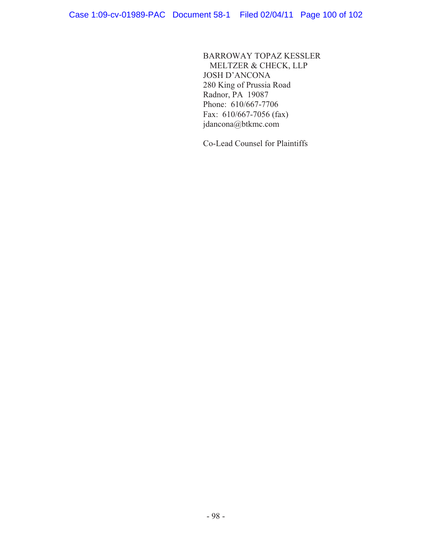BARROWAY TOPAZ KESSLER MELTZER & CHECK, LLP JOSH D'ANCONA 280 King of Prussia Road Radnor, PA 19087 Phone: 610/667-7706 Fax: 610/667-7056 (fax) jdancona@btkmc.com

Co-Lead Counsel for Plaintiffs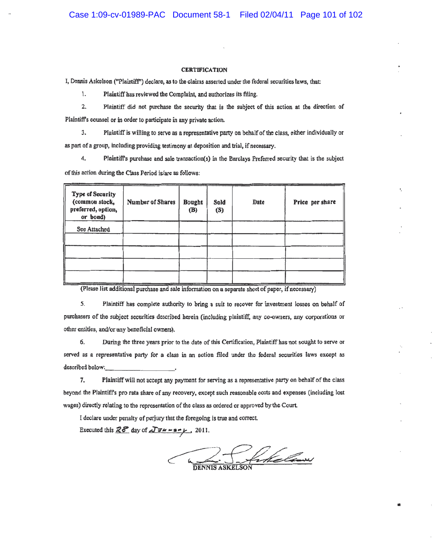#### **CERTIFICATION**

I, Dennis Askelson ("Plaintiff") declare, as to the claims asserted under the federal securities laws, that:

1. Plaintiff has reviewed the Complaint, and authorizes its filing.

 $2.$ Plaintiff did not purchase the security that is the subject of this action at the direction of Plaintiff's counsel or in order to participate in any private action.

3. Plaintiff is willing to serve as a representative party on behalf of the class, either individually or as part of a group, including providing testimony at deposition and trial, if necessary.

4. Plaintiff's purchase and sale transaction(s) in the Barclays Preferred security that is the subject of this action during the Class Period is/are as follows:

| <b>Type of Security</b><br>(common stock,<br>preferred, option,<br>or bond) | Number of Shares | Bought<br>(B) | Sold<br>(S) | Date | Price per share |
|-----------------------------------------------------------------------------|------------------|---------------|-------------|------|-----------------|
| See Attached                                                                |                  |               |             |      |                 |
|                                                                             |                  |               |             |      |                 |
|                                                                             |                  |               |             |      |                 |
|                                                                             |                  |               |             |      |                 |
|                                                                             |                  |               |             |      |                 |

(Please list additional purchase and sale information on a separate sheet of paper, if necessary)

5. Plaintiff has complete authority to bring a suit to recover for investment losses on behalf of purchasers of the subject securities described herein (including plaintiff, any co-owners, any corporations or other entities, and/or any beneficial owners).

During the three years prior to the date of this Certification, Plaintiff has not sought to serve or 6. served as a representative party for a class in an action filed under the federal securities laws except as described below:

7. Plaintiff will not accept any payment for serving as a representative party on behalf of the class beyond the Plaintiff's pro rata share of any recovery, except such reasonable costs and expenses (including lost wages) directly relating to the representation of the class as ordered or approved by the Court.

I declare under penalty of perjury that the foregoing is true and correct.

Executed this  $\overline{28}$  day of  $\overline{\Delta 744 - 3 - 1}$ , 2011.

Jukelaw